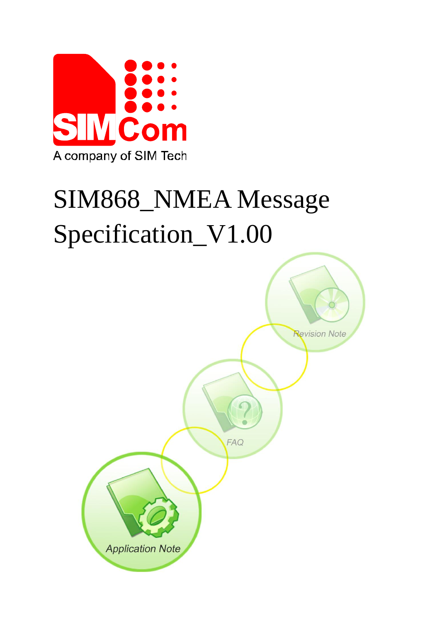

# SIM868\_NMEA Message Specification\_V1.00

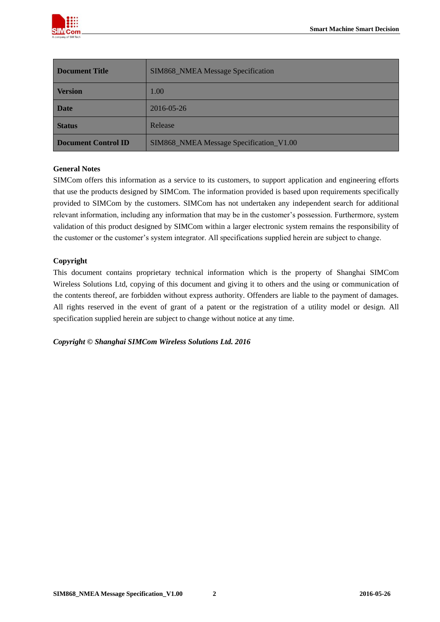

| <b>Document Title</b> | SIM868_NMEA Message Specification       |  |
|-----------------------|-----------------------------------------|--|
| <b>Version</b>        | 1.00                                    |  |
| <b>Date</b>           | 2016-05-26                              |  |
| <b>Status</b>         | Release                                 |  |
| Document Control ID   | SIM868_NMEA Message Specification_V1.00 |  |

#### **General Notes**

SIMCom offers this information as a service to its customers, to support application and engineering efforts that use the products designed by SIMCom. The information provided is based upon requirements specifically provided to SIMCom by the customers. SIMCom has not undertaken any independent search for additional relevant information, including any information that may be in the customer's possession. Furthermore, system validation of this product designed by SIMCom within a larger electronic system remains the responsibility of the customer or the customer's system integrator. All specifications supplied herein are subject to change.

#### **Copyright**

This document contains proprietary technical information which is the property of Shanghai SIMCom Wireless Solutions Ltd, copying of this document and giving it to others and the using or communication of the contents thereof, are forbidden without express authority. Offenders are liable to the payment of damages. All rights reserved in the event of grant of a patent or the registration of a utility model or design. All specification supplied herein are subject to change without notice at any time.

*Copyright © Shanghai SIMCom Wireless Solutions Ltd. 2016*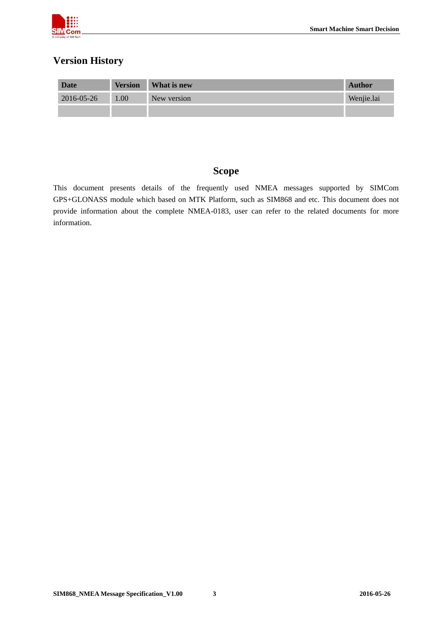

# **Version History**

| <b>Date</b> | <b>Version</b> | What is new | Author     |
|-------------|----------------|-------------|------------|
| 2016-05-26  | 1.00           | New version | Wenjie.lai |
|             |                |             |            |

## **Scope**

This document presents details of the frequently used NMEA messages supported by SIMCom GPS+GLONASS module which based on MTK Platform, such as SIM868 and etc. This document does not provide information about the complete NMEA-0183, user can refer to the related documents for more information.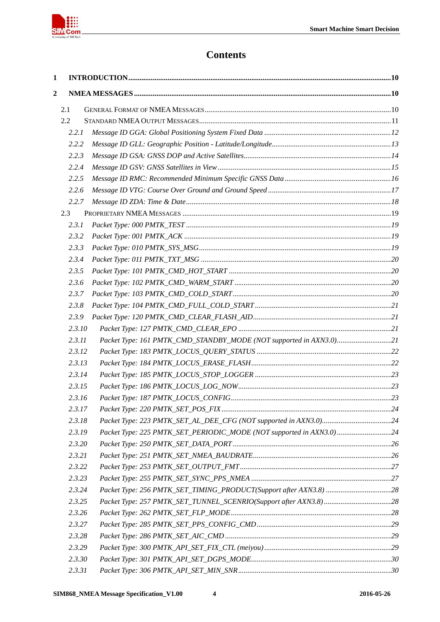

# **Contents**

| $\mathbf{1}$   |        |                                                                     |  |
|----------------|--------|---------------------------------------------------------------------|--|
| $\overline{2}$ |        |                                                                     |  |
|                | 2.1    |                                                                     |  |
|                | 2.2    |                                                                     |  |
|                | 2.2.1  |                                                                     |  |
|                | 2.2.2  |                                                                     |  |
|                | 2.2.3  |                                                                     |  |
|                | 2.2.4  |                                                                     |  |
|                | 2.2.5  |                                                                     |  |
|                | 2.2.6  |                                                                     |  |
|                | 2.2.7  |                                                                     |  |
|                | 2.3    |                                                                     |  |
|                | 2.3.1  |                                                                     |  |
|                | 2.3.2  |                                                                     |  |
|                | 2.3.3  |                                                                     |  |
|                | 2.3.4  |                                                                     |  |
|                | 2.3.5  |                                                                     |  |
|                | 2.3.6  |                                                                     |  |
|                | 2.3.7  |                                                                     |  |
|                | 2.3.8  |                                                                     |  |
|                | 2.3.9  |                                                                     |  |
|                | 2.3.10 |                                                                     |  |
|                | 2.3.11 | Packet Type: 161 PMTK_CMD_STANDBY_MODE (NOT supported in AXN3.0)21  |  |
|                | 2.3.12 |                                                                     |  |
|                | 2.3.13 |                                                                     |  |
|                | 2.3.14 |                                                                     |  |
|                | 2.3.15 |                                                                     |  |
|                | 2.3.16 |                                                                     |  |
|                | 2.3.17 |                                                                     |  |
|                | 2.3.18 |                                                                     |  |
|                | 2.3.19 | Packet Type: 225 PMTK_SET_PERIODIC_MODE (NOT supported in AXN3.0)24 |  |
|                | 2.3.20 |                                                                     |  |
|                | 2.3.21 |                                                                     |  |
|                | 2.3.22 |                                                                     |  |
|                | 2.3.23 |                                                                     |  |
|                | 2.3.24 |                                                                     |  |
|                | 2.3.25 |                                                                     |  |
|                | 2.3.26 |                                                                     |  |
|                | 2.3.27 |                                                                     |  |
|                | 2.3.28 |                                                                     |  |
|                | 2.3.29 |                                                                     |  |
|                | 2.3.30 |                                                                     |  |
|                | 2.3.31 |                                                                     |  |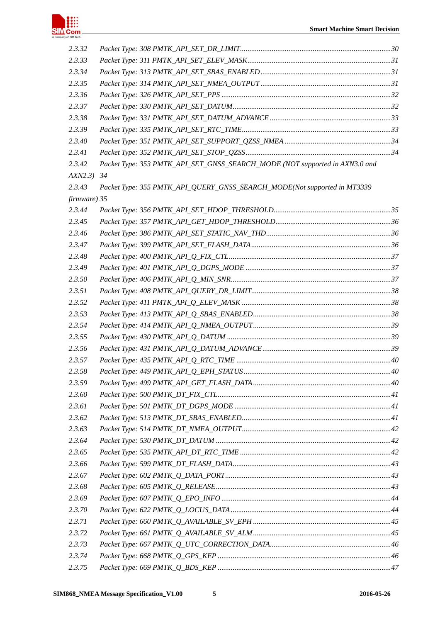

| 2.3.32       |                                                                             |  |
|--------------|-----------------------------------------------------------------------------|--|
| 2.3.33       |                                                                             |  |
| 2.3.34       |                                                                             |  |
| 2.3.35       |                                                                             |  |
| 2.3.36       |                                                                             |  |
| 2.3.37       |                                                                             |  |
| 2.3.38       |                                                                             |  |
| 2.3.39       |                                                                             |  |
| 2.3.40       |                                                                             |  |
| 2.3.41       |                                                                             |  |
| 2.3.42       | Packet Type: 353 PMTK_API_SET_GNSS_SEARCH_MODE (NOT supported in AXN3.0 and |  |
| AXN2.3)      | 34                                                                          |  |
| 2.3.43       | Packet Type: 355 PMTK_API_QUERY_GNSS_SEARCH_MODE(Not supported in MT3339    |  |
| firmware) 35 |                                                                             |  |
| 2.3.44       |                                                                             |  |
| 2.3.45       |                                                                             |  |
| 2.3.46       |                                                                             |  |
| 2.3.47       |                                                                             |  |
| 2.3.48       |                                                                             |  |
| 2.3.49       |                                                                             |  |
| 2.3.50       |                                                                             |  |
| 2.3.51       |                                                                             |  |
| 2.3.52       |                                                                             |  |
| 2.3.53       |                                                                             |  |
| 2.3.54       |                                                                             |  |
| 2.3.55       |                                                                             |  |
| 2.3.56       |                                                                             |  |
| 2.3.57       |                                                                             |  |
| 2.3.58       |                                                                             |  |
| 2.3.59       |                                                                             |  |
| 2.3.60       |                                                                             |  |
| 2.3.61       |                                                                             |  |
| 2.3.62       |                                                                             |  |
| 2.3.63       |                                                                             |  |
| 2.3.64       |                                                                             |  |
| 2.3.65       |                                                                             |  |
| 2.3.66       |                                                                             |  |
| 2.3.67       |                                                                             |  |
| 2.3.68       |                                                                             |  |
| 2.3.69       |                                                                             |  |
| 2.3.70       |                                                                             |  |
| 2.3.71       |                                                                             |  |
| 2.3.72       |                                                                             |  |
| 2.3.73       |                                                                             |  |
| 2.3.74       |                                                                             |  |
| 2.3.75       |                                                                             |  |
|              |                                                                             |  |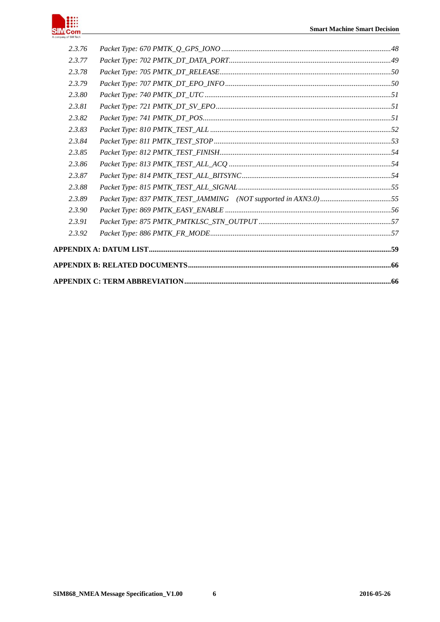

| 2.3.92 |  |
|--------|--|
| 2.3.91 |  |
| 2.3.90 |  |
| 2.3.89 |  |
| 2.3.88 |  |
| 2.3.87 |  |
| 2.3.86 |  |
| 2.3.85 |  |
| 2.3.84 |  |
| 2.3.83 |  |
| 2.3.82 |  |
| 2.3.81 |  |
| 2.3.80 |  |
| 2.3.79 |  |
| 2.3.78 |  |
| 2.3.77 |  |
| 2.3.76 |  |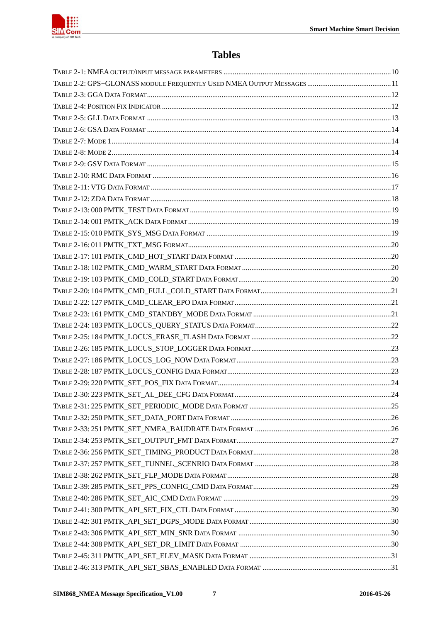

# **Tables**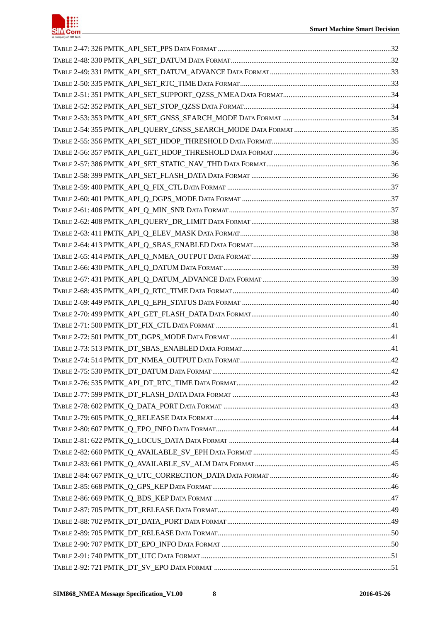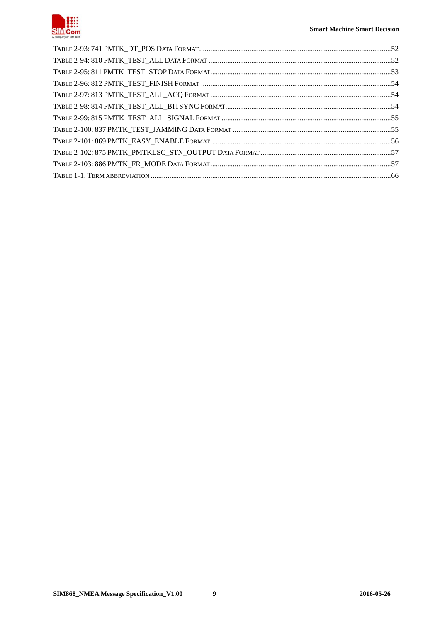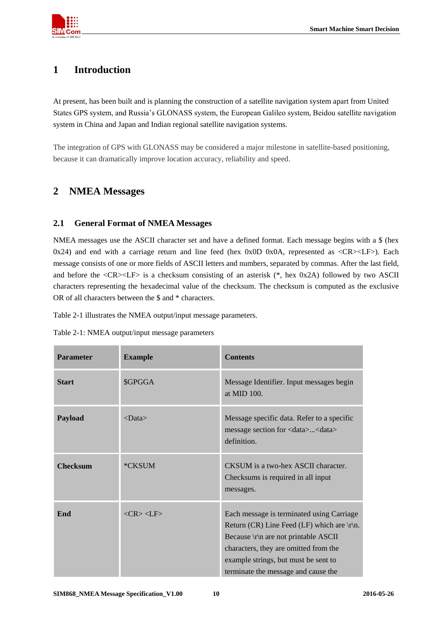

# <span id="page-9-0"></span>**1 Introduction**

At present, has been built and is planning the construction of a satellite navigation system apart from United States GPS system, and Russia's GLONASS system, the European Galileo system, Beidou satellite navigation system in China and Japan and Indian regional satellite navigation systems.

<span id="page-9-1"></span>The integration of GPS with GLONASS may be considered a major milestone in satellite-based positioning, because it can dramatically improve location accuracy, reliability and speed.

# **2 NMEA Messages**

## <span id="page-9-2"></span>**2.1 General Format of NMEA Messages**

NMEA messages use the ASCII character set and have a defined format. Each message begins with a \$ (hex 0x24) and end with a carriage return and line feed (hex 0x0D 0x0A, represented as  $\langle CR \rangle$ -LF $>$ ). Each message consists of one or more fields of ASCII letters and numbers, separated by commas. After the last field, and before the <CR><LF> is a checksum consisting of an asterisk (\*, hex 0x2A) followed by two ASCII characters representing the hexadecimal value of the checksum. The checksum is computed as the exclusive OR of all characters between the \$ and \* characters.

[Table 2-1](#page-9-3) illustrates the NMEA output/input message parameters.

<span id="page-9-3"></span>

| Table 2-1: NMEA output/input message parameters |  |  |  |
|-------------------------------------------------|--|--|--|
|-------------------------------------------------|--|--|--|

| <b>Parameter</b> | <b>Example</b>                           | <b>Contents</b>                                                                                                                                                                                                                                                      |
|------------------|------------------------------------------|----------------------------------------------------------------------------------------------------------------------------------------------------------------------------------------------------------------------------------------------------------------------|
| <b>Start</b>     | \$GPGGA                                  | Message Identifier. Input messages begin<br>at MID 100.                                                                                                                                                                                                              |
| Payload          | $<$ Data $>$                             | Message specific data. Refer to a specific<br>message section for <data><data><br/>definition.</data></data>                                                                                                                                                         |
| <b>Checksum</b>  | *CKSUM                                   | CKSUM is a two-hex ASCII character.<br>Checksums is required in all input<br>messages.                                                                                                                                                                               |
| End              | $\langle CR \rangle \langle I.F \rangle$ | Each message is terminated using Carriage<br>Return (CR) Line Feed (LF) which are $\vert r \vert$ n.<br>Because \r\n are not printable ASCII<br>characters, they are omitted from the<br>example strings, but must be sent to<br>terminate the message and cause the |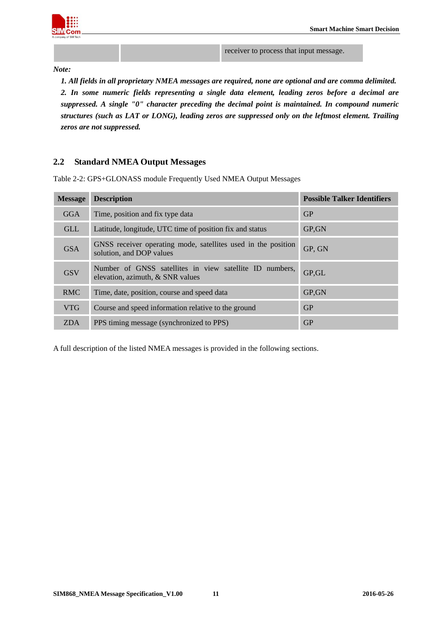

receiver to process that input message.

*Note:*

*1. All fields in all proprietary NMEA messages are required, none are optional and are comma delimited. 2. In some numeric fields representing a single data element, leading zeros before a decimal are suppressed. A single "0" character preceding the decimal point is maintained. In compound numeric structures (such as LAT or LONG), leading zeros are suppressed only on the leftmost element. Trailing zeros are not suppressed.*

## <span id="page-10-0"></span>**2.2 Standard NMEA Output Messages**

| <b>Message</b> | <b>Description</b>                                                                            | <b>Possible Talker Identifiers</b> |
|----------------|-----------------------------------------------------------------------------------------------|------------------------------------|
| <b>GGA</b>     | Time, position and fix type data                                                              | GP                                 |
| <b>GLL</b>     | Latitude, longitude, UTC time of position fix and status                                      | GP, GN                             |
| <b>GSA</b>     | GNSS receiver operating mode, satellites used in the position<br>solution, and DOP values     | GP, GN                             |
| <b>GSV</b>     | Number of GNSS satellites in view satellite ID numbers,<br>elevation, azimuth, $&$ SNR values | GP, GL                             |
| <b>RMC</b>     | Time, date, position, course and speed data                                                   | GP, GN                             |
| <b>VTG</b>     | Course and speed information relative to the ground                                           | GP                                 |
| <b>ZDA</b>     | PPS timing message (synchronized to PPS)                                                      | GP                                 |

<span id="page-10-1"></span>Table 2-2: GPS+GLONASS module Frequently Used NMEA Output Messages

A full description of the listed NMEA messages is provided in the following sections.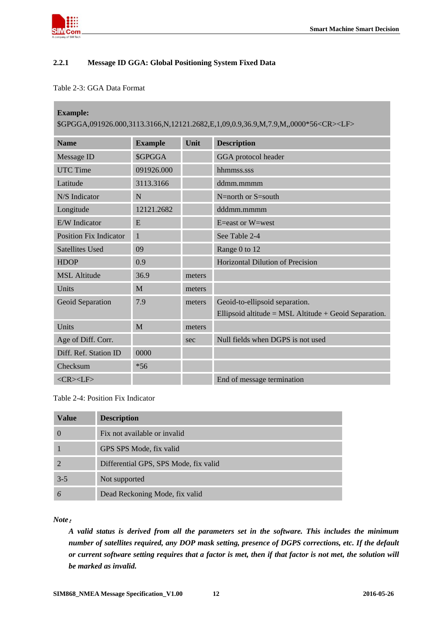

п

## <span id="page-11-0"></span>**2.2.1 Message ID GGA: Global Positioning System Fixed Data**

#### <span id="page-11-1"></span>Table 2-3: GGA Data Format

| <b>Example:</b><br>\$GPGGA,091926.000,3113.3166,N,12121.2682,E,1,09,0.9,36.9,M,7.9,M,,0000*56 <cr><lf></lf></cr> |                |        |                                                         |  |
|------------------------------------------------------------------------------------------------------------------|----------------|--------|---------------------------------------------------------|--|
| <b>Name</b>                                                                                                      | <b>Example</b> | Unit   | <b>Description</b>                                      |  |
| Message ID                                                                                                       | <b>\$GPGGA</b> |        | GGA protocol header                                     |  |
| <b>UTC Time</b>                                                                                                  | 091926.000     |        | hhmmss.sss                                              |  |
| Latitude                                                                                                         | 3113.3166      |        | ddmm.mmmm                                               |  |
| N/S Indicator                                                                                                    | N              |        | $N=$ north or $S=$ south                                |  |
| Longitude                                                                                                        | 12121.2682     |        | dddmm.mmmm                                              |  |
| E/W Indicator                                                                                                    | E              |        | $E = east$ or $W = west$                                |  |
| <b>Position Fix Indicator</b>                                                                                    | 1              |        | See Table 2-4                                           |  |
| <b>Satellites Used</b>                                                                                           | 09             |        | Range 0 to 12                                           |  |
| <b>HDOP</b>                                                                                                      | 0.9            |        | <b>Horizontal Dilution of Precision</b>                 |  |
| <b>MSL Altitude</b>                                                                                              | 36.9           | meters |                                                         |  |
| Units                                                                                                            | M              | meters |                                                         |  |
| <b>Geoid Separation</b>                                                                                          | 7.9            | meters | Geoid-to-ellipsoid separation.                          |  |
|                                                                                                                  |                |        | Ellipsoid altitude = $MSL$ Altitude + Geoid Separation. |  |
| Units                                                                                                            | M              | meters |                                                         |  |
| Age of Diff. Corr.                                                                                               |                | sec    | Null fields when DGPS is not used                       |  |
| Diff. Ref. Station ID                                                                                            | 0000           |        |                                                         |  |
| Checksum                                                                                                         | $*56$          |        |                                                         |  |
| $<$ CR> $<$ LF>                                                                                                  |                |        | End of message termination                              |  |

<span id="page-11-2"></span>Table 2-4: Position Fix Indicator

| <b>Value</b> | <b>Description</b>                    |
|--------------|---------------------------------------|
|              | Fix not available or invalid          |
|              | GPS SPS Mode, fix valid               |
|              | Differential GPS, SPS Mode, fix valid |
| $3-5$        | Not supported                         |
|              | Dead Reckoning Mode, fix valid        |

*Note*:

*A valid status is derived from all the parameters set in the software. This includes the minimum number of satellites required, any DOP mask setting, presence of DGPS corrections, etc. If the default or current software setting requires that a factor is met, then if that factor is not met, the solution will be marked as invalid.*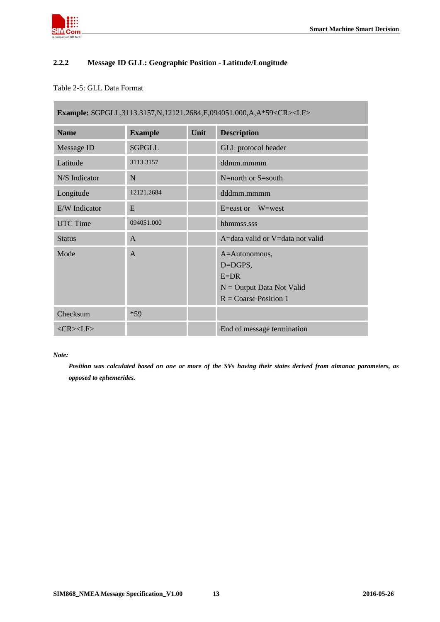

П

## <span id="page-12-0"></span>**2.2.2 Message ID GLL: Geographic Position - Latitude/Longitude**

## <span id="page-12-1"></span>Table 2-5: GLL Data Format

| Example: \$GPGLL,3113.3157,N,12121.2684,E,094051.000,A,A*59 <cr><lf></lf></cr> |                |      |                                                                                                     |  |
|--------------------------------------------------------------------------------|----------------|------|-----------------------------------------------------------------------------------------------------|--|
| <b>Name</b>                                                                    | <b>Example</b> | Unit | <b>Description</b>                                                                                  |  |
| Message ID                                                                     | \$GPGLL        |      | GLL protocol header                                                                                 |  |
| Latitude                                                                       | 3113.3157      |      | ddmm.mmmm                                                                                           |  |
| N/S Indicator                                                                  | N              |      | N=north or S=south                                                                                  |  |
| Longitude                                                                      | 12121.2684     |      | dddmm.mmmm                                                                                          |  |
| E/W Indicator                                                                  | E              |      | E=east or $W=west$                                                                                  |  |
| UTC Time                                                                       | 094051.000     |      | hhmmss.sss                                                                                          |  |
| <b>Status</b>                                                                  | $\mathsf{A}$   |      | A=data valid or V=data not valid                                                                    |  |
| Mode                                                                           | $\overline{A}$ |      | A=Autonomous,<br>D=DGPS,<br>$E=DR$<br>$N =$ Output Data Not Valid<br>$R = \text{Coarse Position} 1$ |  |
| Checksum                                                                       | $*59$          |      |                                                                                                     |  |
| $<$ CR> $<$ LF>                                                                |                |      | End of message termination                                                                          |  |

#### *Note:*

*Position was calculated based on one or more of the SVs having their states derived from almanac parameters, as opposed to ephemerides.*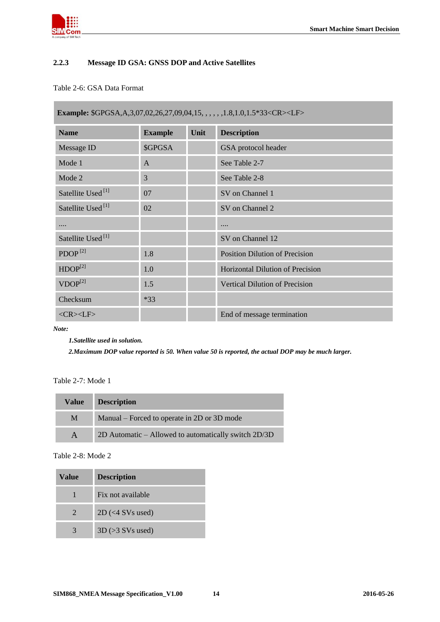

## <span id="page-13-0"></span>**2.2.3 Message ID GSA: GNSS DOP and Active Satellites**

## <span id="page-13-1"></span>Table 2-6: GSA Data Format

| Example: \$GPGSA, A, 3, 07, 02, 26, 27, 09, 04, 15, , , , , , 1.8, 1.0, 1.5*33 <cr><lf></lf></cr> |                |      |                                         |  |
|---------------------------------------------------------------------------------------------------|----------------|------|-----------------------------------------|--|
| <b>Name</b>                                                                                       | <b>Example</b> | Unit | <b>Description</b>                      |  |
| Message ID                                                                                        | \$GPGSA        |      | GSA protocol header                     |  |
| Mode 1                                                                                            | A              |      | See Table 2-7                           |  |
| Mode 2                                                                                            | 3              |      | See Table 2-8                           |  |
| Satellite Used <sup>[1]</sup>                                                                     | 07             |      | SV on Channel 1                         |  |
| Satellite Used <sup>[1]</sup>                                                                     | 02             |      | SV on Channel 2                         |  |
| .                                                                                                 |                |      |                                         |  |
| Satellite Used <sup>[1]</sup>                                                                     |                |      | SV on Channel 12                        |  |
| PDOP <sup>[2]</sup>                                                                               | 1.8            |      | <b>Position Dilution of Precision</b>   |  |
| HDOP <sup>[2]</sup>                                                                               | 1.0            |      | <b>Horizontal Dilution of Precision</b> |  |
| $VDOP^{[2]}$                                                                                      | 1.5            |      | Vertical Dilution of Precision          |  |
| Checksum                                                                                          | $*33$          |      |                                         |  |
| $<$ CR> $<$ LF>                                                                                   |                |      | End of message termination              |  |

*Note:*

*1.Satellite used in solution.*

*2.Maximum DOP value reported is 50. When value 50 is reported, the actual DOP may be much larger.*

<span id="page-13-2"></span>Table 2-7: Mode 1

| <b>Value</b> | <b>Description</b>                                   |
|--------------|------------------------------------------------------|
| M            | Manual – Forced to operate in 2D or 3D mode          |
|              | 2D Automatic – Allowed to automatically switch 2D/3D |

<span id="page-13-3"></span>Table 2-8: Mode 2

| Value | <b>Description</b>                      |
|-------|-----------------------------------------|
|       | Fix not available                       |
|       | $2D \left( \langle 4 \rangle$ SVs used) |
|       | $3D \left( > 3$ SVs used)               |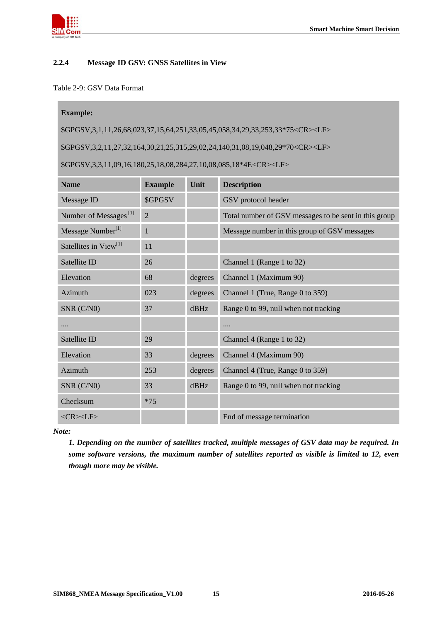

#### <span id="page-14-0"></span>**2.2.4 Message ID GSV: GNSS Satellites in View**

#### <span id="page-14-1"></span>Table 2-9: GSV Data Format

#### **Example:**

\$GPGSV,3,1,11,26,68,023,37,15,64,251,33,05,45,058,34,29,33,253,33\*75<CR><LF>

\$GPGSV,3,2,11,27,32,164,30,21,25,315,29,02,24,140,31,08,19,048,29\*70<CR><LF>

\$GPGSV,3,3,11,09,16,180,25,18,08,284,27,10,08,085,18\*4E<CR><LF>

| <b>Name</b>                       | <b>Example</b> | <b>Unit</b> | <b>Description</b>                                    |
|-----------------------------------|----------------|-------------|-------------------------------------------------------|
| Message ID                        | \$GPGSV        |             | GSV protocol header                                   |
| Number of Messages <sup>[1]</sup> | $\overline{2}$ |             | Total number of GSV messages to be sent in this group |
| Message Number <sup>[1]</sup>     | $\mathbf{1}$   |             | Message number in this group of GSV messages          |
| Satellites in View <sup>[1]</sup> | 11             |             |                                                       |
| Satellite ID                      | 26             |             | Channel 1 (Range 1 to 32)                             |
| Elevation                         | 68             | degrees     | Channel 1 (Maximum 90)                                |
| Azimuth                           | 023            | degrees     | Channel 1 (True, Range 0 to 359)                      |
| SNR (C/N0)                        | 37             | dBHz        | Range 0 to 99, null when not tracking                 |
| .                                 |                |             |                                                       |
| Satellite ID                      | 29             |             | Channel 4 (Range 1 to 32)                             |
| Elevation                         | 33             | degrees     | Channel 4 (Maximum 90)                                |
| Azimuth                           | 253            | degrees     | Channel 4 (True, Range 0 to 359)                      |
| $SNR$ ( $C/N0$ )                  | 33             | $d$ BHz     | Range 0 to 99, null when not tracking                 |
| Checksum                          | $*75$          |             |                                                       |
| $<$ CR> $<$ LF>                   |                |             | End of message termination                            |

*Note:*

*1. Depending on the number of satellites tracked, multiple messages of GSV data may be required. In some software versions, the maximum number of satellites reported as visible is limited to 12, even though more may be visible.*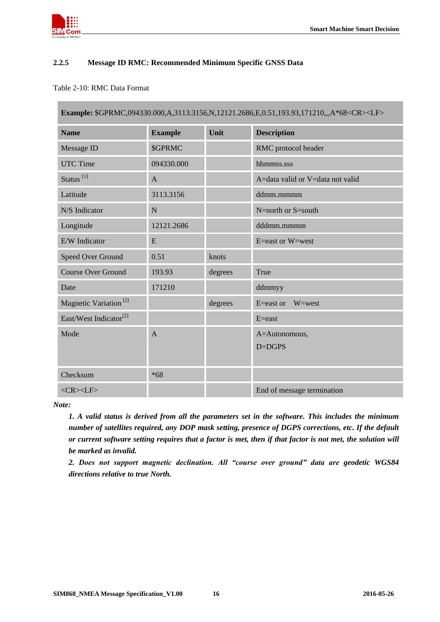

## <span id="page-15-0"></span>**2.2.5 Message ID RMC: Recommended Minimum Specific GNSS Data**

#### <span id="page-15-1"></span>Table 2-10: RMC Data Format

| Example: \$GPRMC,094330.000,A,3113.3156,N,12121.2686,E,0.51,193.93,171210,,,A*68 <cr><lf></lf></cr> |                |         |                                  |  |
|-----------------------------------------------------------------------------------------------------|----------------|---------|----------------------------------|--|
| <b>Name</b>                                                                                         | <b>Example</b> | Unit    | <b>Description</b>               |  |
| Message ID                                                                                          | <b>\$GPRMC</b> |         | RMC protocol header              |  |
| <b>UTC Time</b>                                                                                     | 094330.000     |         | hhmmss.sss                       |  |
| Status <sup>[1]</sup>                                                                               | A              |         | A=data valid or V=data not valid |  |
| Latitude                                                                                            | 3113.3156      |         | ddmm.mmmm                        |  |
| N/S Indicator                                                                                       | $\mathbf N$    |         | N=north or S=south               |  |
| Longitude                                                                                           | 12121.2686     |         | dddmm.mmmm                       |  |
| E/W Indicator                                                                                       | E              |         | E=east or W=west                 |  |
| Speed Over Ground                                                                                   | 0.51           | knots   |                                  |  |
| <b>Course Over Ground</b>                                                                           | 193.93         | degrees | True                             |  |
| Date                                                                                                | 171210         |         | ddmmyy                           |  |
| Magnetic Variation <sup>[2]</sup>                                                                   |                | degrees | W=west<br>$E = east$ or          |  |
| East/West Indicator <sup>[2]</sup>                                                                  |                |         | $E = east$                       |  |
| Mode                                                                                                | $\mathbf{A}$   |         | A=Autonomous,<br>D=DGPS          |  |
| Checksum                                                                                            | $*68$          |         |                                  |  |
| $<$ CR> $<$ LF>                                                                                     |                |         | End of message termination       |  |

*Note:*

*1. A valid status is derived from all the parameters set in the software. This includes the minimum number of satellites required, any DOP mask setting, presence of DGPS corrections, etc. If the default or current software setting requires that a factor is met, then if that factor is not met, the solution will be marked as invalid.*

*2. Does not support magnetic declination. All "course over ground" data are geodetic WGS84 directions relative to true North.*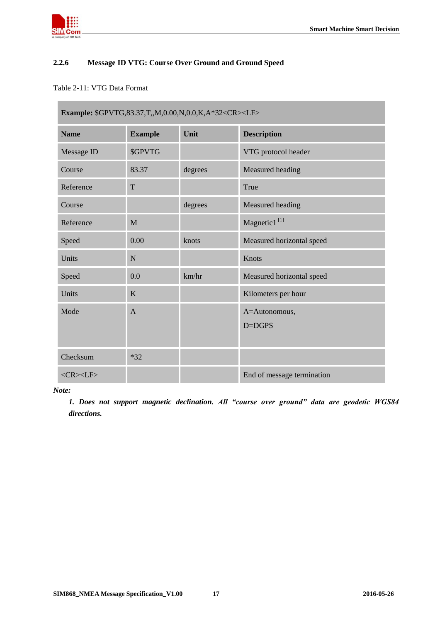

п

## <span id="page-16-0"></span>**2.2.6 Message ID VTG: Course Over Ground and Ground Speed**

## <span id="page-16-1"></span>Table 2-11: VTG Data Format

| Example: \$GPVTG,83.37,T,,M,0.00,N,0.0,K,A*32 <cr><lf></lf></cr> |                |         |                             |  |
|------------------------------------------------------------------|----------------|---------|-----------------------------|--|
| <b>Name</b>                                                      | <b>Example</b> | Unit    | <b>Description</b>          |  |
| Message ID                                                       | <b>\$GPVTG</b> |         | VTG protocol header         |  |
| Course                                                           | 83.37          | degrees | Measured heading            |  |
| Reference                                                        | T              |         | True                        |  |
| Course                                                           |                | degrees | Measured heading            |  |
| Reference                                                        | M              |         | Magnetic1 <sup>[1]</sup>    |  |
| Speed                                                            | 0.00           | knots   | Measured horizontal speed   |  |
| Units                                                            | N              |         | Knots                       |  |
| Speed                                                            | 0.0            | km/hr   | Measured horizontal speed   |  |
| Units                                                            | K              |         | Kilometers per hour         |  |
| Mode                                                             | $\mathsf{A}$   |         | A=Autonomous,<br>$D = DGPS$ |  |
| Checksum                                                         | $*32$          |         |                             |  |
| $<$ CR> $<$ LF>                                                  |                |         | End of message termination  |  |

#### *Note:*

*1. Does not support magnetic declination. All "course over ground" data are geodetic WGS84 directions.*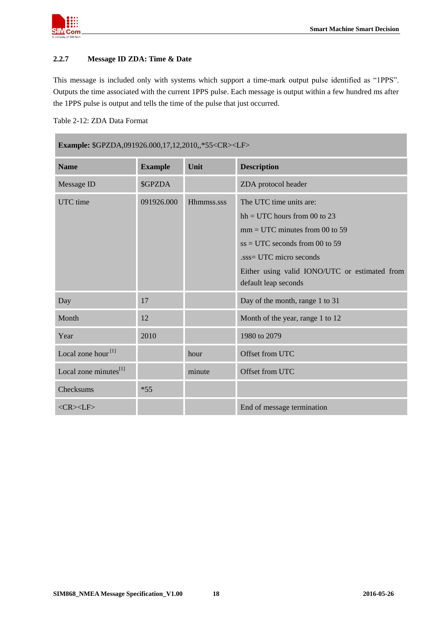

п

#### <span id="page-17-0"></span>**2.2.7 Message ID ZDA: Time & Date**

This message is included only with systems which support a time-mark output pulse identified as "1PPS". Outputs the time associated with the current 1PPS pulse. Each message is output within a few hundred ms after the 1PPS pulse is output and tells the time of the pulse that just occurred.

<span id="page-17-1"></span>Table 2-12: ZDA Data Format

| <b>Example: \$GPZDA,091926.000,17,12,2010,,*55<cr><lf></lf></cr></b> |                |            |                                                                                                                                                                                                                                      |  |
|----------------------------------------------------------------------|----------------|------------|--------------------------------------------------------------------------------------------------------------------------------------------------------------------------------------------------------------------------------------|--|
| <b>Name</b>                                                          | <b>Example</b> | Unit       | <b>Description</b>                                                                                                                                                                                                                   |  |
| Message ID                                                           | <b>\$GPZDA</b> |            | ZDA protocol header                                                                                                                                                                                                                  |  |
| UTC time                                                             | 091926.000     | Hhmmss.sss | The UTC time units are:<br>$hh = UTC$ hours from 00 to 23<br>$mm = UTC$ minutes from 00 to 59<br>$ss = UTC$ seconds from 00 to 59<br>sss= UTC micro seconds<br>Either using valid IONO/UTC or estimated from<br>default leap seconds |  |
| Day                                                                  | 17             |            | Day of the month, range 1 to 31                                                                                                                                                                                                      |  |
| Month                                                                | 12             |            | Month of the year, range 1 to 12                                                                                                                                                                                                     |  |
| Year                                                                 | 2010           |            | 1980 to 2079                                                                                                                                                                                                                         |  |
| Local zone hour <sup>[1]</sup>                                       |                | hour       | Offset from UTC                                                                                                                                                                                                                      |  |
| Local zone minutes <sup>[1]</sup>                                    |                | minute     | Offset from UTC                                                                                                                                                                                                                      |  |
| Checksums                                                            | $*55$          |            |                                                                                                                                                                                                                                      |  |
| $<$ CR> $<$ LF>                                                      |                |            | End of message termination                                                                                                                                                                                                           |  |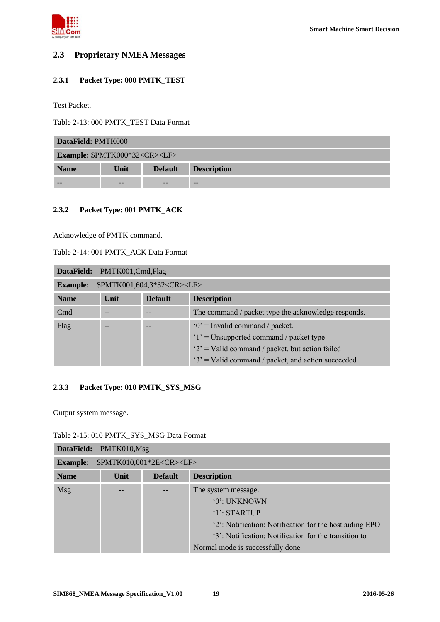

## <span id="page-18-0"></span>**2.3 Proprietary NMEA Messages**

## <span id="page-18-1"></span>**2.3.1 Packet Type: 000 PMTK\_TEST**

Test Packet.

<span id="page-18-4"></span>Table 2-13: 000 PMTK\_TEST Data Format

| DataField: PMTK000                             |      |                |                    |  |  |
|------------------------------------------------|------|----------------|--------------------|--|--|
| <b>Example: \$PMTK000*32<cr><lf></lf></cr></b> |      |                |                    |  |  |
| <b>Name</b>                                    | Unit | <b>Default</b> | <b>Description</b> |  |  |
|                                                |      |                | --                 |  |  |

#### <span id="page-18-2"></span>**2.3.2 Packet Type: 001 PMTK\_ACK**

Acknowledge of PMTK command.

<span id="page-18-5"></span>

|--|

|                                                           | DataField: PMTK001,Cmd,Flag |                |                                                     |  |  |
|-----------------------------------------------------------|-----------------------------|----------------|-----------------------------------------------------|--|--|
| \$PMTK001,604,3*32 <cr><lf><br/><b>Example:</b></lf></cr> |                             |                |                                                     |  |  |
| <b>Name</b>                                               | Unit                        | <b>Default</b> | <b>Description</b>                                  |  |  |
| C <sub>md</sub>                                           |                             |                | The command / packet type the acknowledge responds. |  |  |
| Flag                                                      |                             |                | $0'$ = Invalid command / packet.                    |  |  |
|                                                           |                             |                | $'1'$ = Unsupported command / packet type           |  |  |
|                                                           |                             |                | $2'$ = Valid command / packet, but action failed    |  |  |
|                                                           |                             |                | $3'$ = Valid command / packet, and action succeeded |  |  |

#### <span id="page-18-3"></span>**2.3.3 Packet Type: 010 PMTK\_SYS\_MSG**

Output system message.

<span id="page-18-6"></span>

| Table 2-15: 010 PMTK SYS MSG Data Format |  |
|------------------------------------------|--|
|------------------------------------------|--|

| DataField:      | PMTK010,Msg |                                     |                                                         |  |  |  |
|-----------------|-------------|-------------------------------------|---------------------------------------------------------|--|--|--|
| <b>Example:</b> |             | \$PMTK010,001*2E <cr><lf></lf></cr> |                                                         |  |  |  |
| <b>Name</b>     | Unit        | <b>Default</b>                      | <b>Description</b>                                      |  |  |  |
| <b>Msg</b>      |             |                                     | The system message.                                     |  |  |  |
|                 |             |                                     | '0': UNKNOWN                                            |  |  |  |
|                 |             |                                     | $'1'$ : STARTUP                                         |  |  |  |
|                 |             |                                     | '2': Notification: Notification for the host aiding EPO |  |  |  |
|                 |             |                                     | '3': Notification: Notification for the transition to   |  |  |  |
|                 |             |                                     | Normal mode is successfully done                        |  |  |  |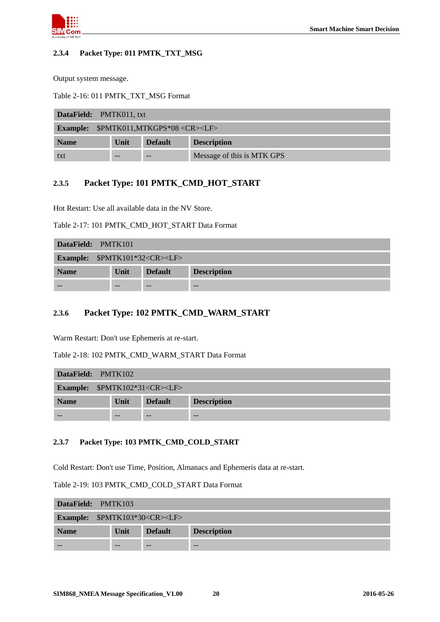

#### <span id="page-19-0"></span>**2.3.4 Packet Type: 011 PMTK\_TXT\_MSG**

Output system message.

<span id="page-19-4"></span>Table 2-16: 011 PMTK\_TXT\_MSG Format

| <b>DataField:</b> PMTK011, txt |                                                        |                |                            |  |  |  |
|--------------------------------|--------------------------------------------------------|----------------|----------------------------|--|--|--|
|                                | <b>Example:</b> \$PMTK011,MTKGPS*08 <cr><lf></lf></cr> |                |                            |  |  |  |
| <b>Name</b>                    | Unit                                                   | <b>Default</b> | <b>Description</b>         |  |  |  |
| txt                            |                                                        |                | Message of this is MTK GPS |  |  |  |

## <span id="page-19-1"></span>**2.3.5 Packet Type: 101 PMTK\_CMD\_HOT\_START**

Hot Restart: Use all available data in the NV Store.

<span id="page-19-5"></span>Table 2-17: 101 PMTK\_CMD\_HOT\_START Data Format

| DataField: PMTK101                              |       |                |                    |  |  |  |
|-------------------------------------------------|-------|----------------|--------------------|--|--|--|
| <b>Example:</b> \$PMTK101*32 <cr><lf></lf></cr> |       |                |                    |  |  |  |
| <b>Name</b>                                     | Unit  | <b>Default</b> | <b>Description</b> |  |  |  |
|                                                 | $- -$ | $- -$          | $- -$              |  |  |  |

## <span id="page-19-2"></span>**2.3.6 Packet Type: 102 PMTK\_CMD\_WARM\_START**

Warm Restart: Don't use Ephemeris at re-start.

<span id="page-19-6"></span>Table 2-18: 102 PMTK\_CMD\_WARM\_START Data Format

| DataField: PMTK102                      |       |                |                    |  |  |
|-----------------------------------------|-------|----------------|--------------------|--|--|
| <b>Example:</b> $$PMTK102*31 < CR > LF$ |       |                |                    |  |  |
| <b>Name</b>                             | Unit  | <b>Default</b> | <b>Description</b> |  |  |
|                                         | $- -$ | $- -$          | $- -$              |  |  |

#### <span id="page-19-3"></span>**2.3.7 Packet Type: 103 PMTK\_CMD\_COLD\_START**

Cold Restart: Don't use Time, Position, Almanacs and Ephemeris data at re-start.

<span id="page-19-7"></span>Table 2-19: 103 PMTK\_CMD\_COLD\_START Data Format

| DataField: PMTK103 |                                                 |                |                    |  |  |  |
|--------------------|-------------------------------------------------|----------------|--------------------|--|--|--|
|                    | <b>Example:</b> \$PMTK103*30 <cr><lf></lf></cr> |                |                    |  |  |  |
| <b>Name</b>        | Unit                                            | <b>Default</b> | <b>Description</b> |  |  |  |
|                    |                                                 |                | $- -$              |  |  |  |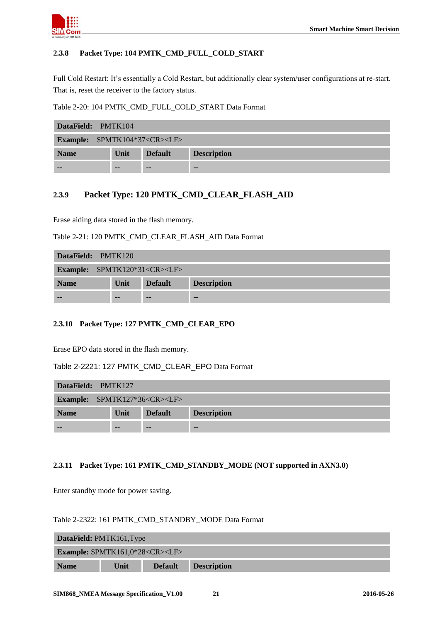

## <span id="page-20-0"></span>**2.3.8 Packet Type: 104 PMTK\_CMD\_FULL\_COLD\_START**

Full Cold Restart: It's essentially a Cold Restart, but additionally clear system/user configurations at re-start. That is, reset the receiver to the factory status.

<span id="page-20-4"></span>Table 2-20: 104 PMTK\_CMD\_FULL\_COLD\_START Data Format

| DataField: PMTK104                       |      |                |                    |  |  |  |
|------------------------------------------|------|----------------|--------------------|--|--|--|
| Example: \$PMTK104*37 <cr><lf></lf></cr> |      |                |                    |  |  |  |
| <b>Name</b>                              | Unit | <b>Default</b> | <b>Description</b> |  |  |  |
|                                          |      |                | $- -$              |  |  |  |

## <span id="page-20-1"></span>**2.3.9 Packet Type: 120 PMTK\_CMD\_CLEAR\_FLASH\_AID**

Erase aiding data stored in the flash memory.

|  |  |  |  |  |  |  | Table 2-21: 120 PMTK CMD CLEAR FLASH AID Data Format |
|--|--|--|--|--|--|--|------------------------------------------------------|
|--|--|--|--|--|--|--|------------------------------------------------------|

| DataField: PMTK120                      |       |                |                    |  |  |
|-----------------------------------------|-------|----------------|--------------------|--|--|
| <b>Example:</b> $$PMTK120*31 < CR > LF$ |       |                |                    |  |  |
| <b>Name</b>                             | Unit  | <b>Default</b> | <b>Description</b> |  |  |
|                                         | $- -$ | $- -$          | $- -$              |  |  |

## <span id="page-20-2"></span>**2.3.10 Packet Type: 127 PMTK\_CMD\_CLEAR\_EPO**

Erase EPO data stored in the flash memory.

<span id="page-20-5"></span>Table 2-2221: 127 PMTK\_CMD\_CLEAR\_EPO Data Format

| DataField: PMTK127                              |      |                |                    |
|-------------------------------------------------|------|----------------|--------------------|
| <b>Example:</b> \$PMTK127*36 <cr><lf></lf></cr> |      |                |                    |
| <b>Name</b>                                     | Unit | <b>Default</b> | <b>Description</b> |
|                                                 |      | --             | $- -$              |

#### <span id="page-20-3"></span>**2.3.11 Packet Type: 161 PMTK\_CMD\_STANDBY\_MODE (NOT supported in AXN3.0)**

Enter standby mode for power saving.

#### <span id="page-20-6"></span>Table 2-2322: 161 PMTK\_CMD\_STANDBY\_MODE Data Format

|                                            | <b>DataField: PMTK161, Type</b> |                |                    |  |  |  |
|--------------------------------------------|---------------------------------|----------------|--------------------|--|--|--|
| <b>Example:</b> $$PMTK161,0*28 < CR>< LF>$ |                                 |                |                    |  |  |  |
| <b>Name</b>                                | Unit                            | <b>Default</b> | <b>Description</b> |  |  |  |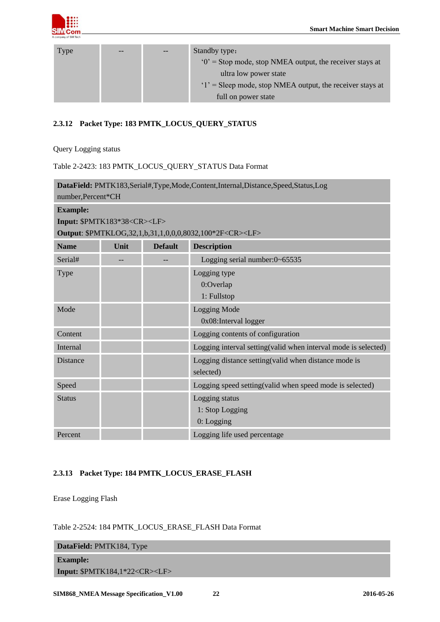

| <b>Type</b> | $- -$ | Standby type:                                              |
|-------------|-------|------------------------------------------------------------|
|             |       | $0'$ = Stop mode, stop NMEA output, the receiver stays at  |
|             |       | ultra low power state                                      |
|             |       | $1'$ = Sleep mode, stop NMEA output, the receiver stays at |
|             |       | full on power state                                        |

## <span id="page-21-0"></span>**2.3.12 Packet Type: 183 PMTK\_LOCUS\_QUERY\_STATUS**

Query Logging status

<span id="page-21-2"></span>Table 2-2423: 183 PMTK\_LOCUS\_QUERY\_STATUS Data Format

| DataField: PMTK183,Serial#,Type,Mode,Content,Internal,Distance,Speed,Status,Log |      |                |                                                                    |  |
|---------------------------------------------------------------------------------|------|----------------|--------------------------------------------------------------------|--|
| number, Percent*CH                                                              |      |                |                                                                    |  |
| <b>Example:</b>                                                                 |      |                |                                                                    |  |
| Input: \$PMTK183*38 <cr><lf></lf></cr>                                          |      |                |                                                                    |  |
|                                                                                 |      |                | Output: \$PMTKLOG,32,1,b,31,1,0,0,0,8032,100*2F <cr><lf></lf></cr> |  |
| <b>Name</b>                                                                     | Unit | <b>Default</b> | <b>Description</b>                                                 |  |
| Serial#                                                                         |      |                | Logging serial number:0~65535                                      |  |
| Type                                                                            |      |                | Logging type                                                       |  |
|                                                                                 |      |                | 0:Overlap                                                          |  |
|                                                                                 |      |                | 1: Fullstop                                                        |  |
| Mode                                                                            |      |                | <b>Logging Mode</b>                                                |  |
|                                                                                 |      |                | 0x08: Interval logger                                              |  |
| Content                                                                         |      |                | Logging contents of configuration                                  |  |
| Internal                                                                        |      |                | Logging interval setting(valid when interval mode is selected)     |  |
| <b>Distance</b>                                                                 |      |                | Logging distance setting(valid when distance mode is               |  |
|                                                                                 |      |                | selected)                                                          |  |
| Speed                                                                           |      |                | Logging speed setting(valid when speed mode is selected)           |  |
| <b>Status</b>                                                                   |      |                | Logging status                                                     |  |
|                                                                                 |      |                | 1: Stop Logging                                                    |  |
|                                                                                 |      |                | $0:$ Logging                                                       |  |
| Percent                                                                         |      |                | Logging life used percentage                                       |  |

## <span id="page-21-1"></span>**2.3.13 Packet Type: 184 PMTK\_LOCUS\_ERASE\_FLASH**

Erase Logging Flash

#### <span id="page-21-3"></span>Table 2-2524: 184 PMTK\_LOCUS\_ERASE\_FLASH Data Format

| DataField: PMTK184, Type     |
|------------------------------|
| <b>Example:</b>              |
| Input: $$PMTK184,1*22 < CR>$ |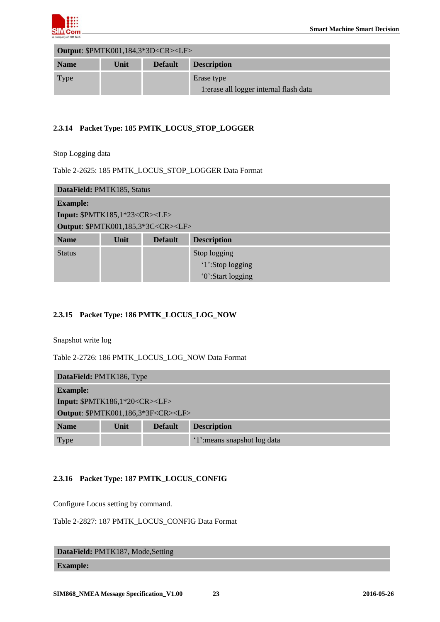

| <b>Output: \$PMTK001,184,3*3D<cr><lf></lf></cr></b> |      |                |                                                       |  |
|-----------------------------------------------------|------|----------------|-------------------------------------------------------|--|
| <b>Name</b>                                         | Unit | <b>Default</b> | <b>Description</b>                                    |  |
| <b>Type</b>                                         |      |                | Erase type<br>1: erase all logger internal flash data |  |

## <span id="page-22-0"></span>**2.3.14 Packet Type: 185 PMTK\_LOCUS\_STOP\_LOGGER**

Stop Logging data

#### <span id="page-22-3"></span>Table 2-2625: 185 PMTK\_LOCUS\_STOP\_LOGGER Data Format

| DataField: PMTK185, Status                          |                                              |  |                   |  |  |
|-----------------------------------------------------|----------------------------------------------|--|-------------------|--|--|
| <b>Example:</b>                                     |                                              |  |                   |  |  |
| <b>Input: \$PMTK185,1*23<cr><lf></lf></cr></b>      |                                              |  |                   |  |  |
| <b>Output: \$PMTK001,185,3*3C<cr><lf></lf></cr></b> |                                              |  |                   |  |  |
| <b>Name</b>                                         | Unit<br><b>Default</b><br><b>Description</b> |  |                   |  |  |
| <b>Status</b>                                       |                                              |  | Stop logging      |  |  |
|                                                     |                                              |  | '1':Stop logging  |  |  |
|                                                     |                                              |  | '0':Start logging |  |  |

## <span id="page-22-1"></span>**2.3.15 Packet Type: 186 PMTK\_LOCUS\_LOG\_NOW**

Snapshot write log

<span id="page-22-4"></span>Table 2-2726: 186 PMTK\_LOCUS\_LOG\_NOW Data Format

| DataField: PMTK186, Type                                    |  |  |                              |  |  |
|-------------------------------------------------------------|--|--|------------------------------|--|--|
| <b>Example:</b>                                             |  |  |                              |  |  |
| Input: $\text{SPMTK186,1*20}\leq$ CR> <lf></lf>             |  |  |                              |  |  |
| <b>Output: \$PMTK001,186,3*3F<cr><lf></lf></cr></b>         |  |  |                              |  |  |
| <b>Description</b><br><b>Name</b><br>Unit<br><b>Default</b> |  |  |                              |  |  |
| Type                                                        |  |  | '1': means snapshot log data |  |  |

## <span id="page-22-2"></span>**2.3.16 Packet Type: 187 PMTK\_LOCUS\_CONFIG**

Configure Locus setting by command.

<span id="page-22-5"></span>

| Table 2-2827: 187 PMTK LOCUS CONFIG Data Format |  |
|-------------------------------------------------|--|
|-------------------------------------------------|--|

**DataField:** PMTK187, Mode,Setting

**Example:**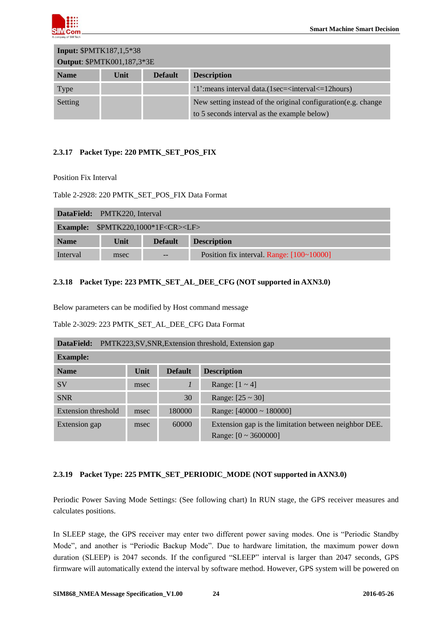

| <b>Input: \$PMTK187,1,5*38</b>    |      |                |                                                                                                               |  |
|-----------------------------------|------|----------------|---------------------------------------------------------------------------------------------------------------|--|
| <b>Output: \$PMTK001,187,3*3E</b> |      |                |                                                                                                               |  |
| <b>Name</b>                       | Unit | <b>Default</b> | <b>Description</b>                                                                                            |  |
| <b>Type</b>                       |      |                | '1': means interval data. (1sec= <interval <="12" hours)<="" td=""></interval>                                |  |
| Setting                           |      |                | New setting instead of the original configuration (e.g. change<br>to 5 seconds interval as the example below) |  |

## <span id="page-23-0"></span>**2.3.17 Packet Type: 220 PMTK\_SET\_POS\_FIX**

Position Fix Interval

<span id="page-23-3"></span>Table 2-2928: 220 PMTK\_SET\_POS\_FIX Data Format

|             | <b>DataField:</b> PMTK220, Interval           |  |                                           |  |
|-------------|-----------------------------------------------|--|-------------------------------------------|--|
|             | <b>Example:</b> $$PMTK220,1000*1F < CR>< LF>$ |  |                                           |  |
| <b>Name</b> | <b>Default</b><br><b>Description</b><br>Unit  |  |                                           |  |
| Interval    | msec                                          |  | Position fix interval. Range: [100~10000] |  |

## <span id="page-23-1"></span>**2.3.18 Packet Type: 223 PMTK\_SET\_AL\_DEE\_CFG (NOT supported in AXN3.0)**

Below parameters can be modified by Host command message

<span id="page-23-4"></span>

| Table 2-3029: 223 PMTK SET AL DEE CFG Data Format |
|---------------------------------------------------|
|---------------------------------------------------|

| PMTK223, SV, SNR, Extension threshold, Extension gap<br>DataField: |      |                |                                                       |  |  |
|--------------------------------------------------------------------|------|----------------|-------------------------------------------------------|--|--|
| <b>Example:</b>                                                    |      |                |                                                       |  |  |
| <b>Name</b>                                                        | Unit | <b>Default</b> | <b>Description</b>                                    |  |  |
| <b>SV</b>                                                          | msec | $\mathcal{I}$  | Range: $[1 - 4]$                                      |  |  |
| <b>SNR</b>                                                         |      | 30             | Range: $[25 \sim 30]$                                 |  |  |
| Extension threshold                                                | msec | 180000         | Range: $[40000 \sim 180000]$                          |  |  |
| <b>Extension</b> gap                                               | msec | 60000          | Extension gap is the limitation between neighbor DEE. |  |  |
|                                                                    |      |                | Range: $[0 \sim 3600000]$                             |  |  |

## <span id="page-23-2"></span>**2.3.19 Packet Type: 225 PMTK\_SET\_PERIODIC\_MODE (NOT supported in AXN3.0)**

Periodic Power Saving Mode Settings: (See following chart) In RUN stage, the GPS receiver measures and calculates positions.

In SLEEP stage, the GPS receiver may enter two different power saving modes. One is "Periodic Standby" Mode", and another is "Periodic Backup Mode". Due to hardware limitation, the maximum power down duration (SLEEP) is 2047 seconds. If the configured "SLEEP" interval is larger than 2047 seconds, GPS firmware will automatically extend the interval by software method. However, GPS system will be powered on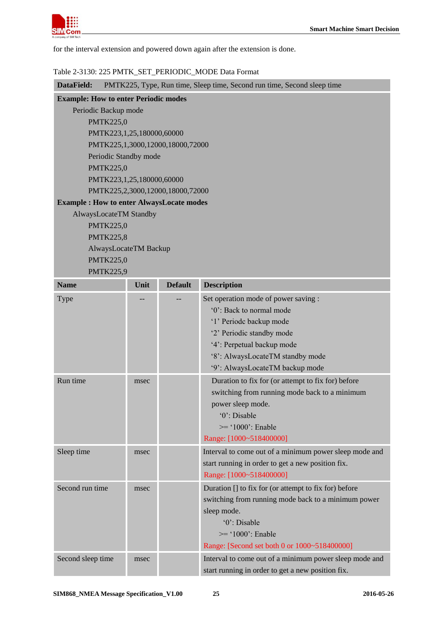

for the interval extension and powered down again after the extension is done.

#### <span id="page-24-0"></span>Table 2-3130: 225 PMTK\_SET\_PERIODIC\_MODE Data Format

| DataField:                                      | PMTK225, Type, Run time, Sleep time, Second run time, Second sleep time |                                  |                                                        |  |  |
|-------------------------------------------------|-------------------------------------------------------------------------|----------------------------------|--------------------------------------------------------|--|--|
| <b>Example: How to enter Periodic modes</b>     |                                                                         |                                  |                                                        |  |  |
| Periodic Backup mode                            |                                                                         |                                  |                                                        |  |  |
| <b>PMTK225,0</b>                                |                                                                         |                                  |                                                        |  |  |
| PMTK223,1,25,180000,60000                       |                                                                         |                                  |                                                        |  |  |
|                                                 |                                                                         | PMTK225,1,3000,12000,18000,72000 |                                                        |  |  |
| Periodic Standby mode                           |                                                                         |                                  |                                                        |  |  |
| <b>PMTK225,0</b>                                |                                                                         |                                  |                                                        |  |  |
| PMTK223,1,25,180000,60000                       |                                                                         |                                  |                                                        |  |  |
|                                                 |                                                                         | PMTK225,2,3000,12000,18000,72000 |                                                        |  |  |
| <b>Example: How to enter AlwaysLocate modes</b> |                                                                         |                                  |                                                        |  |  |
| AlwaysLocateTM Standby                          |                                                                         |                                  |                                                        |  |  |
| <b>PMTK225,0</b>                                |                                                                         |                                  |                                                        |  |  |
| <b>PMTK225,8</b>                                |                                                                         |                                  |                                                        |  |  |
| AlwaysLocateTM Backup                           |                                                                         |                                  |                                                        |  |  |
| <b>PMTK225,0</b>                                |                                                                         |                                  |                                                        |  |  |
| <b>PMTK225,9</b>                                |                                                                         |                                  |                                                        |  |  |
| <b>Name</b>                                     | Unit                                                                    | <b>Default</b>                   | <b>Description</b>                                     |  |  |
| Type                                            |                                                                         |                                  | Set operation mode of power saving :                   |  |  |
|                                                 |                                                                         |                                  | '0': Back to normal mode                               |  |  |
|                                                 |                                                                         |                                  | '1' Periodc backup mode                                |  |  |
|                                                 |                                                                         |                                  | '2' Periodic standby mode                              |  |  |
|                                                 |                                                                         |                                  | '4': Perpetual backup mode                             |  |  |
|                                                 |                                                                         |                                  | '8': AlwaysLocateTM standby mode                       |  |  |
|                                                 |                                                                         |                                  | '9': AlwaysLocateTM backup mode                        |  |  |
| Run time                                        | msec                                                                    |                                  | Duration to fix for (or attempt to fix for) before     |  |  |
|                                                 |                                                                         |                                  | switching from running mode back to a minimum          |  |  |
|                                                 |                                                                         |                                  | power sleep mode.                                      |  |  |
|                                                 |                                                                         |                                  | '0': Disable                                           |  |  |
|                                                 |                                                                         |                                  | $\ge$ = '1000': Enable                                 |  |  |
|                                                 |                                                                         |                                  | Range: [1000~518400000]                                |  |  |
| Sleep time                                      | msec                                                                    |                                  | Interval to come out of a minimum power sleep mode and |  |  |
|                                                 |                                                                         |                                  | start running in order to get a new position fix.      |  |  |
|                                                 |                                                                         |                                  | Range: [1000~518400000]                                |  |  |
| Second run time                                 | msec                                                                    |                                  | Duration [] to fix for (or attempt to fix for) before  |  |  |
|                                                 |                                                                         |                                  | switching from running mode back to a minimum power    |  |  |
|                                                 |                                                                         |                                  | sleep mode.                                            |  |  |
|                                                 |                                                                         |                                  | '0': Disable                                           |  |  |
|                                                 |                                                                         |                                  | $\ge$ = '1000': Enable                                 |  |  |
|                                                 |                                                                         |                                  | Range: [Second set both 0 or 1000~518400000]           |  |  |
|                                                 |                                                                         |                                  |                                                        |  |  |
| Second sleep time                               | msec                                                                    |                                  | Interval to come out of a minimum power sleep mode and |  |  |
|                                                 |                                                                         |                                  | start running in order to get a new position fix.      |  |  |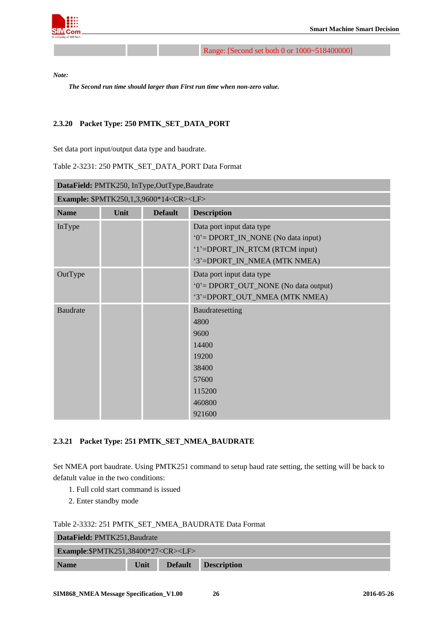

Range: [Second set both 0 or 1000~518400000]

*Note:*

*The Second run time should larger than First run time when non-zero value.*

#### <span id="page-25-0"></span>**2.3.20 Packet Type: 250 PMTK\_SET\_DATA\_PORT**

Set data port input/output data type and baudrate.

#### <span id="page-25-2"></span>Table 2-3231: 250 PMTK\_SET\_DATA\_PORT Data Format

| DataField: PMTK250, InType,OutType,Baudrate |                                                         |                |                                                                                                                                    |  |  |
|---------------------------------------------|---------------------------------------------------------|----------------|------------------------------------------------------------------------------------------------------------------------------------|--|--|
|                                             | <b>Example: \$PMTK250,1,3,9600*14<cr><lf></lf></cr></b> |                |                                                                                                                                    |  |  |
| <b>Name</b>                                 | Unit                                                    | <b>Default</b> | <b>Description</b>                                                                                                                 |  |  |
| InType                                      |                                                         |                | Data port input data type<br>'0' = DPORT_IN_NONE (No data input)<br>'1'=DPORT_IN_RTCM (RTCM input)<br>'3'=DPORT_IN_NMEA (MTK NMEA) |  |  |
| OutType                                     |                                                         |                | Data port input data type<br>'0' = DPORT_OUT_NONE (No data output)<br>'3'=DPORT_OUT_NMEA (MTK NMEA)                                |  |  |
| <b>Baudrate</b>                             |                                                         |                | Baudratesetting<br>4800<br>9600<br>14400<br>19200<br>38400<br>57600<br>115200<br>460800<br>921600                                  |  |  |

#### <span id="page-25-1"></span>**2.3.21 Packet Type: 251 PMTK\_SET\_NMEA\_BAUDRATE**

Set NMEA port baudrate. Using PMTK251 command to setup baud rate setting, the setting will be back to defatult value in the two conditions:

- 1. Full cold start command is issued
- 2. Enter standby mode

<span id="page-25-3"></span>

| Table 2-3332: 251 PMTK SET NMEA BAUDRATE Data Format |
|------------------------------------------------------|
|------------------------------------------------------|

| DataField: PMTK251, Baudrate                                |  |  |  |  |  |
|-------------------------------------------------------------|--|--|--|--|--|
| <b>Example:</b> \$PMTK251,38400*27 <cr><lf></lf></cr>       |  |  |  |  |  |
| Unit<br><b>Default</b><br><b>Description</b><br><b>Name</b> |  |  |  |  |  |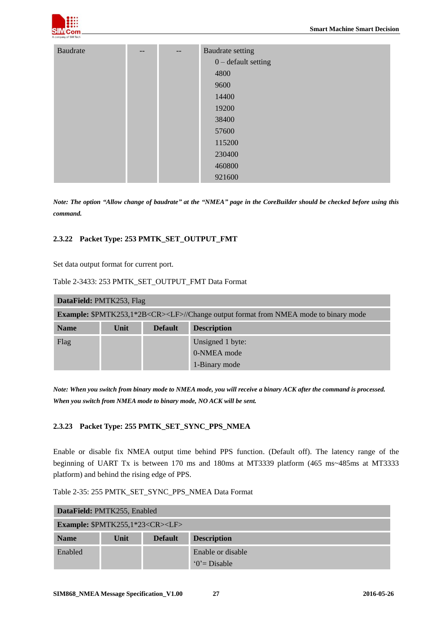

| <b>Baudrate</b> | -- | -- | Baudrate setting      |  |  |  |
|-----------------|----|----|-----------------------|--|--|--|
|                 |    |    | $0$ – default setting |  |  |  |
|                 |    |    | 4800                  |  |  |  |
|                 |    |    | 9600                  |  |  |  |
|                 |    |    | 14400                 |  |  |  |
|                 |    |    | 19200                 |  |  |  |
|                 |    |    | 38400                 |  |  |  |
|                 |    |    | 57600                 |  |  |  |
|                 |    |    | 115200                |  |  |  |
|                 |    |    | 230400                |  |  |  |
|                 |    |    | 460800                |  |  |  |
|                 |    |    | 921600                |  |  |  |

*Note: The option "Allow change of baudrate" at the "NMEA" page in the CoreBuilder should be checked before using this command.*

#### <span id="page-26-0"></span>**2.3.22 Packet Type: 253 PMTK\_SET\_OUTPUT\_FMT**

Set data output format for current port.

<span id="page-26-2"></span>Table 2-3433: 253 PMTK\_SET\_OUTPUT\_FMT Data Format

| DataField: PMTK253, Flag                                                                              |                                              |  |                  |  |  |
|-------------------------------------------------------------------------------------------------------|----------------------------------------------|--|------------------|--|--|
| <b>Example:</b> \$PMTK253,1*2B <cr><lf>//Change output format from NMEA mode to binary mode</lf></cr> |                                              |  |                  |  |  |
| <b>Name</b>                                                                                           | <b>Description</b><br>Unit<br><b>Default</b> |  |                  |  |  |
| Flag                                                                                                  |                                              |  | Unsigned 1 byte: |  |  |
|                                                                                                       |                                              |  | 0-NMEA mode      |  |  |
|                                                                                                       |                                              |  | 1-Binary mode    |  |  |

*Note: When you switch from binary mode to NMEA mode, you will receive a binary ACK after the command is processed. When you switch from NMEA mode to binary mode, NO ACK will be sent.*

#### <span id="page-26-1"></span>**2.3.23 Packet Type: 255 PMTK\_SET\_SYNC\_PPS\_NMEA**

Enable or disable fix NMEA output time behind PPS function. (Default off). The latency range of the beginning of UART Tx is between 170 ms and 180ms at MT3339 platform (465 ms~485ms at MT3333 platform) and behind the rising edge of PPS.

| Table 2-35: 255 PMTK SET SYNC PPS NMEA Data Format |  |  |  |  |
|----------------------------------------------------|--|--|--|--|
|----------------------------------------------------|--|--|--|--|

| DataField: PMTK255, Enabled           |      |                |                    |  |  |
|---------------------------------------|------|----------------|--------------------|--|--|
| <b>Example:</b> $$PMTK255,1*23 < CR>$ |      |                |                    |  |  |
| <b>Name</b>                           | Unit | <b>Default</b> | <b>Description</b> |  |  |
| Enabled                               |      |                | Enable or disable  |  |  |
|                                       |      |                | $0 = Disable$      |  |  |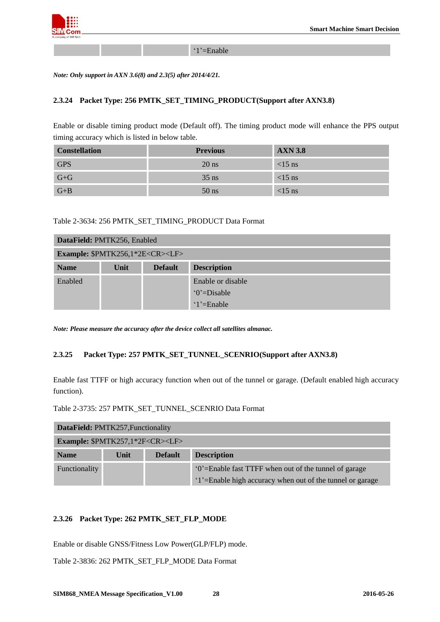

‗1'=Enable

<span id="page-27-0"></span>*Note: Only support in AXN 3.6(8) and 2.3(5) after 2014/4/21.*

#### **2.3.24 Packet Type: 256 PMTK\_SET\_TIMING\_PRODUCT(Support after AXN3.8)**

Enable or disable timing product mode (Default off). The timing product mode will enhance the PPS output timing accuracy which is listed in below table.

| <b>Constellation</b> | <b>Previous</b> | <b>AXN 3.8</b> |
|----------------------|-----------------|----------------|
| <b>GPS</b>           | $20$ ns         | $<15$ ns       |
| $G + G$              | $35$ ns         | $<15$ ns       |
| $G + B$              | $50$ ns         | $<15$ ns       |

#### <span id="page-27-3"></span>Table 2-3634: 256 PMTK\_SET\_TIMING\_PRODUCT Data Format

| DataField: PMTK256, Enabled                      |      |                |                        |  |  |
|--------------------------------------------------|------|----------------|------------------------|--|--|
| <b>Example: \$PMTK256,1*2E<cr><lf></lf></cr></b> |      |                |                        |  |  |
| <b>Name</b>                                      | Unit | <b>Default</b> | <b>Description</b>     |  |  |
| Enabled                                          |      |                | Enable or disable      |  |  |
|                                                  |      |                | $^{\circ}$ (0'=Disable |  |  |
|                                                  |      |                | $1'$ =Enable           |  |  |

<span id="page-27-1"></span>*Note: Please measure the accuracy after the device collect all satellites almanac.*

#### **2.3.25 Packet Type: 257 PMTK\_SET\_TUNNEL\_SCENRIO(Support after AXN3.8)**

Enable fast TTFF or high accuracy function when out of the tunnel or garage. (Default enabled high accuracy function).

<span id="page-27-4"></span>Table 2-3735: 257 PMTK\_SET\_TUNNEL\_SCENRIO Data Format

| DataField: PMTK257, Functionality     |                                              |  |                                                           |  |  |  |
|---------------------------------------|----------------------------------------------|--|-----------------------------------------------------------|--|--|--|
| <b>Example:</b> $$PMTK257,1*2F < CR>$ |                                              |  |                                                           |  |  |  |
| <b>Name</b>                           | <b>Description</b><br>Unit<br><b>Default</b> |  |                                                           |  |  |  |
| Functionality                         |                                              |  | '0'=Enable fast TTFF when out of the tunnel of garage     |  |  |  |
|                                       |                                              |  | '1'=Enable high accuracy when out of the tunnel or garage |  |  |  |

#### <span id="page-27-2"></span>**2.3.26 Packet Type: 262 PMTK\_SET\_FLP\_MODE**

Enable or disable GNSS/Fitness Low Power(GLP/FLP) mode.

<span id="page-27-5"></span>Table 2-3836: 262 PMTK\_SET\_FLP\_MODE Data Format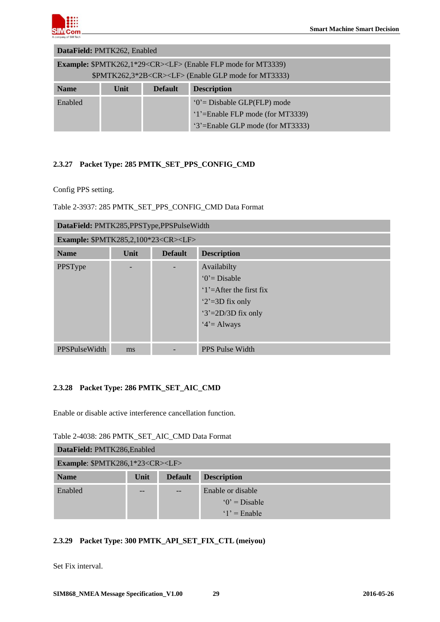

| DataField: PMTK262, Enabled      |                                                                                |  |                               |  |  |  |
|----------------------------------|--------------------------------------------------------------------------------|--|-------------------------------|--|--|--|
|                                  | <b>Example:</b> \$PMTK262,1*29 <cr><lf> (Enable FLP mode for MT3339)</lf></cr> |  |                               |  |  |  |
|                                  | \$PMTK262,3*2B <cr><lf> (Enable GLP mode for MT3333)</lf></cr>                 |  |                               |  |  |  |
| <b>Name</b>                      | <b>Description</b><br><b>Default</b><br>Unit                                   |  |                               |  |  |  |
| Enabled                          |                                                                                |  | $0'$ = Disbable GLP(FLP) mode |  |  |  |
| '1'=Enable FLP mode (for MT3339) |                                                                                |  |                               |  |  |  |
| '3'=Enable GLP mode (for MT3333) |                                                                                |  |                               |  |  |  |

## <span id="page-28-0"></span>**2.3.27 Packet Type: 285 PMTK\_SET\_PPS\_CONFIG\_CMD**

Config PPS setting.

<span id="page-28-3"></span>Table 2-3937: 285 PMTK\_SET\_PPS\_CONFIG\_CMD Data Format

|                                                             | DataField: PMTK285, PPSType, PPSPulseWidth           |  |                                 |  |  |  |
|-------------------------------------------------------------|------------------------------------------------------|--|---------------------------------|--|--|--|
|                                                             | <b>Example: \$PMTK285,2,100*23<cr><lf></lf></cr></b> |  |                                 |  |  |  |
| <b>Default</b><br><b>Description</b><br><b>Name</b><br>Unit |                                                      |  |                                 |  |  |  |
| PPSType                                                     |                                                      |  | Availabilty                     |  |  |  |
|                                                             |                                                      |  | $0 = Disable$                   |  |  |  |
|                                                             |                                                      |  | $1'=\text{After the first fix}$ |  |  |  |
|                                                             |                                                      |  | $2' = 3D$ fix only              |  |  |  |
|                                                             |                                                      |  | $3' = 2D/3D$ fix only           |  |  |  |
|                                                             |                                                      |  | $4' =$ Always                   |  |  |  |
|                                                             |                                                      |  |                                 |  |  |  |
| <b>PPSPulseWidth</b>                                        | ms                                                   |  | <b>PPS Pulse Width</b>          |  |  |  |

## <span id="page-28-1"></span>**2.3.28 Packet Type: 286 PMTK\_SET\_AIC\_CMD**

Enable or disable active interference cancellation function.

<span id="page-28-4"></span>

| Table 2-4038: 286 PMTK SET AIC CMD Data Format |  |  |  |
|------------------------------------------------|--|--|--|
|                                                |  |  |  |

| DataField: PMTK286, Enabled                |      |                |                    |  |  |
|--------------------------------------------|------|----------------|--------------------|--|--|
| Example: \$PMTK286,1*23 <cr><lf></lf></cr> |      |                |                    |  |  |
| <b>Name</b>                                | Unit | <b>Default</b> | <b>Description</b> |  |  |
| Enabled                                    |      |                | Enable or disable  |  |  |
|                                            |      |                | $0'$ = Disable     |  |  |
|                                            |      |                | $1'$ = Enable      |  |  |

## <span id="page-28-2"></span>**2.3.29 Packet Type: 300 PMTK\_API\_SET\_FIX\_CTL (meiyou)**

Set Fix interval.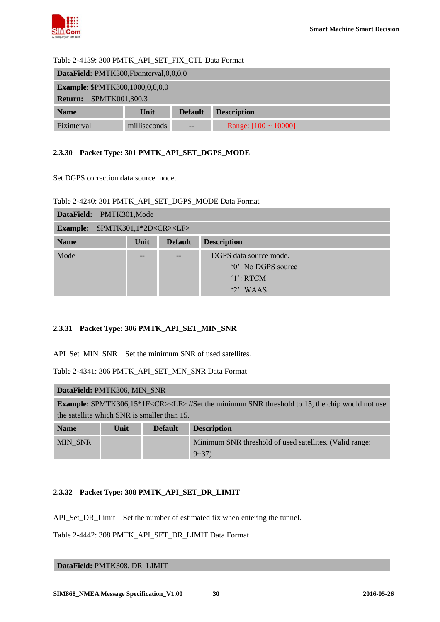

#### <span id="page-29-3"></span>Table 2-4139: 300 PMTK\_API\_SET\_FIX\_CTL Data Format

| DataField: PMTK300, Fixinterval, 0, 0, 0, 0 |              |                |                           |  |  |  |
|---------------------------------------------|--------------|----------------|---------------------------|--|--|--|
| <b>Example: \$PMTK300,1000,0,0,0,0</b>      |              |                |                           |  |  |  |
| \$PMTK001,300,3<br><b>Return:</b>           |              |                |                           |  |  |  |
| <b>Name</b>                                 | Unit         | <b>Default</b> | <b>Description</b>        |  |  |  |
| Fixinterval                                 | milliseconds | $- -$          | Range: $[100 \sim 10000]$ |  |  |  |

## <span id="page-29-0"></span>**2.3.30 Packet Type: 301 PMTK\_API\_SET\_DGPS\_MODE**

Set DGPS correction data source mode.

<span id="page-29-4"></span>

| Table 2-4240: 301 PMTK API SET DGPS MODE Data Format |  |  |  |  |  |
|------------------------------------------------------|--|--|--|--|--|
|------------------------------------------------------|--|--|--|--|--|

| DataField: PMTK301, Mode                              |      |                |                        |  |  |
|-------------------------------------------------------|------|----------------|------------------------|--|--|
| \$PMTK301,1*2D <cr><lf><br/><b>Example:</b></lf></cr> |      |                |                        |  |  |
| <b>Name</b>                                           | Unit | <b>Default</b> | <b>Description</b>     |  |  |
| Mode                                                  |      |                | DGPS data source mode. |  |  |
|                                                       |      |                | '0': No DGPS source    |  |  |
|                                                       |      |                | $'1$ : RTCM            |  |  |
|                                                       |      |                | $2$ : WAAS             |  |  |

#### <span id="page-29-1"></span>**2.3.31 Packet Type: 306 PMTK\_API\_SET\_MIN\_SNR**

API\_Set\_MIN\_SNR Set the minimum SNR of used satellites.

<span id="page-29-5"></span>Table 2-4341: 306 PMTK\_API\_SET\_MIN\_SNR Data Format

| DataField: PMTK306, MIN SNR |                                                                                                                 |                |                                                         |  |  |  |
|-----------------------------|-----------------------------------------------------------------------------------------------------------------|----------------|---------------------------------------------------------|--|--|--|
|                             | <b>Example:</b> \$PMTK306,15*1F <cr><lf>//Set the minimum SNR threshold to 15, the chip would not use</lf></cr> |                |                                                         |  |  |  |
|                             | the satellite which SNR is smaller than 15.                                                                     |                |                                                         |  |  |  |
| <b>Name</b>                 | Unit                                                                                                            | <b>Default</b> | <b>Description</b>                                      |  |  |  |
| <b>MIN SNR</b>              |                                                                                                                 |                | Minimum SNR threshold of used satellites. (Valid range: |  |  |  |
|                             |                                                                                                                 |                | $9 - 37$                                                |  |  |  |

## <span id="page-29-2"></span>**2.3.32 Packet Type: 308 PMTK\_API\_SET\_DR\_LIMIT**

API\_Set\_DR\_Limit Set the number of estimated fix when entering the tunnel.

<span id="page-29-6"></span>Table 2-4442: 308 PMTK\_API\_SET\_DR\_LIMIT Data Format

**DataField:** PMTK308, DR\_LIMIT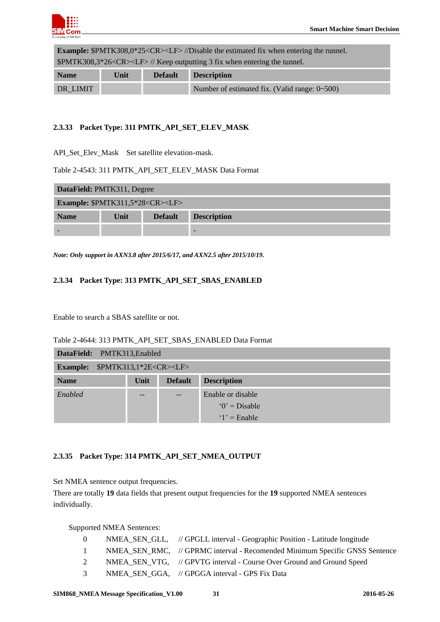

**Example:** \$PMTK308,0\*25<CR><LF> //Disable the estimated fix when entering the runnel. \$PMTK308,3\*26<CR><LF> // Keep outputting 3 fix when entering the tunnel.

| <b>Name</b> | Unit | <b>Default</b> | <b>Description</b>                            |
|-------------|------|----------------|-----------------------------------------------|
| DR LIMIT    |      |                | Number of estimated fix. (Valid range: 0~500) |

## <span id="page-30-0"></span>**2.3.33 Packet Type: 311 PMTK\_API\_SET\_ELEV\_MASK**

API\_Set\_Elev\_Mask Set satellite elevation-mask.

<span id="page-30-3"></span>Table 2-4543: 311 PMTK\_API\_SET\_ELEV\_MASK Data Format

| DataField: PMTK311, Degree |                                       |                |                    |  |  |  |
|----------------------------|---------------------------------------|----------------|--------------------|--|--|--|
|                            | <b>Example:</b> $$PMTK311,5*28 < CR>$ |                |                    |  |  |  |
| <b>Name</b>                | Unit                                  | <b>Default</b> | <b>Description</b> |  |  |  |
|                            |                                       |                |                    |  |  |  |

<span id="page-30-1"></span>*Note: Only support in AXN3.8 after 2015/6/17, and AXN2.5 after 2015/10/19.*

#### **2.3.34 Packet Type: 313 PMTK\_API\_SET\_SBAS\_ENABLED**

Enable to search a SBAS satellite or not.

<span id="page-30-4"></span>Table 2-4644: 313 PMTK\_API\_SET\_SBAS\_ENABLED Data Format

| DataField: PMTK313, Enabled        |      |                |                    |  |  |
|------------------------------------|------|----------------|--------------------|--|--|
| Example: $$PMTK313,1*2E < CR > LF$ |      |                |                    |  |  |
| <b>Name</b>                        | Unit | <b>Default</b> | <b>Description</b> |  |  |
| Enabled                            | --   | $- -$          | Enable or disable  |  |  |
|                                    |      |                | $0'$ = Disable     |  |  |
|                                    |      |                | $'1'$ = Enable     |  |  |

#### <span id="page-30-2"></span>**2.3.35 Packet Type: 314 PMTK\_API\_SET\_NMEA\_OUTPUT**

Set NMEA sentence output frequencies.

There are totally **19** data fields that present output frequencies for the **19** supported NMEA sentences individually.

Supported NMEA Sentences:

| $\theta$      | NMEA_SEN_GLL, // GPGLL interval - Geographic Position - Latitude longitude  |
|---------------|-----------------------------------------------------------------------------|
| $\sim$ 1      | NMEA SEN RMC, // GPRMC interval - Recomended Minimum Specific GNSS Sentence |
| 2             | NMEA_SEN_VTG, // GPVTG interval - Course Over Ground and Ground Speed       |
| $\mathcal{E}$ | NMEA SEN GGA, // GPGGA interval - GPS Fix Data                              |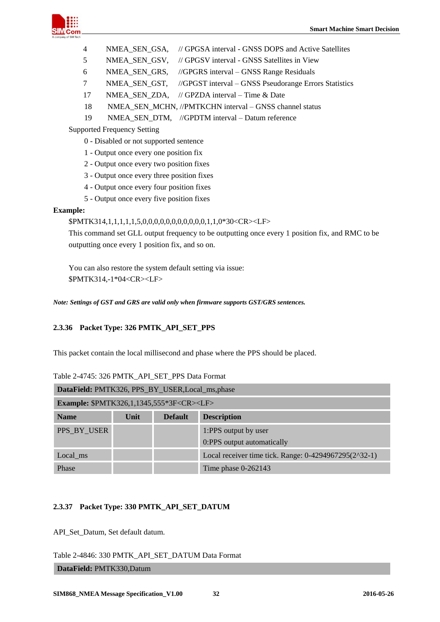

- 4 NMEA\_SEN\_GSA, // GPGSA interval GNSS DOPS and Active Satellites
- 5 NMEA\_SEN\_GSV, // GPGSV interval GNSS Satellites in View
- 6 NMEA\_SEN\_GRS, //GPGRS interval GNSS Range Residuals
- 7 NMEA\_SEN\_GST, //GPGST interval GNSS Pseudorange Errors Statistics
- 17 NMEA SEN ZDA, // GPZDA interval Time & Date
- 18 NMEA\_SEN\_MCHN, //PMTKCHN interval GNSS channel status
- 19 NMEA\_SEN\_DTM, //GPDTM interval Datum reference

Supported Frequency Setting

- 0 Disabled or not supported sentence
- 1 Output once every one position fix
- 2 Output once every two position fixes
- 3 Output once every three position fixes
- 4 Output once every four position fixes
- 5 Output once every five position fixes

#### **Example:**

\$PMTK314,1,1,1,1,1,5,0,0,0,0,0,0,0,0,0,0,0,1,1,0\*30<CR><LF>

This command set GLL output frequency to be outputting once every 1 position fix, and RMC to be outputting once every 1 position fix, and so on.

You can also restore the system default setting via issue: \$PMTK314,-1\*04<CR><LF>

<span id="page-31-0"></span>*Note: Settings of GST and GRS are valid only when firmware supports GST/GRS sentences.*

## **2.3.36 Packet Type: 326 PMTK\_API\_SET\_PPS**

This packet contain the local millisecond and phase where the PPS should be placed.

|                                                           | DataField: PMTK326, PPS_BY_USER,Local_ms,phase |                |                                                       |  |  |  |
|-----------------------------------------------------------|------------------------------------------------|----------------|-------------------------------------------------------|--|--|--|
| <b>Example: \$PMTK326,1,1345,555*3F<cr><lf></lf></cr></b> |                                                |                |                                                       |  |  |  |
| <b>Name</b>                                               | Unit                                           | <b>Default</b> | <b>Description</b>                                    |  |  |  |
| PPS BY USER                                               |                                                |                | 1:PPS output by user<br>0:PPS output automatically    |  |  |  |
| Local ms                                                  |                                                |                | Local receiver time tick. Range: 0-4294967295(2^32-1) |  |  |  |
| Phase                                                     |                                                |                | Time phase $0-262143$                                 |  |  |  |

## <span id="page-31-2"></span>Table 2-4745: 326 PMTK\_API\_SET\_PPS Data Format

#### <span id="page-31-1"></span>**2.3.37 Packet Type: 330 PMTK\_API\_SET\_DATUM**

API\_Set\_Datum, Set default datum.

<span id="page-31-3"></span>Table 2-4846: 330 PMTK\_API\_SET\_DATUM Data Format

**DataField:** PMTK330,Datum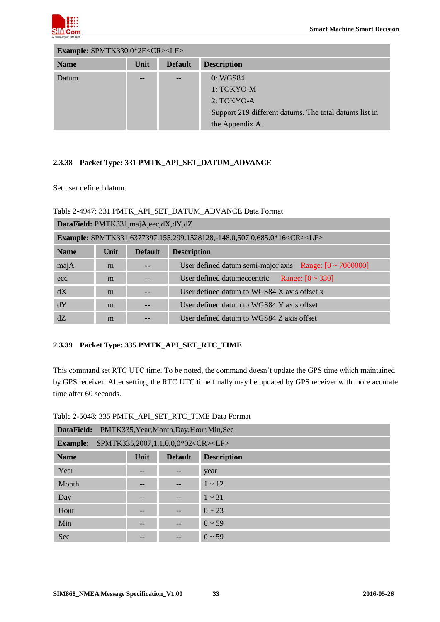

| Example: \$PMTK330,0*2E <cr><lf></lf></cr> |      |                |                                                        |  |
|--------------------------------------------|------|----------------|--------------------------------------------------------|--|
| <b>Name</b>                                | Unit | <b>Default</b> | <b>Description</b>                                     |  |
| Datum                                      |      |                | 0: WGS84                                               |  |
|                                            |      |                | 1: TOKYO-M                                             |  |
|                                            |      |                | $2: TOKYO-A$                                           |  |
|                                            |      |                | Support 219 different datums. The total datums list in |  |
|                                            |      |                | the Appendix A.                                        |  |

## <span id="page-32-0"></span>**2.3.38 Packet Type: 331 PMTK\_API\_SET\_DATUM\_ADVANCE**

Set user defined datum.

#### <span id="page-32-2"></span>Table 2-4947: 331 PMTK\_API\_SET\_DATUM\_ADVANCE Data Format

| DataField: PMTK331,majA,eec,dX,dY,dZ |                                                                                     |                |                                                              |  |  |  |
|--------------------------------------|-------------------------------------------------------------------------------------|----------------|--------------------------------------------------------------|--|--|--|
|                                      | Example: \$PMTK331,6377397.155,299.1528128,-148.0,507.0,685.0*16 <cr><lf></lf></cr> |                |                                                              |  |  |  |
| <b>Name</b>                          | Unit                                                                                | <b>Default</b> | <b>Description</b>                                           |  |  |  |
| majA                                 | m                                                                                   |                | User defined datum semi-major axis Range: $[0 \sim 7000000]$ |  |  |  |
| ecc                                  | m                                                                                   |                | User defined datumeccentric<br>Range: $[0 \sim 330]$         |  |  |  |
| dX                                   | m                                                                                   |                | User defined datum to WGS84 X axis offset x                  |  |  |  |
| dY                                   | m                                                                                   |                | User defined datum to WGS84 Y axis offset                    |  |  |  |
| dZ                                   | m                                                                                   |                | User defined datum to WGS84 Z axis offset                    |  |  |  |

## <span id="page-32-1"></span>**2.3.39 Packet Type: 335 PMTK\_API\_SET\_RTC\_TIME**

This command set RTC UTC time. To be noted, the command doesn't update the GPS time which maintained by GPS receiver. After setting, the RTC UTC time finally may be updated by GPS receiver with more accurate time after 60 seconds.

| PMTK335, Year, Month, Day, Hour, Min, Sec<br>DataField:            |       |                          |                    |  |  |  |  |
|--------------------------------------------------------------------|-------|--------------------------|--------------------|--|--|--|--|
| \$PMTK335,2007,1,1,0,0,0*02 <cr><lf><br/><b>Example:</b></lf></cr> |       |                          |                    |  |  |  |  |
| <b>Name</b>                                                        | Unit  | <b>Default</b>           | <b>Description</b> |  |  |  |  |
| Year                                                               | $- -$ | $\overline{\phantom{m}}$ | year               |  |  |  |  |
| Month                                                              | --    | $- -$                    | $1 \sim 12$        |  |  |  |  |
| Day                                                                | $- -$ | $- -$                    | $1 \sim 31$        |  |  |  |  |
| Hour                                                               | --    | $- -$                    | $0 \sim 23$        |  |  |  |  |
| Min                                                                | --    | $\qquad \qquad -$        | $0 \sim 59$        |  |  |  |  |
| Sec                                                                | --    | --                       | $0 \sim 59$        |  |  |  |  |

<span id="page-32-3"></span>Table 2-5048: 335 PMTK\_API\_SET\_RTC\_TIME Data Format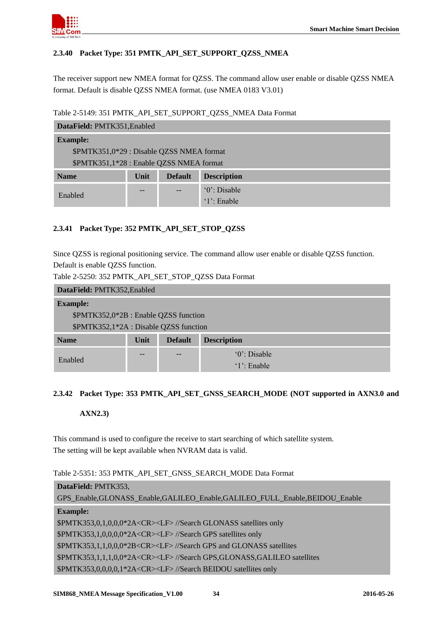

## <span id="page-33-0"></span>**2.3.40 Packet Type: 351 PMTK\_API\_SET\_SUPPORT\_QZSS\_NMEA**

The receiver support new NMEA format for QZSS. The command allow user enable or disable QZSS NMEA format. Default is disable QZSS NMEA format. (use NMEA 0183 V3.01)

#### <span id="page-33-3"></span>Table 2-5149: 351 PMTK\_API\_SET\_SUPPORT\_QZSS\_NMEA Data Format

| DataField: PMTK351, Enabled               |      |                |                    |  |
|-------------------------------------------|------|----------------|--------------------|--|
| <b>Example:</b>                           |      |                |                    |  |
| \$PMTK351,0*29 : Disable QZSS NMEA format |      |                |                    |  |
| \$PMTK351,1*28 : Enable QZSS NMEA format  |      |                |                    |  |
| <b>Name</b>                               | Unit | <b>Default</b> | <b>Description</b> |  |
|                                           |      |                | $0$ . Disable      |  |
| Enabled                                   |      | '1': Enable    |                    |  |

## <span id="page-33-1"></span>**2.3.41 Packet Type: 352 PMTK\_API\_SET\_STOP\_QZSS**

Since QZSS is regional positioning service. The command allow user enable or disable QZSS function. Default is enable QZSS function.

<span id="page-33-4"></span>Table 2-5250: 352 PMTK\_API\_SET\_STOP\_QZSS Data Format

| DataField: PMTK352, Enabled            |      |                |                    |  |  |
|----------------------------------------|------|----------------|--------------------|--|--|
| <b>Example:</b>                        |      |                |                    |  |  |
| \$PMTK352,0*2B : Enable QZSS function  |      |                |                    |  |  |
| \$PMTK352,1*2A : Disable QZSS function |      |                |                    |  |  |
| <b>Name</b>                            | Unit | <b>Default</b> | <b>Description</b> |  |  |
|                                        |      | --             | $0$ . Disable      |  |  |
| Enabled                                |      |                | $'1$ : Enable      |  |  |

## <span id="page-33-2"></span>**2.3.42 Packet Type: 353 PMTK\_API\_SET\_GNSS\_SEARCH\_MODE (NOT supported in AXN3.0 and**

**AXN2.3)**

This command is used to configure the receive to start searching of which satellite system. The setting will be kept available when NVRAM data is valid.

<span id="page-33-5"></span>Table 2-5351: 353 PMTK\_API\_SET\_GNSS\_SEARCH\_MODE Data Format

# **DataField:** PMTK353, GPS\_Enable,GLONASS\_Enable,GALILEO\_Enable,GALILEO\_FULL\_Enable,BEIDOU\_Enable **Example:**  \$PMTK353,0,1,0,0,0\*2A<CR><LF> //Search GLONASS satellites only \$PMTK353,1,0,0,0,0\*2A<CR><LF> //Search GPS satellites only \$PMTK353,1,1,0,0,0\*2B<CR><LF> //Search GPS and GLONASS satellites \$PMTK353,1,1,1,0,0\*2A<CR><LF> //Search GPS,GLONASS,GALILEO satellites \$PMTK353,0,0,0,0,1\*2A<CR><LF> //Search BEIDOU satellites only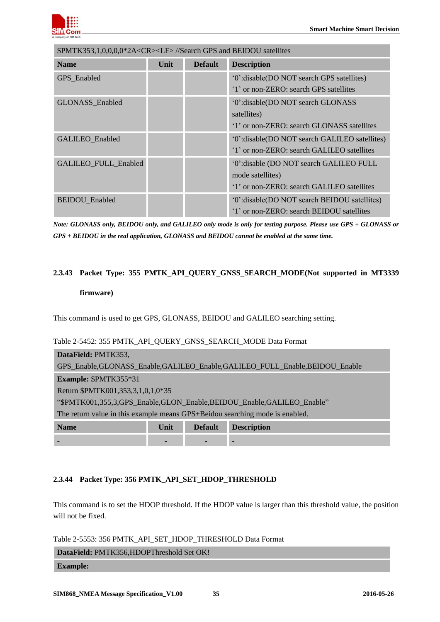

| \$PMTK353,1,0,0,0,0*2A <cr><lf>//Search GPS and BEIDOU satellites</lf></cr> |      |                |                                                                                                           |
|-----------------------------------------------------------------------------|------|----------------|-----------------------------------------------------------------------------------------------------------|
| <b>Name</b>                                                                 | Unit | <b>Default</b> | <b>Description</b>                                                                                        |
| GPS Enabled                                                                 |      |                | '0':disable(DO NOT search GPS satellites)<br>'1' or non-ZERO: search GPS satellites                       |
| <b>GLONASS</b> Enabled                                                      |      |                | '0':disable(DO NOT search GLONASS<br>satellites)<br>'1' or non-ZERO: search GLONASS satellites            |
| GALILEO_Enabled                                                             |      |                | '0':disable(DO NOT search GALILEO satellites)<br>'1' or non-ZERO: search GALILEO satellites               |
| <b>GALILEO FULL Enabled</b>                                                 |      |                | '0':disable (DO NOT search GALILEO FULL<br>mode satellites)<br>'1' or non-ZERO: search GALILEO satellites |
| <b>BEIDOU</b> Enabled                                                       |      |                | '0':disable(DO NOT search BEIDOU satellites)<br>'1' or non-ZERO: search BEIDOU satellites                 |

*Note: GLONASS only, BEIDOU only, and GALILEO only mode is only for testing purpose. Please use GPS + GLONASS or GPS + BEIDOU in the real application, GLONASS and BEIDOU cannot be enabled at the same time.*

#### <span id="page-34-0"></span>**2.3.43 Packet Type: 355 PMTK\_API\_QUERY\_GNSS\_SEARCH\_MODE(Not supported in MT3339**

#### **firmware)**

This command is used to get GPS, GLONASS, BEIDOU and GALILEO searching setting.

#### <span id="page-34-2"></span>Table 2-5452: 355 PMTK\_API\_QUERY\_GNSS\_SEARCH\_MODE Data Format

| DataField: PMTK353,                                                          |                                                                            |  |  |  |  |  |
|------------------------------------------------------------------------------|----------------------------------------------------------------------------|--|--|--|--|--|
|                                                                              | GPS_Enable,GLONASS_Enable,GALILEO_Enable,GALILEO_FULL_Enable,BEIDOU_Enable |  |  |  |  |  |
| Example: \$PMTK355*31                                                        |                                                                            |  |  |  |  |  |
| Return \$PMTK001,353,3,1,0,1,0*35                                            |                                                                            |  |  |  |  |  |
|                                                                              | "\$PMTK001,355,3,GPS Enable,GLON Enable,BEIDOU Enable,GALILEO Enable"      |  |  |  |  |  |
| The return value in this example means GPS+Beidou searching mode is enabled. |                                                                            |  |  |  |  |  |
| <b>Name</b><br>Unit<br><b>Description</b><br><b>Default</b>                  |                                                                            |  |  |  |  |  |
|                                                                              |                                                                            |  |  |  |  |  |

#### <span id="page-34-1"></span>**2.3.44 Packet Type: 356 PMTK\_API\_SET\_HDOP\_THRESHOLD**

This command is to set the HDOP threshold. If the HDOP value is larger than this threshold value, the position will not be fixed.

<span id="page-34-3"></span>Table 2-5553: 356 PMTK\_API\_SET\_HDOP\_THRESHOLD Data Format

| DataField: PMTK356, HDOPThreshold Set OK! |  |
|-------------------------------------------|--|
| <b>Example:</b>                           |  |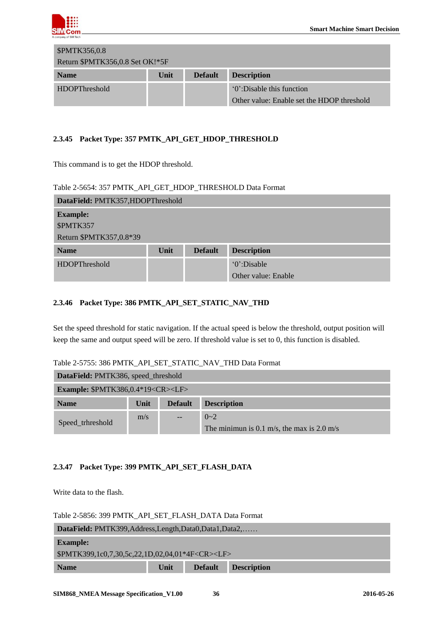

| <b>\$PMTK356,0.8</b>            |      |                |                                            |  |  |
|---------------------------------|------|----------------|--------------------------------------------|--|--|
| Return \$PMTK356,0.8 Set OK!*5F |      |                |                                            |  |  |
| <b>Name</b>                     | Unit | <b>Default</b> | <b>Description</b>                         |  |  |
| <b>HDOPThreshold</b>            |      |                | "O".Disable this function"                 |  |  |
|                                 |      |                | Other value: Enable set the HDOP threshold |  |  |

## <span id="page-35-0"></span>**2.3.45 Packet Type: 357 PMTK\_API\_GET\_HDOP\_THRESHOLD**

This command is to get the HDOP threshold.

#### <span id="page-35-3"></span>Table 2-5654: 357 PMTK\_API\_GET\_HDOP\_THRESHOLD Data Format

| DataField: PMTK357, HDOPThreshold |      |                |                     |  |  |
|-----------------------------------|------|----------------|---------------------|--|--|
| <b>Example:</b>                   |      |                |                     |  |  |
| \$PMTK357                         |      |                |                     |  |  |
| Return \$PMTK357,0.8*39           |      |                |                     |  |  |
| <b>Name</b>                       | Unit | <b>Default</b> | <b>Description</b>  |  |  |
| HDOPThreshold                     |      |                | '0':Disable         |  |  |
|                                   |      |                | Other value: Enable |  |  |

#### <span id="page-35-1"></span>**2.3.46 Packet Type: 386 PMTK\_API\_SET\_STATIC\_NAV\_THD**

Set the speed threshold for static navigation. If the actual speed is below the threshold, output position will keep the same and output speed will be zero. If threshold value is set to 0, this function is disabled.

<span id="page-35-4"></span>

| Table 2-5755: 386 PMTK API SET STATIC NAV THD Data Format |  |  |  |  |
|-----------------------------------------------------------|--|--|--|--|
|-----------------------------------------------------------|--|--|--|--|

| DataField: PMTK386, speed_threshold                |      |                                      |                                            |  |  |  |
|----------------------------------------------------|------|--------------------------------------|--------------------------------------------|--|--|--|
| <b>Example: \$PMTK386,0.4*19<cr><lf></lf></cr></b> |      |                                      |                                            |  |  |  |
| <b>Name</b>                                        | Unit | <b>Description</b><br><b>Default</b> |                                            |  |  |  |
|                                                    | m/s  | $\overline{\phantom{m}}$             | $0 - 2$                                    |  |  |  |
| Speed_trhreshold                                   |      |                                      | The minimun is 0.1 m/s, the max is 2.0 m/s |  |  |  |

#### <span id="page-35-2"></span>**2.3.47 Packet Type: 399 PMTK\_API\_SET\_FLASH\_DATA**

Write data to the flash.

<span id="page-35-5"></span>Table 2-5856: 399 PMTK\_API\_SET\_FLASH\_DATA Data Format

| DataField: PMTK399, Address, Length, Data0, Data1, Data2,  |      |                |                    |  |  |
|------------------------------------------------------------|------|----------------|--------------------|--|--|
| <b>Example:</b>                                            |      |                |                    |  |  |
| \$PMTK399,1c0,7,30,5c,22,1D,02,04,01*4F <cr><lf></lf></cr> |      |                |                    |  |  |
| <b>Name</b>                                                | Unit | <b>Default</b> | <b>Description</b> |  |  |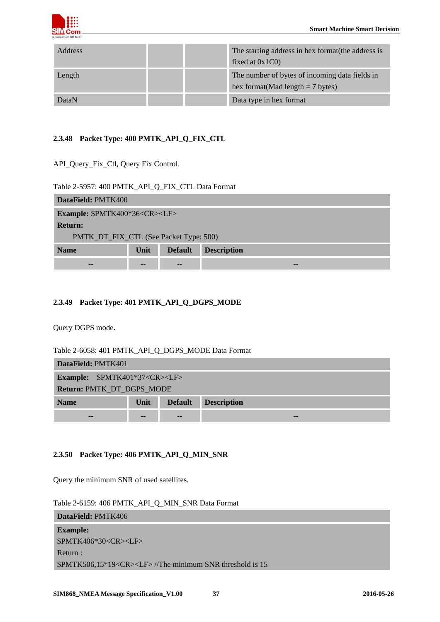

| <b>Address</b> |  | The starting address in hex format the address is<br>fixed at $0x1C0$                 |
|----------------|--|---------------------------------------------------------------------------------------|
| Length         |  | The number of bytes of incoming data fields in<br>hex format (Mad length $= 7$ bytes) |
| DataN          |  | Data type in hex format                                                               |

## <span id="page-36-0"></span>**2.3.48 Packet Type: 400 PMTK\_API\_Q\_FIX\_CTL**

API\_Query\_Fix\_Ctl, Query Fix Control.

#### <span id="page-36-3"></span>Table 2-5957: 400 PMTK\_API\_Q\_FIX\_CTL Data Format

| DataField: PMTK400                             |      |                |                    |  |  |  |
|------------------------------------------------|------|----------------|--------------------|--|--|--|
| <b>Example: \$PMTK400*36<cr><lf></lf></cr></b> |      |                |                    |  |  |  |
| <b>Return:</b>                                 |      |                |                    |  |  |  |
| PMTK_DT_FIX_CTL (See Packet Type: 500)         |      |                |                    |  |  |  |
| <b>Name</b>                                    | Unit | <b>Default</b> | <b>Description</b> |  |  |  |
| --                                             |      |                |                    |  |  |  |

## <span id="page-36-1"></span>**2.3.49 Packet Type: 401 PMTK\_API\_Q\_DGPS\_MODE**

Query DGPS mode.

<span id="page-36-4"></span>Table 2-6058: 401 PMTK\_API\_Q\_DGPS\_MODE Data Format

| DataField: PMTK401                                                 |  |  |  |  |  |  |
|--------------------------------------------------------------------|--|--|--|--|--|--|
| <b>Example:</b> \$PMTK401*37 <cr><lf></lf></cr>                    |  |  |  |  |  |  |
| Return: PMTK_DT_DGPS_MODE                                          |  |  |  |  |  |  |
| <b>Description</b><br><b>Default</b><br><b>Unit</b><br><b>Name</b> |  |  |  |  |  |  |
| --                                                                 |  |  |  |  |  |  |

## <span id="page-36-2"></span>**2.3.50 Packet Type: 406 PMTK\_API\_Q\_MIN\_SNR**

Query the minimum SNR of used satellites.

<span id="page-36-5"></span>

| Table 2-6159: 406 PMTK_API_Q_MIN_SNR Data Format |  |  |  |  |  |  |
|--------------------------------------------------|--|--|--|--|--|--|
|--------------------------------------------------|--|--|--|--|--|--|

| <b>DataField: PMTK406</b>                                     |
|---------------------------------------------------------------|
| <b>Example:</b>                                               |
| \$PMTK406*30 <cr><lf></lf></cr>                               |
| Return:                                                       |
| $SPMTK506,15*19 < CR > LFS$ //The minimum SNR threshold is 15 |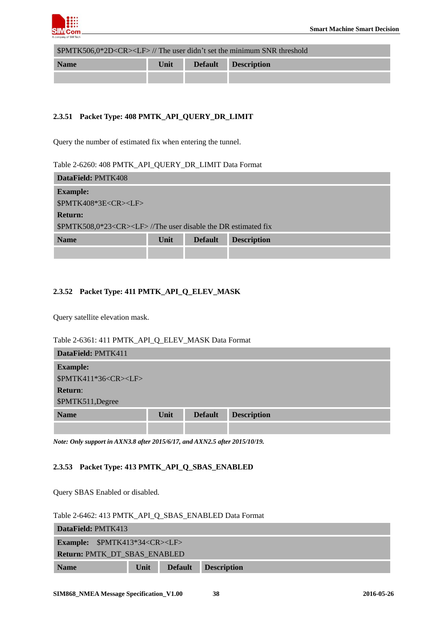

\$PMTK506,0\*2D<CR><LF> // The user didn't set the minimum SNR threshold

| <b>Name</b> | Unit | <b>Default</b> | <b>Description</b> |
|-------------|------|----------------|--------------------|
|             |      |                |                    |

## <span id="page-37-0"></span>**2.3.51 Packet Type: 408 PMTK\_API\_QUERY\_DR\_LIMIT**

Query the number of estimated fix when entering the tunnel.

#### <span id="page-37-3"></span>Table 2-6260: 408 PMTK\_API\_QUERY\_DR\_LIMIT Data Format

| DataField: PMTK408              |                                                                  |                |                    |  |  |  |  |
|---------------------------------|------------------------------------------------------------------|----------------|--------------------|--|--|--|--|
| <b>Example:</b>                 |                                                                  |                |                    |  |  |  |  |
| \$PMTK408*3E <cr><lf></lf></cr> |                                                                  |                |                    |  |  |  |  |
| <b>Return:</b>                  |                                                                  |                |                    |  |  |  |  |
|                                 | $PPMTK508.0*23 < CR > LF$ /The user disable the DR estimated fix |                |                    |  |  |  |  |
| <b>Name</b>                     | Unit                                                             | <b>Default</b> | <b>Description</b> |  |  |  |  |
|                                 |                                                                  |                |                    |  |  |  |  |

## <span id="page-37-1"></span>**2.3.52 Packet Type: 411 PMTK\_API\_Q\_ELEV\_MASK**

Query satellite elevation mask.

#### <span id="page-37-4"></span>Table 2-6361: 411 PMTK\_API\_Q\_ELEV\_MASK Data Format

| DataField: PMTK411              |      |                |                    |
|---------------------------------|------|----------------|--------------------|
| <b>Example:</b>                 |      |                |                    |
| \$PMTK411*36 <cr><lf></lf></cr> |      |                |                    |
| <b>Return:</b>                  |      |                |                    |
| \$PMTK511, Degree               |      |                |                    |
| <b>Name</b>                     | Unit | <b>Default</b> | <b>Description</b> |
|                                 |      |                |                    |

<span id="page-37-2"></span>*Note: Only support in AXN3.8 after 2015/6/17, and AXN2.5 after 2015/10/19.*

## **2.3.53 Packet Type: 413 PMTK\_API\_Q\_SBAS\_ENABLED**

Query SBAS Enabled or disabled.

<span id="page-37-5"></span>Table 2-6462: 413 PMTK\_API\_Q\_SBAS\_ENABLED Data Format

| <b>DataField: PMTK413</b>    |                                         |                |                    |  |  |  |
|------------------------------|-----------------------------------------|----------------|--------------------|--|--|--|
|                              | <b>Example:</b> $$PMTK413*34 < CR > LF$ |                |                    |  |  |  |
| Return: PMTK_DT_SBAS_ENABLED |                                         |                |                    |  |  |  |
| <b>Name</b>                  | Unit                                    | <b>Default</b> | <b>Description</b> |  |  |  |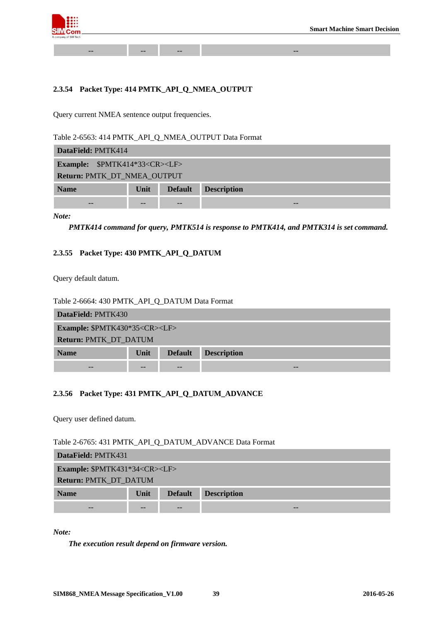

#### <span id="page-38-0"></span>**2.3.54 Packet Type: 414 PMTK\_API\_Q\_NMEA\_OUTPUT**

*--* -- -- --

Query current NMEA sentence output frequencies.

<span id="page-38-3"></span>Table 2-6563: 414 PMTK\_API\_Q\_NMEA\_OUTPUT Data Format

| DataField: PMTK414                                          |  |       |    |  |  |  |
|-------------------------------------------------------------|--|-------|----|--|--|--|
| <b>Example:</b> \$PMTK414*33 <cr><lf></lf></cr>             |  |       |    |  |  |  |
| Return: PMTK_DT_NMEA_OUTPUT                                 |  |       |    |  |  |  |
| <b>Description</b><br><b>Default</b><br>Unit<br><b>Name</b> |  |       |    |  |  |  |
| $ -$                                                        |  | $- -$ | -- |  |  |  |

*Note:* 

*PMTK414 command for query, PMTK514 is response to PMTK414, and PMTK314 is set command.*

#### <span id="page-38-1"></span>**2.3.55 Packet Type: 430 PMTK\_API\_Q\_DATUM**

Query default datum.

#### <span id="page-38-4"></span>Table 2-6664: 430 PMTK\_API\_Q\_DATUM Data Format

| DataField: PMTK430                             |                              |                |                    |  |  |  |
|------------------------------------------------|------------------------------|----------------|--------------------|--|--|--|
| <b>Example: \$PMTK430*35<cr><lf></lf></cr></b> |                              |                |                    |  |  |  |
|                                                | <b>Return: PMTK_DT_DATUM</b> |                |                    |  |  |  |
| <b>Name</b>                                    | Unit                         | <b>Default</b> | <b>Description</b> |  |  |  |
| $- -$                                          |                              | --             |                    |  |  |  |

#### <span id="page-38-2"></span>**2.3.56 Packet Type: 431 PMTK\_API\_Q\_DATUM\_ADVANCE**

Query user defined datum.

<span id="page-38-5"></span>Table 2-6765: 431 PMTK\_API\_Q\_DATUM\_ADVANCE Data Format

| DataField: PMTK431                             |      |                |                    |  |  |  |
|------------------------------------------------|------|----------------|--------------------|--|--|--|
| <b>Example: \$PMTK431*34<cr><lf></lf></cr></b> |      |                |                    |  |  |  |
| <b>Return: PMTK_DT_DATUM</b>                   |      |                |                    |  |  |  |
| <b>Name</b>                                    | Unit | <b>Default</b> | <b>Description</b> |  |  |  |
| --                                             |      |                |                    |  |  |  |

*Note:*

*The execution result depend on firmware version.*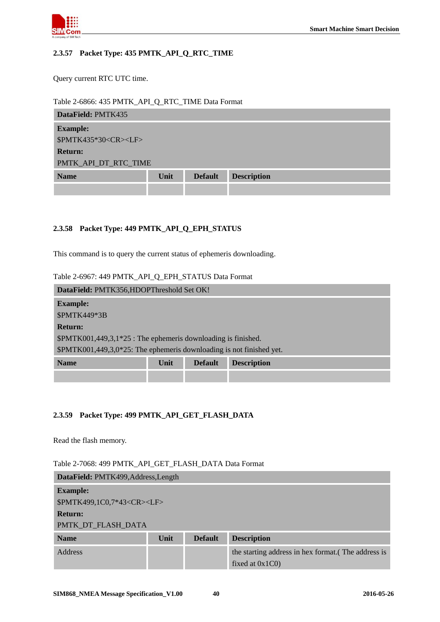

#### <span id="page-39-0"></span>**2.3.57 Packet Type: 435 PMTK\_API\_Q\_RTC\_TIME**

Query current RTC UTC time.

<span id="page-39-3"></span>Table 2-6866: 435 PMTK\_API\_Q\_RTC\_TIME Data Format

| DataField: PMTK435              |      |                |                    |  |  |
|---------------------------------|------|----------------|--------------------|--|--|
| <b>Example:</b>                 |      |                |                    |  |  |
| \$PMTK435*30 <cr><lf></lf></cr> |      |                |                    |  |  |
| <b>Return:</b>                  |      |                |                    |  |  |
| PMTK_API_DT_RTC_TIME            |      |                |                    |  |  |
| <b>Name</b>                     | Unit | <b>Default</b> | <b>Description</b> |  |  |
|                                 |      |                |                    |  |  |

#### <span id="page-39-1"></span>**2.3.58 Packet Type: 449 PMTK\_API\_Q\_EPH\_STATUS**

This command is to query the current status of ephemeris downloading.

<span id="page-39-4"></span>Table 2-6967: 449 PMTK\_API\_Q\_EPH\_STATUS Data Format

| DataField: PMTK356,HDOPThreshold Set OK!                               |  |  |  |  |  |  |
|------------------------------------------------------------------------|--|--|--|--|--|--|
| <b>Example:</b>                                                        |  |  |  |  |  |  |
| \$PMTK449*3B                                                           |  |  |  |  |  |  |
| <b>Return:</b>                                                         |  |  |  |  |  |  |
| $$PMTK001,449,3,1*25$ : The ephemeris downloading is finished.         |  |  |  |  |  |  |
| $$PMTK001,449,3,0*25$ : The ephemeris downloading is not finished yet. |  |  |  |  |  |  |
| <b>Name</b><br>Unit<br><b>Description</b><br><b>Default</b>            |  |  |  |  |  |  |
|                                                                        |  |  |  |  |  |  |

#### <span id="page-39-2"></span>**2.3.59 Packet Type: 499 PMTK\_API\_GET\_FLASH\_DATA**

Read the flash memory.

<span id="page-39-5"></span>Table 2-7068: 499 PMTK\_API\_GET\_FLASH\_DATA Data Format

| DataField: PMTK499, Address, Length   |      |                |                                                                         |  |  |
|---------------------------------------|------|----------------|-------------------------------------------------------------------------|--|--|
| <b>Example:</b>                       |      |                |                                                                         |  |  |
| \$PMTK499,1C0,7*43 <cr><lf></lf></cr> |      |                |                                                                         |  |  |
| <b>Return:</b>                        |      |                |                                                                         |  |  |
| PMTK DT FLASH DATA                    |      |                |                                                                         |  |  |
| <b>Name</b>                           | Unit | <b>Default</b> | <b>Description</b>                                                      |  |  |
| Address                               |      |                | the starting address in hex format. (The address is<br>fixed at $0x1C0$ |  |  |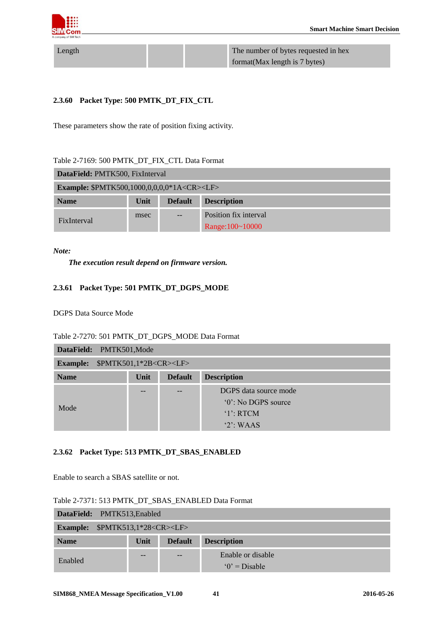

Length The number of bytes requested in hex format(Max length is 7 bytes)

#### <span id="page-40-0"></span>**2.3.60 Packet Type: 500 PMTK\_DT\_FIX\_CTL**

These parameters show the rate of position fixing activity.

<span id="page-40-3"></span>

| <b>DataField: PMTK500, FixInterval</b>                       |      |                |                       |  |  |
|--------------------------------------------------------------|------|----------------|-----------------------|--|--|
| <b>Example:</b> \$PMTK500,1000,0,0,0,0*1A <cr><lf></lf></cr> |      |                |                       |  |  |
| <b>Name</b>                                                  | Unit | <b>Default</b> | <b>Description</b>    |  |  |
| msec<br><b>FixInterval</b>                                   |      |                | Position fix interval |  |  |
|                                                              |      |                | Range: 100~10000      |  |  |

*Note:* 

*The execution result depend on firmware version.*

#### <span id="page-40-1"></span>**2.3.61 Packet Type: 501 PMTK\_DT\_DGPS\_MODE**

DGPS Data Source Mode

<span id="page-40-4"></span>Table 2-7270: 501 PMTK\_DT\_DGPS\_MODE Data Format

| DataField: PMTK501, Mode                              |                                              |  |                       |  |  |
|-------------------------------------------------------|----------------------------------------------|--|-----------------------|--|--|
| \$PMTK501,1*2B <cr><lf><br/><b>Example:</b></lf></cr> |                                              |  |                       |  |  |
| <b>Name</b>                                           | <b>Default</b><br><b>Description</b><br>Unit |  |                       |  |  |
|                                                       |                                              |  | DGPS data source mode |  |  |
| Mode                                                  |                                              |  | '0': No DGPS source   |  |  |
|                                                       |                                              |  | $'1$ : RTCM           |  |  |
|                                                       |                                              |  | $2$ WAAS              |  |  |

#### <span id="page-40-2"></span>**2.3.62 Packet Type: 513 PMTK\_DT\_SBAS\_ENABLED**

Enable to search a SBAS satellite or not.

<span id="page-40-5"></span>

| DataField: PMTK513, Enabled        |      |                |                                     |  |  |  |
|------------------------------------|------|----------------|-------------------------------------|--|--|--|
| Example: $$PMTK513,1*28 < CR > LF$ |      |                |                                     |  |  |  |
| <b>Name</b>                        | Unit | <b>Default</b> | <b>Description</b>                  |  |  |  |
| Enabled                            |      |                | Enable or disable<br>$0'$ = Disable |  |  |  |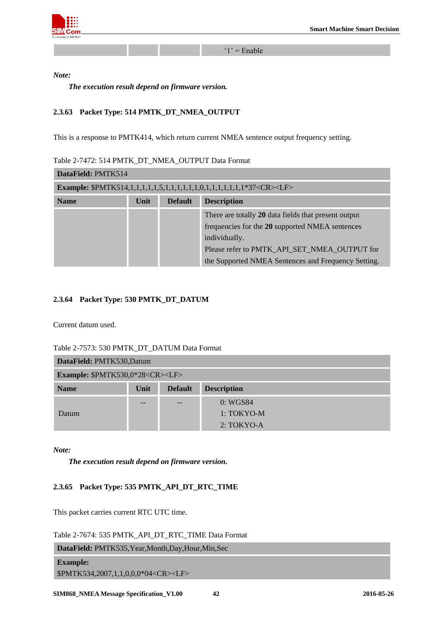

 $'1'$  = Enable

*Note:* 

*The execution result depend on firmware version.*

## <span id="page-41-0"></span>**2.3.63 Packet Type: 514 PMTK\_DT\_NMEA\_OUTPUT**

This is a response to PMTK414, which return current NMEA sentence output frequency setting.

<span id="page-41-3"></span>

| Table 2-7472: 514 PMTK DT NMEA OUTPUT Data Format |  |  |  |
|---------------------------------------------------|--|--|--|
|                                                   |  |  |  |

| DataField: PMTK514 |      |                |                                                      |  |
|--------------------|------|----------------|------------------------------------------------------|--|
|                    |      |                |                                                      |  |
| <b>Name</b>        | Unit | <b>Default</b> | <b>Description</b>                                   |  |
|                    |      |                | There are totally 20 data fields that present output |  |
|                    |      |                | frequencies for the 20 supported NMEA sentences      |  |
|                    |      | individually.  |                                                      |  |
|                    |      |                | Please refer to PMTK API SET NMEA OUTPUT for         |  |
|                    |      |                | the Supported NMEA Sentences and Frequency Setting.  |  |

#### <span id="page-41-1"></span>**2.3.64 Packet Type: 530 PMTK\_DT\_DATUM**

Current datum used.

<span id="page-41-4"></span>Table 2-7573: 530 PMTK\_DT\_DATUM Data Format

| DataField: PMTK530,Datum                         |      |                |                    |  |  |
|--------------------------------------------------|------|----------------|--------------------|--|--|
| <b>Example: \$PMTK530,0*28<cr><lf></lf></cr></b> |      |                |                    |  |  |
| <b>Name</b>                                      | Unit | <b>Default</b> | <b>Description</b> |  |  |
|                                                  | --   | $- -$          | 0: WGS84           |  |  |
| Datum                                            |      |                | $1:TOKYO-M$        |  |  |
|                                                  |      |                | $2: TOKYO-A$       |  |  |

*Note:* 

*The execution result depend on firmware version.*

## <span id="page-41-2"></span>**2.3.65 Packet Type: 535 PMTK\_API\_DT\_RTC\_TIME**

This packet carries current RTC UTC time.

<span id="page-41-5"></span>Table 2-7674: 535 PMTK\_API\_DT\_RTC\_TIME Data Format

| DataField: PMTK535, Year, Month, Day, Hour, Min, Sec |  |
|------------------------------------------------------|--|
| <b>Example:</b>                                      |  |

\$PMTK534,2007,1,1,0,0,0\*04<CR><LF>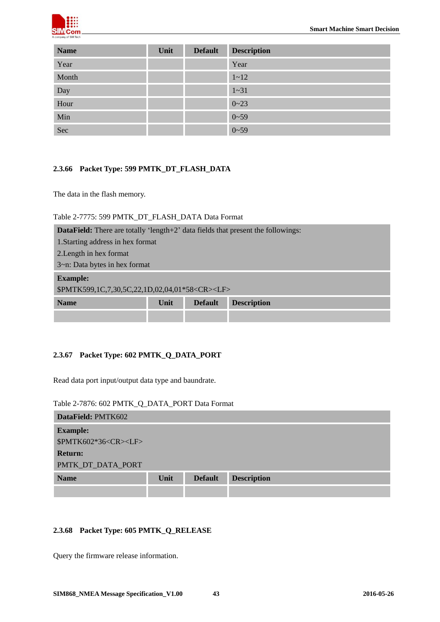

| <b>Name</b> | Unit | <b>Default</b> | <b>Description</b> |
|-------------|------|----------------|--------------------|
| Year        |      |                | Year               |
| Month       |      |                | $1 - 12$           |
| Day         |      |                | $1 - 31$           |
| Hour        |      |                | $0 - 23$           |
| Min         |      |                | $0 - 59$           |
| Sec         |      |                | $0 - 59$           |

#### <span id="page-42-0"></span>**2.3.66 Packet Type: 599 PMTK\_DT\_FLASH\_DATA**

The data in the flash memory.

#### <span id="page-42-3"></span>Table 2-7775: 599 PMTK\_DT\_FLASH\_DATA Data Format

| <b>DataField:</b> There are totally 'length+2' data fields that present the followings: |      |                |                    |  |
|-----------------------------------------------------------------------------------------|------|----------------|--------------------|--|
| 1. Starting address in hex format                                                       |      |                |                    |  |
| 2. Length in hex format                                                                 |      |                |                    |  |
| 3~n: Data bytes in hex format                                                           |      |                |                    |  |
| <b>Example:</b>                                                                         |      |                |                    |  |
| \$PMTK599,1C,7,30,5C,22,1D,02,04,01*58 <cr><lf></lf></cr>                               |      |                |                    |  |
| <b>Name</b>                                                                             | Unit | <b>Default</b> | <b>Description</b> |  |
|                                                                                         |      |                |                    |  |

#### <span id="page-42-1"></span>**2.3.67 Packet Type: 602 PMTK\_Q\_DATA\_PORT**

Read data port input/output data type and baundrate.

<span id="page-42-4"></span>Table 2-7876: 602 PMTK\_Q\_DATA\_PORT Data Format

| DataField: PMTK602              |      |                |                    |
|---------------------------------|------|----------------|--------------------|
| <b>Example:</b>                 |      |                |                    |
| \$PMTK602*36 <cr><lf></lf></cr> |      |                |                    |
| <b>Return:</b>                  |      |                |                    |
| PMTK_DT_DATA_PORT               |      |                |                    |
| <b>Name</b>                     | Unit | <b>Default</b> | <b>Description</b> |
|                                 |      |                |                    |

## <span id="page-42-2"></span>**2.3.68 Packet Type: 605 PMTK\_Q\_RELEASE**

Query the firmware release information.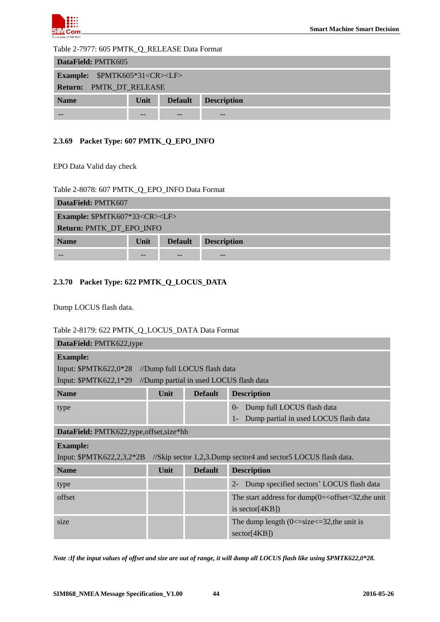

#### <span id="page-43-2"></span>Table 2-7977: 605 PMTK\_Q\_RELEASE Data Format

| DataField: PMTK605                                                 |    |  |    |  |  |  |
|--------------------------------------------------------------------|----|--|----|--|--|--|
| <b>Example:</b> \$PMTK605*31 <cr><lf></lf></cr>                    |    |  |    |  |  |  |
| Return: PMTK_DT_RELEASE                                            |    |  |    |  |  |  |
| <b>Description</b><br><b>Default</b><br><b>Name</b><br><b>Unit</b> |    |  |    |  |  |  |
|                                                                    | -- |  | -- |  |  |  |

## <span id="page-43-0"></span>**2.3.69 Packet Type: 607 PMTK\_Q\_EPO\_INFO**

EPO Data Valid day check

#### <span id="page-43-3"></span>Table 2-8078: 607 PMTK\_Q\_EPO\_INFO Data Format

| DataField: PMTK607                             |      |                |                    |  |  |
|------------------------------------------------|------|----------------|--------------------|--|--|
| <b>Example: \$PMTK607*33<cr><lf></lf></cr></b> |      |                |                    |  |  |
| Return: PMTK_DT_EPO_INFO                       |      |                |                    |  |  |
| <b>Name</b>                                    | Unit | <b>Default</b> | <b>Description</b> |  |  |
|                                                |      |                | --                 |  |  |

## <span id="page-43-1"></span>**2.3.70 Packet Type: 622 PMTK\_Q\_LOCUS\_DATA**

Dump LOCUS flash data.

#### <span id="page-43-4"></span>Table 2-8179: 622 PMTK\_Q\_LOCUS\_DATA Data Format

| DataField: PMTK622,type                                                                     |      |                                         |                                                          |  |
|---------------------------------------------------------------------------------------------|------|-----------------------------------------|----------------------------------------------------------|--|
| <b>Example:</b>                                                                             |      |                                         |                                                          |  |
| Input: \$PMTK622,0*28                                                                       |      | //Dump full LOCUS flash data            |                                                          |  |
| Input: \$PMTK622,1*29                                                                       |      | //Dump partial in used LOCUS flash data |                                                          |  |
| <b>Name</b>                                                                                 | Unit | <b>Default</b>                          | <b>Description</b>                                       |  |
| type                                                                                        |      |                                         | Dump full LOCUS flash data<br>$0-$                       |  |
|                                                                                             |      |                                         | Dump partial in used LOCUS flash data<br>$1-$            |  |
| DataField: PMTK622,type, offset, size*hh                                                    |      |                                         |                                                          |  |
| <b>Example:</b>                                                                             |      |                                         |                                                          |  |
| Input: \$PMTK622,2,3,2*2B<br>//Skip sector 1,2,3.Dump sector4 and sector5 LOCUS flash data. |      |                                         |                                                          |  |
| <b>Name</b>                                                                                 | Unit | <b>Default</b>                          | <b>Description</b>                                       |  |
| type                                                                                        |      |                                         | Dump specified sectors' LOCUS flash data<br>$2 -$        |  |
| offset                                                                                      |      |                                         | The start address for dump $(0=$ < offset < 32, the unit |  |
|                                                                                             |      |                                         | is sector $[4KB]$                                        |  |
| size                                                                                        |      |                                         | The dump length $(0 \leq$ =size $\leq$ =32, the unit is  |  |
|                                                                                             |      |                                         | sector[4KB])                                             |  |

*Note :If the input values of offset and size are out of range, it will dump all LOCUS flash like using \$PMTK622,0\*28.*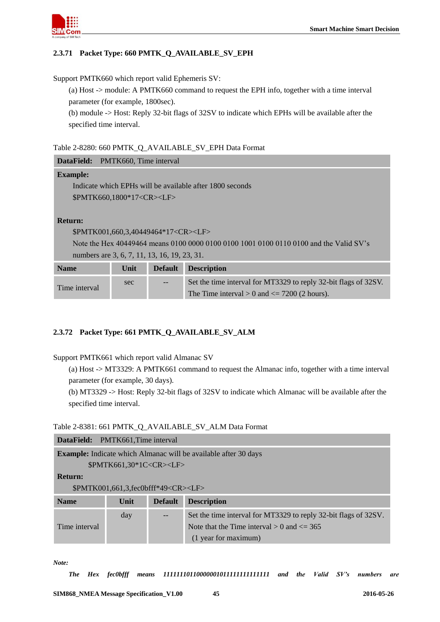

## <span id="page-44-0"></span>**2.3.71 Packet Type: 660 PMTK\_Q\_AVAILABLE\_SV\_EPH**

Support PMTK660 which report valid Ephemeris SV:

(a) Host -> module: A PMTK660 command to request the EPH info, together with a time interval parameter (for example, 1800sec).

(b) module -> Host: Reply 32-bit flags of 32SV to indicate which EPHs will be available after the specified time interval.

#### <span id="page-44-2"></span>Table 2-8280: 660 PMTK\_Q\_AVAILABLE\_SV\_EPH Data Format

| <b>DataField:</b>                              | PMTK660, Time interval |                |                                                                                        |
|------------------------------------------------|------------------------|----------------|----------------------------------------------------------------------------------------|
| <b>Example:</b>                                |                        |                |                                                                                        |
|                                                |                        |                | Indicate which EPHs will be available after 1800 seconds                               |
| \$PMTK660.1800*17 <cr><lf></lf></cr>           |                        |                |                                                                                        |
|                                                |                        |                |                                                                                        |
| <b>Return:</b>                                 |                        |                |                                                                                        |
| \$PMTK001,660,3,40449464*17 <cr><lf></lf></cr> |                        |                |                                                                                        |
|                                                |                        |                | Note the Hex 40449464 means 0100 0000 0100 0100 1001 0100 0110 0100 and the Valid SV's |
| numbers are 3, 6, 7, 11, 13, 16, 19, 23, 31.   |                        |                |                                                                                        |
| <b>Name</b>                                    | Unit                   | <b>Default</b> | <b>Description</b>                                                                     |
| Time interval                                  | sec                    |                | Set the time interval for MT3329 to reply 32-bit flags of 32SV.                        |
|                                                |                        |                | The Time interval $> 0$ and $\leq$ 7200 (2 hours).                                     |

## <span id="page-44-1"></span>**2.3.72 Packet Type: 661 PMTK\_Q\_AVAILABLE\_SV\_ALM**

Support PMTK661 which report valid Almanac SV

(a) Host -> MT3329: A PMTK661 command to request the Almanac info, together with a time interval parameter (for example, 30 days).

(b) MT3329 -> Host: Reply 32-bit flags of 32SV to indicate which Almanac will be available after the specified time interval.

## <span id="page-44-3"></span>Table 2-8381: 661 PMTK\_Q\_AVAILABLE\_SV\_ALM Data Format

| <b>DataField:</b> | PMTK661, Time interval                                                 |                |                                                                 |  |  |
|-------------------|------------------------------------------------------------------------|----------------|-----------------------------------------------------------------|--|--|
|                   | <b>Example:</b> Indicate which Almanac will be available after 30 days |                |                                                                 |  |  |
|                   | \$PMTK661,30*1C <cr><lf></lf></cr>                                     |                |                                                                 |  |  |
| <b>Return:</b>    |                                                                        |                |                                                                 |  |  |
|                   | \$PMTK001,661,3,fec0bfff*49 <cr><lf></lf></cr>                         |                |                                                                 |  |  |
| <b>Name</b>       | Unit                                                                   | <b>Default</b> | <b>Description</b>                                              |  |  |
|                   | day                                                                    |                | Set the time interval for MT3329 to reply 32-bit flags of 32SV. |  |  |
| Time interval     |                                                                        |                | Note that the Time interval $> 0$ and $\leq$ 365                |  |  |
|                   |                                                                        |                | (1 year for maximum)                                            |  |  |

*Note:*

*The Hex fec0bfff means 11111110110000001011111111111111 and the Valid SV's numbers are*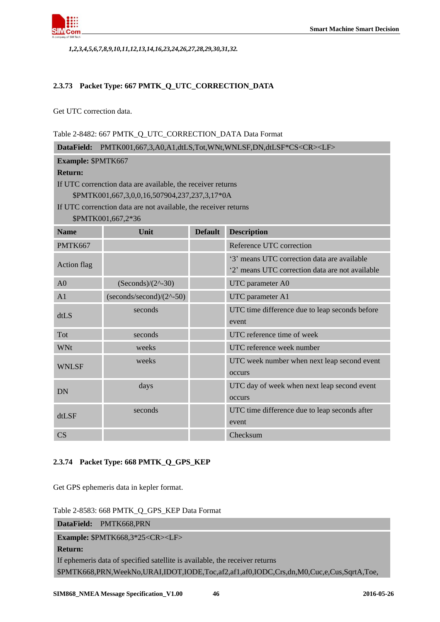

*1,2,3,4,5,6,7,8,9,10,11,12,13,14,16,23,24,26,27,28,29,30,31,32.* 

#### <span id="page-45-0"></span>**2.3.73 Packet Type: 667 PMTK\_Q\_UTC\_CORRECTION\_DATA**

Get UTC correction data.

#### <span id="page-45-2"></span>Table 2-8482: 667 PMTK\_Q\_UTC\_CORRECTION\_DATA Data Format

| DataField: PMTK001,667,3,A0,A1,dtLS,Tot,WNt,WNLSF,DN,dtLSF*CS <cr><lf></lf></cr> |                                                                 |                |                                                 |  |  |
|----------------------------------------------------------------------------------|-----------------------------------------------------------------|----------------|-------------------------------------------------|--|--|
|                                                                                  | Example: \$PMTK667                                              |                |                                                 |  |  |
| <b>Return:</b>                                                                   |                                                                 |                |                                                 |  |  |
|                                                                                  | If UTC correnction data are available, the receiver returns     |                |                                                 |  |  |
|                                                                                  | \$PMTK001,667,3,0,0,16,507904,237,237,3,17*0A                   |                |                                                 |  |  |
|                                                                                  | If UTC correnction data are not available, the receiver returns |                |                                                 |  |  |
|                                                                                  | \$PMTK001,667,2*36                                              |                |                                                 |  |  |
| <b>Name</b>                                                                      | Unit                                                            | <b>Default</b> | <b>Description</b>                              |  |  |
| PMTK667                                                                          |                                                                 |                | Reference UTC correction                        |  |  |
| <b>Action flag</b>                                                               |                                                                 |                | '3' means UTC correction data are available     |  |  |
|                                                                                  |                                                                 |                | '2' means UTC correction data are not available |  |  |
| A <sub>0</sub>                                                                   | $(Seconds)/(2^{\wedge}-30)$                                     |                | UTC parameter A0                                |  |  |
| A <sub>1</sub>                                                                   | $(seconds/second)/(2^2-50)$                                     |                | UTC parameter A1                                |  |  |
| dtLS                                                                             | seconds                                                         |                | UTC time difference due to leap seconds before  |  |  |
|                                                                                  |                                                                 |                | event                                           |  |  |
| Tot                                                                              | seconds                                                         |                | UTC reference time of week                      |  |  |
| <b>WNt</b>                                                                       | weeks                                                           |                | UTC reference week number                       |  |  |
| <b>WNLSF</b>                                                                     | weeks                                                           |                | UTC week number when next leap second event     |  |  |
|                                                                                  |                                                                 |                | occurs                                          |  |  |
| <b>DN</b>                                                                        | days                                                            |                | UTC day of week when next leap second event     |  |  |
|                                                                                  |                                                                 |                | occurs                                          |  |  |
| dtLSF                                                                            | seconds                                                         |                | UTC time difference due to leap seconds after   |  |  |
|                                                                                  |                                                                 |                | event                                           |  |  |
| CS                                                                               |                                                                 |                | Checksum                                        |  |  |
|                                                                                  |                                                                 |                |                                                 |  |  |

#### <span id="page-45-1"></span>**2.3.74 Packet Type: 668 PMTK\_Q\_GPS\_KEP**

Get GPS ephemeris data in kepler format.

<span id="page-45-3"></span>Table 2-8583: 668 PMTK\_Q\_GPS\_KEP Data Format

**DataField:** PMTK668,PRN

**Example:** \$PMTK668,3\*25<CR><LF>

#### **Return:**

If ephemeris data of specified satellite is available, the receiver returns \$PMTK668,PRN,WeekNo,URAI,IDOT,IODE,Toc,af2,af1,af0,IODC,Crs,dn,M0,Cuc,e,Cus,SqrtA,Toe,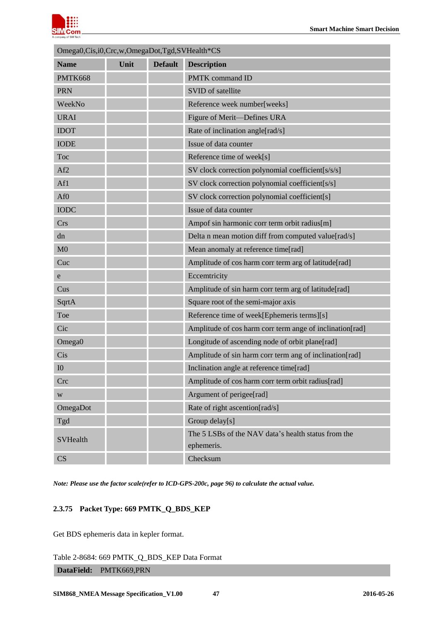

| Omega0, Cis, i0, Crc, w, OmegaDot, Tgd, SVHealth*CS |      |                |                                                          |  |
|-----------------------------------------------------|------|----------------|----------------------------------------------------------|--|
| <b>Name</b>                                         | Unit | <b>Default</b> | <b>Description</b>                                       |  |
| PMTK668                                             |      |                | <b>PMTK</b> command ID                                   |  |
| <b>PRN</b>                                          |      |                | SVID of satellite                                        |  |
| WeekNo                                              |      |                | Reference week number[weeks]                             |  |
| <b>URAI</b>                                         |      |                | Figure of Merit-Defines URA                              |  |
| <b>IDOT</b>                                         |      |                | Rate of inclination angle[rad/s]                         |  |
| <b>IODE</b>                                         |      |                | Issue of data counter                                    |  |
| Toc                                                 |      |                | Reference time of week[s]                                |  |
| Af2                                                 |      |                | SV clock correction polynomial coefficient[s/s/s]        |  |
| Af1                                                 |      |                | SV clock correction polynomial coefficient[s/s]          |  |
| Af <sub>0</sub>                                     |      |                | SV clock correction polynomial coefficient[s]            |  |
| <b>IODC</b>                                         |      |                | Issue of data counter                                    |  |
| <b>Crs</b>                                          |      |                | Ampof sin harmonic corr term orbit radius[m]             |  |
| dn                                                  |      |                | Delta n mean motion diff from computed value[rad/s]      |  |
| M <sub>0</sub>                                      |      |                | Mean anomaly at reference time[rad]                      |  |
| Cuc                                                 |      |                | Amplitude of cos harm corr term arg of latitude[rad]     |  |
| e                                                   |      |                | Eccemtricity                                             |  |
| Cus                                                 |      |                | Amplitude of sin harm corr term arg of latitude[rad]     |  |
| SqrtA                                               |      |                | Square root of the semi-major axis                       |  |
| Toe                                                 |      |                | Reference time of week[Ephemeris terms][s]               |  |
| Cic                                                 |      |                | Amplitude of cos harm corr term ange of inclination[rad] |  |
| Omega0                                              |      |                | Longitude of ascending node of orbit plane[rad]          |  |
| Cis                                                 |      |                | Amplitude of sin harm corr term ang of inclination[rad]  |  |
| I <sub>0</sub>                                      |      |                | Inclination angle at reference time[rad]                 |  |
| <b>Crc</b>                                          |      |                | Amplitude of cos harm corr term orbit radius[rad]        |  |
| W                                                   |      |                | Argument of perigee[rad]                                 |  |
| OmegaDot                                            |      |                | Rate of right ascention[rad/s]                           |  |
| Tgd                                                 |      |                | Group delay[s]                                           |  |
| <b>SVHealth</b>                                     |      |                | The 5 LSBs of the NAV data's health status from the      |  |
|                                                     |      |                | ephemeris.                                               |  |
| CS                                                  |      |                | Checksum                                                 |  |

<span id="page-46-0"></span>*Note: Please use the factor scale(refer to ICD-GPS-200c, page 96) to calculate the actual value.*

## **2.3.75 Packet Type: 669 PMTK\_Q\_BDS\_KEP**

Get BDS ephemeris data in kepler format.

<span id="page-46-1"></span>Table 2-8684: 669 PMTK\_Q\_BDS\_KEP Data Format

## **DataField:** PMTK669,PRN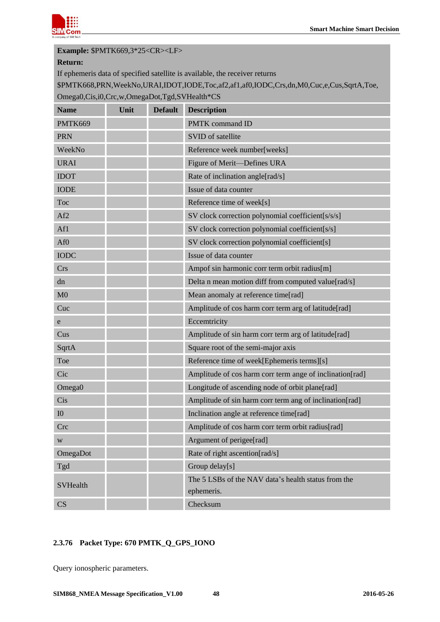

## **Example:** \$PMTK669,3\*25<CR><LF>

#### **Return:**

If ephemeris data of specified satellite is available, the receiver returns

\$PMTK668,PRN,WeekNo,URAI,IDOT,IODE,Toc,af2,af1,af0,IODC,Crs,dn,M0,Cuc,e,Cus,SqrtA,Toe, Omega0,Cis,i0,Crc,w,OmegaDot,Tgd,SVHealth\*CS

| <b>Name</b>            | Unit | <b>Default</b> | <b>Description</b>                                                |
|------------------------|------|----------------|-------------------------------------------------------------------|
| PMTK669                |      |                | <b>PMTK</b> command ID                                            |
| <b>PRN</b>             |      |                | SVID of satellite                                                 |
| WeekNo                 |      |                | Reference week number[weeks]                                      |
| <b>URAI</b>            |      |                | Figure of Merit-Defines URA                                       |
| <b>IDOT</b>            |      |                | Rate of inclination angle[rad/s]                                  |
| <b>IODE</b>            |      |                | Issue of data counter                                             |
| Toc                    |      |                | Reference time of week[s]                                         |
| Af <sub>2</sub>        |      |                | SV clock correction polynomial coefficient[s/s/s]                 |
| Af1                    |      |                | SV clock correction polynomial coefficient[s/s]                   |
| Af <sub>0</sub>        |      |                | SV clock correction polynomial coefficient[s]                     |
| <b>IODC</b>            |      |                | Issue of data counter                                             |
| <b>Crs</b>             |      |                | Ampof sin harmonic corr term orbit radius[m]                      |
| dn                     |      |                | Delta n mean motion diff from computed value[rad/s]               |
| M <sub>0</sub>         |      |                | Mean anomaly at reference time[rad]                               |
| Cuc                    |      |                | Amplitude of cos harm corr term arg of latitude[rad]              |
| e                      |      |                | Eccemtricity                                                      |
| Cus                    |      |                | Amplitude of sin harm corr term arg of latitude[rad]              |
| SqrtA                  |      |                | Square root of the semi-major axis                                |
| Toe                    |      |                | Reference time of week[Ephemeris terms][s]                        |
| Cic                    |      |                | Amplitude of cos harm corr term ange of inclination[rad]          |
| Omega0                 |      |                | Longitude of ascending node of orbit plane[rad]                   |
| Cis                    |      |                | Amplitude of sin harm corr term ang of inclination[rad]           |
| I <sub>0</sub>         |      |                | Inclination angle at reference time[rad]                          |
| Crc                    |      |                | Amplitude of cos harm corr term orbit radius[rad]                 |
| W                      |      |                | Argument of perigee[rad]                                          |
| OmegaDot               |      |                | Rate of right ascention[rad/s]                                    |
| Tgd                    |      |                | Group delay[s]                                                    |
| <b>SVHealth</b>        |      |                | The 5 LSBs of the NAV data's health status from the<br>ephemeris. |
| $\overline{\text{CS}}$ |      |                | Checksum                                                          |

## <span id="page-47-0"></span>**2.3.76 Packet Type: 670 PMTK\_Q\_GPS\_IONO**

Query ionospheric parameters.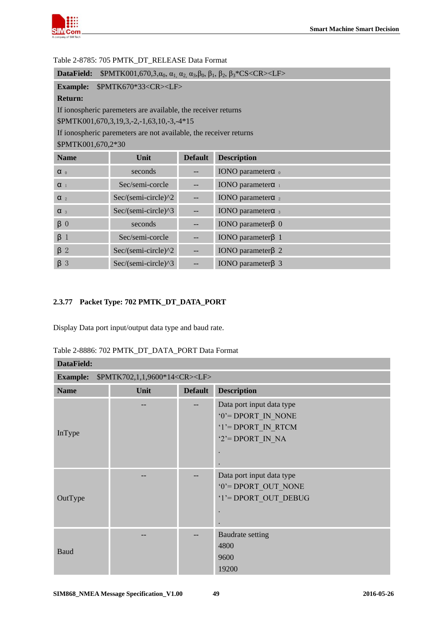

| DataField:<br>$\beta_1, \beta_2, \beta_3, \ldots, \alpha_{n,3}, \alpha_{n,4}, \alpha_{n,5}, \beta_0, \beta_1, \beta_2, \beta_3$ KCS < CR > < CF > |                                                                   |                |                                      |  |  |
|---------------------------------------------------------------------------------------------------------------------------------------------------|-------------------------------------------------------------------|----------------|--------------------------------------|--|--|
| <b>Example:</b>                                                                                                                                   | \$PMTK670*33 <cr><lf></lf></cr>                                   |                |                                      |  |  |
| <b>Return:</b>                                                                                                                                    |                                                                   |                |                                      |  |  |
|                                                                                                                                                   | If ionospheric paremeters are available, the receiver returns     |                |                                      |  |  |
|                                                                                                                                                   | $$PMTK001,670,3,19,3,-2,-1,63,10,-3,-4*15$                        |                |                                      |  |  |
|                                                                                                                                                   | If ionospheric paremeters are not available, the receiver returns |                |                                      |  |  |
| \$PMTK001,670,2*30                                                                                                                                |                                                                   |                |                                      |  |  |
| <b>Name</b>                                                                                                                                       | Unit                                                              | <b>Default</b> | <b>Description</b>                   |  |  |
| $\alpha$ 0                                                                                                                                        | seconds                                                           |                | IONO parameter $\alpha$ <sub>0</sub> |  |  |
| $\alpha$ <sub>1</sub>                                                                                                                             | Sec/semi-corcle                                                   |                | IONO parameter $\alpha$ <sub>1</sub> |  |  |
| $\alpha$ <sub>2</sub>                                                                                                                             | Sec/(semi-circle)^2                                               |                | IONO parameter $\alpha$ <sub>2</sub> |  |  |
| $\alpha$ 3                                                                                                                                        | Sec/(semi-circle)^3                                               |                | IONO parameter $\alpha$ 3            |  |  |
| $\beta$ 0                                                                                                                                         | seconds                                                           |                | IONO parameter $\beta$ 0             |  |  |
| $\beta$ 1                                                                                                                                         | Sec/semi-corcle                                                   |                | IONO parameter $\beta$ 1             |  |  |
| $\beta$ 2                                                                                                                                         | Sec/(semi-circle)^2                                               |                | IONO parameter $\beta$ 2             |  |  |
| $\beta$ 3                                                                                                                                         | Sec/(semi-circle)^3                                               |                | IONO parameter $\beta$ 3             |  |  |

#### <span id="page-48-1"></span>Table 2-8785: 705 PMTK\_DT\_RELEASE Data Format

## <span id="page-48-0"></span>**2.3.77 Packet Type: 702 PMTK\_DT\_DATA\_PORT**

Display Data port input/output data type and baud rate.

<span id="page-48-2"></span>

| Table 2-8886: 702 PMTK DT DATA PORT Data Format |  |
|-------------------------------------------------|--|
|-------------------------------------------------|--|

| DataField:                                                   |      |                |                                                                                              |  |  |
|--------------------------------------------------------------|------|----------------|----------------------------------------------------------------------------------------------|--|--|
| \$PMTK702,1,1,9600*14 <cr><lf><br/><b>Example:</b></lf></cr> |      |                |                                                                                              |  |  |
| <b>Name</b>                                                  | Unit | <b>Default</b> | <b>Description</b>                                                                           |  |  |
| InType                                                       |      |                | Data port input data type<br>$0'$ = DPORT IN_NONE<br>'1'= DPORT IN RTCM<br>$2$ = DPORT IN NA |  |  |
| OutType                                                      |      |                | Data port input data type<br>'0'= DPORT OUT NONE<br>'1'= DPORT OUT DEBUG                     |  |  |
| <b>Baud</b>                                                  |      |                | <b>Baudrate setting</b><br>4800<br>9600<br>19200                                             |  |  |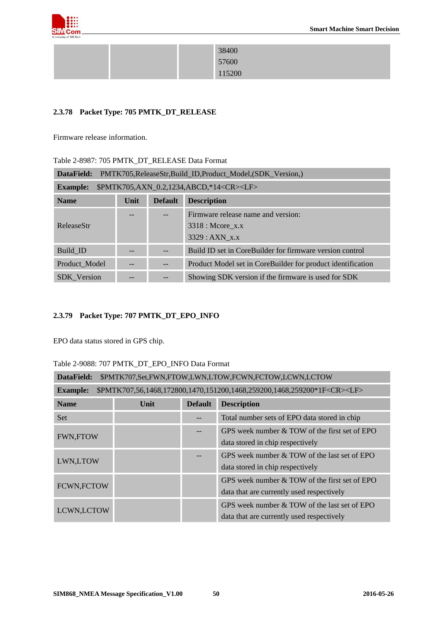

|  | 38400  |
|--|--------|
|  | 57600  |
|  | 115200 |

## <span id="page-49-0"></span>**2.3.78 Packet Type: 705 PMTK\_DT\_RELEASE**

Firmware release information.

<span id="page-49-2"></span>

| PMTK705, Release Str, Build_ID, Product_Model, (SDK_Version,)<br>DataField: |      |                |                                                             |  |
|-----------------------------------------------------------------------------|------|----------------|-------------------------------------------------------------|--|
| \$PMTK705,AXN_0.2,1234,ABCD,*14 <cr><lf><br/><b>Example:</b></lf></cr>      |      |                |                                                             |  |
| <b>Name</b>                                                                 | Unit | <b>Default</b> | <b>Description</b>                                          |  |
|                                                                             |      |                | Firmware release name and version:                          |  |
| <b>ReleaseStr</b>                                                           |      |                | $3318$ : Mcore x.x                                          |  |
|                                                                             |      |                | $3329:AXN$ x.x                                              |  |
| Build ID                                                                    |      |                | Build ID set in CoreBuilder for firmware version control    |  |
| Product Model                                                               |      |                | Product Model set in CoreBuilder for product identification |  |
| <b>SDK</b> Version                                                          |      |                | Showing SDK version if the firmware is used for SDK         |  |

## <span id="page-49-1"></span>**2.3.79 Packet Type: 707 PMTK\_DT\_EPO\_INFO**

EPO data status stored in GPS chip.

<span id="page-49-3"></span>Table 2-9088: 707 PMTK\_DT\_EPO\_INFO Data Format

| DataField:<br>\$PMTK707,Set,FWN,FTOW,LWN,LTOW,FCWN,FCTOW,LCWN,LCTOW                                    |      |                |                                                                                            |  |  |
|--------------------------------------------------------------------------------------------------------|------|----------------|--------------------------------------------------------------------------------------------|--|--|
| \$PMTK707,56,1468,172800,1470,151200,1468,259200,1468,259200*1F <cr><lf><br/><b>Example:</b></lf></cr> |      |                |                                                                                            |  |  |
| <b>Name</b>                                                                                            | Unit | <b>Default</b> | <b>Description</b>                                                                         |  |  |
| <b>Set</b>                                                                                             |      |                | Total number sets of EPO data stored in chip                                               |  |  |
| <b>FWN,FTOW</b>                                                                                        |      |                | GPS week number & TOW of the first set of EPO<br>data stored in chip respectively          |  |  |
| LWN,LTOW                                                                                               |      |                | GPS week number & TOW of the last set of EPO<br>data stored in chip respectively           |  |  |
| FCWN, FCTOW                                                                                            |      |                | GPS week number & TOW of the first set of EPO<br>data that are currently used respectively |  |  |
| LCWN, LCTOW                                                                                            |      |                | GPS week number & TOW of the last set of EPO<br>data that are currently used respectively  |  |  |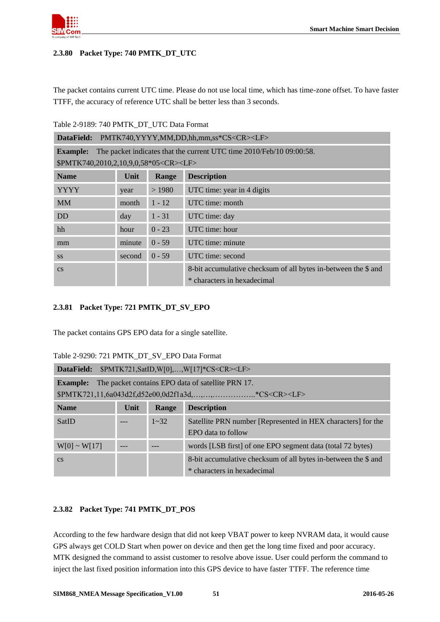

#### <span id="page-50-0"></span>**2.3.80 Packet Type: 740 PMTK\_DT\_UTC**

The packet contains current UTC time. Please do not use local time, which has time-zone offset. To have faster TTFF, the accuracy of reference UTC shall be better less than 3 seconds.

<span id="page-50-3"></span>Table 2-9189: 740 PMTK\_DT\_UTC Data Format

| PMTK740,YYYY,MM,DD,hh,mm,ss*CS <cr><lf><br/>DataField:</lf></cr> |                                                                      |          |                                                                                               |  |  |
|------------------------------------------------------------------|----------------------------------------------------------------------|----------|-----------------------------------------------------------------------------------------------|--|--|
| <b>Example:</b>                                                  | The packet indicates that the current UTC time 2010/Feb/10 09:00:58. |          |                                                                                               |  |  |
| \$PMTK740,2010,2,10,9,0,58*05 <cr><lf></lf></cr>                 |                                                                      |          |                                                                                               |  |  |
| <b>Name</b>                                                      | Unit                                                                 | Range    | <b>Description</b>                                                                            |  |  |
| <b>YYYY</b>                                                      | year                                                                 | >1980    | UTC time: year in 4 digits                                                                    |  |  |
| <b>MM</b>                                                        | month                                                                | $1 - 12$ | UTC time: month                                                                               |  |  |
| <b>DD</b>                                                        | day                                                                  | $1 - 31$ | UTC time: day                                                                                 |  |  |
| hh                                                               | hour                                                                 | $0 - 23$ | UTC time: hour                                                                                |  |  |
| mm                                                               | minute                                                               | $0 - 59$ | UTC time: minute                                                                              |  |  |
| <b>SS</b>                                                        | second                                                               | $0 - 59$ | UTC time: second                                                                              |  |  |
| $\overline{\text{cs}}$                                           |                                                                      |          | 8-bit accumulative checksum of all bytes in-between the \$ and<br>* characters in hexadecimal |  |  |

## <span id="page-50-1"></span>**2.3.81 Packet Type: 721 PMTK\_DT\_SV\_EPO**

The packet contains GPS EPO data for a single satellite.

| <b>DataField:</b> $$PMTK721, SatID, W[0],, W[17]*CS < CR > LF$ |      |          |                                                                                             |  |
|----------------------------------------------------------------|------|----------|---------------------------------------------------------------------------------------------|--|
| <b>Example:</b>                                                |      |          | The packet contains EPO data of satellite PRN 17.                                           |  |
|                                                                |      |          | $$PMTK721, 11, 6a043d2f, d52e00, 0d2f1a3d, \ldots, \ldots, \ldots, \ldots, *CS < CR > LF >$ |  |
| <b>Name</b>                                                    | Unit | Range    | <b>Description</b>                                                                          |  |
| <b>SatID</b>                                                   |      | $1 - 32$ | Satellite PRN number [Represented in HEX characters] for the                                |  |
|                                                                |      |          | EPO data to follow                                                                          |  |
| $W[0] \sim W[17]$                                              |      |          | words [LSB first] of one EPO segment data (total 72 bytes)                                  |  |
| $\overline{\text{cs}}$                                         |      |          | 8-bit accumulative checksum of all bytes in-between the \$ and                              |  |
|                                                                |      |          | * characters in hexadecimal                                                                 |  |

<span id="page-50-4"></span>Table 2-9290: 721 PMTK\_DT\_SV\_EPO Data Format

## <span id="page-50-2"></span>**2.3.82 Packet Type: 741 PMTK\_DT\_POS**

According to the few hardware design that did not keep VBAT power to keep NVRAM data, it would cause GPS always get COLD Start when power on device and then get the long time fixed and poor accuracy. MTK designed the command to assist customer to resolve above issue. User could perform the command to inject the last fixed position information into this GPS device to have faster TTFF. The reference time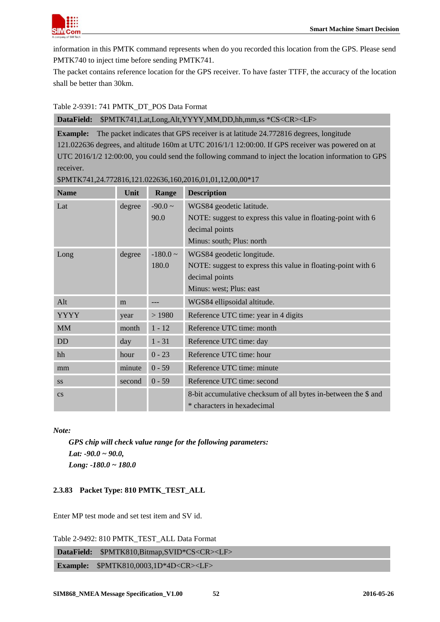

information in this PMTK command represents when do you recorded this location from the GPS. Please send PMTK740 to inject time before sending PMTK741.

The packet contains reference location for the GPS receiver. To have faster TTFF, the accuracy of the location shall be better than 30km.

## <span id="page-51-1"></span>Table 2-9391: 741 PMTK\_DT\_POS Data Format

**DataField:** \$PMTK741,Lat,Long,Alt,YYYY,MM,DD,hh,mm,ss \*CS<CR><LF>

**Example:** The packet indicates that GPS receiver is at latitude 24.772816 degrees, longitude 121.022636 degrees, and altitude 160m at UTC 2016/1/1 12:00:00. If GPS receiver was powered on at UTC 2016/1/2 12:00:00, you could send the following command to inject the location information to GPS receiver.

| <b>Name</b>            | Unit   | Range         | <b>Description</b>                                             |
|------------------------|--------|---------------|----------------------------------------------------------------|
| Lat                    | degree | $-90.0 \sim$  | WGS84 geodetic latitude.                                       |
|                        |        | 90.0          | NOTE: suggest to express this value in floating-point with 6   |
|                        |        |               | decimal points                                                 |
|                        |        |               | Minus: south; Plus: north                                      |
| Long                   | degree | $-180.0 \sim$ | WGS84 geodetic longitude.                                      |
|                        |        | 180.0         | NOTE: suggest to express this value in floating-point with 6   |
|                        |        |               | decimal points                                                 |
|                        |        |               | Minus: west; Plus: east                                        |
| Alt                    | m      |               | WGS84 ellipsoidal altitude.                                    |
| <b>YYYY</b>            | year   | >1980         | Reference UTC time: year in 4 digits                           |
| <b>MM</b>              | month  | $1 - 12$      | Reference UTC time: month                                      |
| <b>DD</b>              | day    | $1 - 31$      | Reference UTC time: day                                        |
| hh                     | hour   | $0 - 23$      | Reference UTC time: hour                                       |
| mm                     | minute | $0 - 59$      | Reference UTC time: minute                                     |
| <b>SS</b>              | second | $0 - 59$      | Reference UTC time: second                                     |
| $\mathbf{c}\mathbf{s}$ |        |               | 8-bit accumulative checksum of all bytes in-between the \$ and |
|                        |        |               | * characters in hexadecimal                                    |

\$PMTK741,24.772816,121.022636,160,2016,01,01,12,00,00\*17

*Note:*

*GPS chip will check value range for the following parameters: Lat: -90.0 ~ 90.0, Long: -180.0 ~ 180.0* 

## <span id="page-51-0"></span>**2.3.83 Packet Type: 810 PMTK\_TEST\_ALL**

Enter MP test mode and set test item and SV id.

<span id="page-51-2"></span>Table 2-9492: 810 PMTK\_TEST\_ALL Data Format

**DataField:** \$PMTK810,Bitmap,SVID\*CS<CR><LF>

**Example:** \$PMTK810,0003,1D\*4D<CR><LF>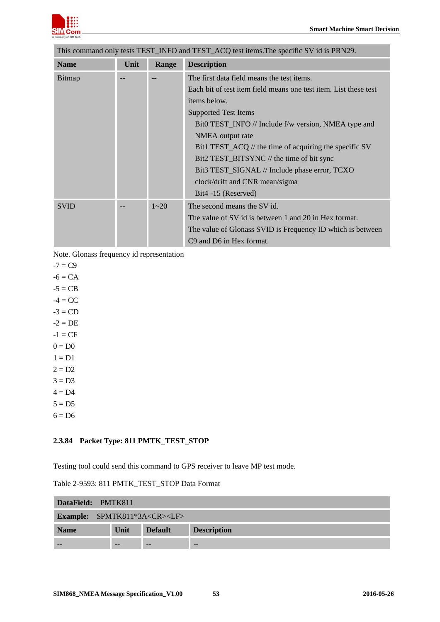

| This command only tests TEST_INFO and TEST_ACQ test items. The specific SV id is PRN29. |          |                                                                  |  |  |
|-----------------------------------------------------------------------------------------|----------|------------------------------------------------------------------|--|--|
| Unit                                                                                    | Range    | <b>Description</b>                                               |  |  |
|                                                                                         |          | The first data field means the test items.                       |  |  |
|                                                                                         |          | Each bit of test item field means one test item. List these test |  |  |
|                                                                                         |          | items below.                                                     |  |  |
|                                                                                         |          | <b>Supported Test Items</b>                                      |  |  |
|                                                                                         |          | Bit0 TEST_INFO // Include f/w version, NMEA type and             |  |  |
|                                                                                         |          | NMEA output rate                                                 |  |  |
|                                                                                         |          | Bit1 TEST_ACQ // the time of acquiring the specific SV           |  |  |
|                                                                                         |          | Bit2 TEST_BITSYNC // the time of bit sync                        |  |  |
|                                                                                         |          | Bit3 TEST_SIGNAL // Include phase error, TCXO                    |  |  |
|                                                                                         |          | clock/drift and CNR mean/sigma                                   |  |  |
|                                                                                         |          | Bit4 -15 (Reserved)                                              |  |  |
|                                                                                         | $1 - 20$ | The second means the SV id.                                      |  |  |
|                                                                                         |          | The value of SV id is between 1 and 20 in Hex format.            |  |  |
|                                                                                         |          | The value of Glonass SVID is Frequency ID which is between       |  |  |
|                                                                                         |          | C <sub>9</sub> and D <sub>6</sub> in Hex format.                 |  |  |
|                                                                                         |          |                                                                  |  |  |

Note. Glonass frequency id representation

```
-7 = C9
```
- $-6 = CA$  $-5 = CB$  $-4 = CC$  $-3 = CD$
- $-2 = DE$
- $-1 = CF$
- $0 = D0$
- $1 = D1$
- $2 = D2$
- $3 = D3$
- $4 = D4$
- $5 = D5$
- <span id="page-52-0"></span> $6 = D6$

## **2.3.84 Packet Type: 811 PMTK\_TEST\_STOP**

Testing tool could send this command to GPS receiver to leave MP test mode.

<span id="page-52-1"></span>

| DataField: PMTK811                       |      |                |                    |  |  |  |
|------------------------------------------|------|----------------|--------------------|--|--|--|
| Example: \$PMTK811*3A <cr><lf></lf></cr> |      |                |                    |  |  |  |
| <b>Name</b>                              | Unit | <b>Default</b> | <b>Description</b> |  |  |  |
|                                          | --   |                | $- -$              |  |  |  |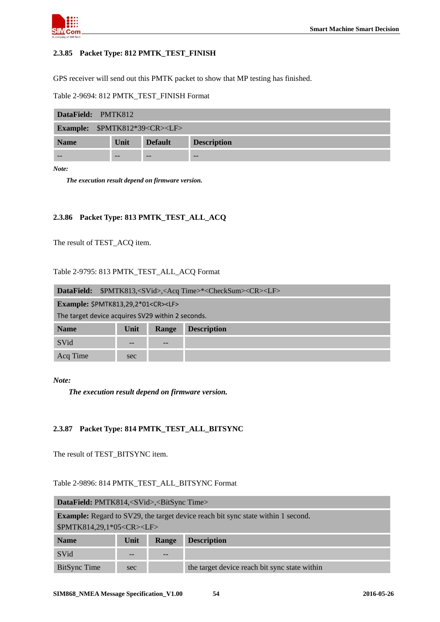

#### <span id="page-53-0"></span>**2.3.85 Packet Type: 812 PMTK\_TEST\_FINISH**

GPS receiver will send out this PMTK packet to show that MP testing has finished.

<span id="page-53-3"></span>Table 2-9694: 812 PMTK\_TEST\_FINISH Format

| DataField: PMTK812                       |      |                |                    |  |  |
|------------------------------------------|------|----------------|--------------------|--|--|
| Example: \$PMTK812*39 <cr><lf></lf></cr> |      |                |                    |  |  |
| <b>Name</b>                              | Unit | <b>Default</b> | <b>Description</b> |  |  |
| $- -$                                    | --   | --             | $- -$              |  |  |

*Note:* 

*The execution result depend on firmware version.*

#### <span id="page-53-1"></span>**2.3.86 Packet Type: 813 PMTK\_TEST\_ALL\_ACQ**

The result of TEST\_ACQ item.

#### <span id="page-53-4"></span>Table 2-9795: 813 PMTK\_TEST\_ALL\_ACQ Format

| DataField:                                        | \$PMTK813, <svid>,<acq time="">*<checksum><cr><lf></lf></cr></checksum></acq></svid> |       |                    |  |
|---------------------------------------------------|--------------------------------------------------------------------------------------|-------|--------------------|--|
| Example: \$PMTK813,29,2*01 <cr><lf></lf></cr>     |                                                                                      |       |                    |  |
| The target device acquires SV29 within 2 seconds. |                                                                                      |       |                    |  |
| <b>Name</b>                                       | Unit                                                                                 | Range | <b>Description</b> |  |
| SVid                                              | $- -$                                                                                | $- -$ |                    |  |
| Acq Time                                          | sec                                                                                  |       |                    |  |

*Note:* 

*The execution result depend on firmware version.*

#### <span id="page-53-2"></span>**2.3.87 Packet Type: 814 PMTK\_TEST\_ALL\_BITSYNC**

The result of TEST\_BITSYNC item.

#### <span id="page-53-5"></span>Table 2-9896: 814 PMTK\_TEST\_ALL\_BITSYNC Format

| <b>DataField:</b> PMTK814, <svid>,<bitsync time=""></bitsync></svid>                    |             |       |                                               |
|-----------------------------------------------------------------------------------------|-------------|-------|-----------------------------------------------|
| <b>Example:</b> Regard to SV29, the target device reach bit sync state within 1 second. |             |       |                                               |
| \$PMTK814,29,1*05 <cr><lf></lf></cr>                                                    |             |       |                                               |
| <b>Name</b>                                                                             | <b>Unit</b> | Range | <b>Description</b>                            |
| SVid                                                                                    | --          | $- -$ |                                               |
| BitSync Time                                                                            | sec         |       | the target device reach bit sync state within |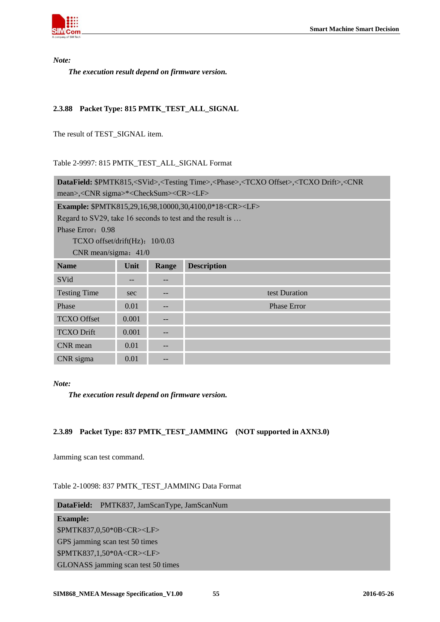

*Note:* 

*The execution result depend on firmware version.*

## <span id="page-54-0"></span>**2.3.88 Packet Type: 815 PMTK\_TEST\_ALL\_SIGNAL**

The result of TEST\_SIGNAL item.

#### <span id="page-54-2"></span>Table 2-9997: 815 PMTK\_TEST\_ALL\_SIGNAL Format

| DataField: \$PMTK815, <svid>,<testing time="">,<phase>,<tcxo offset="">,<tcxo drift="">,<cnr< th=""></cnr<></tcxo></tcxo></phase></testing></svid> |       |                   |                                                                   |
|----------------------------------------------------------------------------------------------------------------------------------------------------|-------|-------------------|-------------------------------------------------------------------|
| mean>, <cnr sigma="">*<checksum><cr><lf></lf></cr></checksum></cnr>                                                                                |       |                   |                                                                   |
|                                                                                                                                                    |       |                   | Example: \$PMTK815,29,16,98,10000,30,4100,0*18 <cr><lf></lf></cr> |
| Regard to SV29, take 16 seconds to test and the result is                                                                                          |       |                   |                                                                   |
| Phase Error: 0.98                                                                                                                                  |       |                   |                                                                   |
| $TCXO$ offset/drift(Hz): $10/0.03$                                                                                                                 |       |                   |                                                                   |
| CNR mean/sigma: $41/0$                                                                                                                             |       |                   |                                                                   |
| <b>Name</b>                                                                                                                                        | Unit  | Range             | <b>Description</b>                                                |
| SVid                                                                                                                                               | --    | $\qquad \qquad -$ |                                                                   |
| <b>Testing Time</b>                                                                                                                                | sec   | $\qquad \qquad -$ | test Duration                                                     |
| Phase                                                                                                                                              | 0.01  | $\qquad \qquad -$ | <b>Phase Error</b>                                                |
| <b>TCXO Offset</b>                                                                                                                                 | 0.001 |                   |                                                                   |
| <b>TCXO</b> Drift                                                                                                                                  | 0.001 | $\qquad \qquad -$ |                                                                   |
| CNR mean                                                                                                                                           | 0.01  |                   |                                                                   |
| CNR sigma                                                                                                                                          | 0.01  |                   |                                                                   |

#### *Note:*

*The execution result depend on firmware version.*

## <span id="page-54-1"></span>**2.3.89 Packet Type: 837 PMTK\_TEST\_JAMMING (NOT supported in AXN3.0)**

Jamming scan test command.

<span id="page-54-3"></span>Table 2-10098: 837 PMTK\_TEST\_JAMMING Data Format

| DataField: PMTK837, JamScanType, JamScanNum |  |  |  |
|---------------------------------------------|--|--|--|
| <b>Example:</b>                             |  |  |  |
| \$PMTK837,0,50*0B <cr><lf></lf></cr>        |  |  |  |
| GPS jamming scan test 50 times              |  |  |  |
| \$PMTK837,1,50*0A <cr><lf></lf></cr>        |  |  |  |
| GLONASS jamming scan test 50 times          |  |  |  |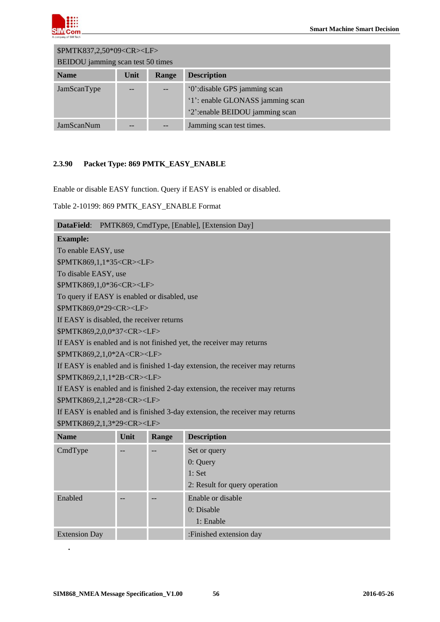

| \$PMTK837,2,50*09 <cr><lf></lf></cr>               |    |  |                                  |  |
|----------------------------------------------------|----|--|----------------------------------|--|
| BEIDOU jamming scan test 50 times                  |    |  |                                  |  |
| <b>Name</b><br><b>Description</b><br>Unit<br>Range |    |  |                                  |  |
| JamScanType                                        |    |  | '0': disable GPS jamming scan    |  |
|                                                    |    |  | '1': enable GLONASS jamming scan |  |
|                                                    |    |  | '2':enable BEIDOU jamming scan   |  |
| JamScanNum                                         | -- |  | Jamming scan test times.         |  |

## <span id="page-55-0"></span>**2.3.90 Packet Type: 869 PMTK\_EASY\_ENABLE**

Enable or disable EASY function. Query if EASY is enabled or disabled.

<span id="page-55-1"></span>Table 2-10199: 869 PMTK\_EASY\_ENABLE Format

| DataField:                                   |                                       |       | PMTK869, CmdType, [Enable], [Extension Day]                                  |  |
|----------------------------------------------|---------------------------------------|-------|------------------------------------------------------------------------------|--|
| <b>Example:</b>                              |                                       |       |                                                                              |  |
| To enable EASY, use                          |                                       |       |                                                                              |  |
| \$PMTK869,1,1*35 <cr><lf></lf></cr>          |                                       |       |                                                                              |  |
| To disable EASY, use                         |                                       |       |                                                                              |  |
| \$PMTK869,1,0*36 <cr><lf></lf></cr>          |                                       |       |                                                                              |  |
| To query if EASY is enabled or disabled, use |                                       |       |                                                                              |  |
| \$PMTK869,0*29 <cr><lf></lf></cr>            |                                       |       |                                                                              |  |
| If EASY is disabled, the receiver returns    |                                       |       |                                                                              |  |
| \$PMTK869,2,0,0*37 <cr><lf></lf></cr>        |                                       |       |                                                                              |  |
|                                              |                                       |       | If EASY is enabled and is not finished yet, the receiver may returns         |  |
| \$PMTK869,2,1,0*2A <cr><lf></lf></cr>        |                                       |       |                                                                              |  |
|                                              |                                       |       | If EASY is enabled and is finished 1-day extension, the receiver may returns |  |
| \$PMTK869,2,1,1*2B <cr><lf></lf></cr>        |                                       |       |                                                                              |  |
|                                              |                                       |       | If EASY is enabled and is finished 2-day extension, the receiver may returns |  |
|                                              | \$PMTK869,2,1,2*28 <cr><lf></lf></cr> |       |                                                                              |  |
|                                              |                                       |       | If EASY is enabled and is finished 3-day extension, the receiver may returns |  |
| \$PMTK869,2,1,3*29 <cr><lf></lf></cr>        |                                       |       |                                                                              |  |
| <b>Name</b>                                  | Unit                                  | Range | <b>Description</b>                                                           |  |
| CmdType                                      | --                                    | --    | Set or query                                                                 |  |
|                                              |                                       |       | $0:$ Query                                                                   |  |
|                                              |                                       |       | 1: Set                                                                       |  |
|                                              |                                       |       | 2: Result for query operation                                                |  |
| Enabled                                      |                                       |       | Enable or disable                                                            |  |
|                                              |                                       |       | 0: Disable                                                                   |  |
|                                              |                                       |       | 1: Enable                                                                    |  |
| <b>Extension Day</b>                         |                                       |       | :Finished extension day                                                      |  |

*.*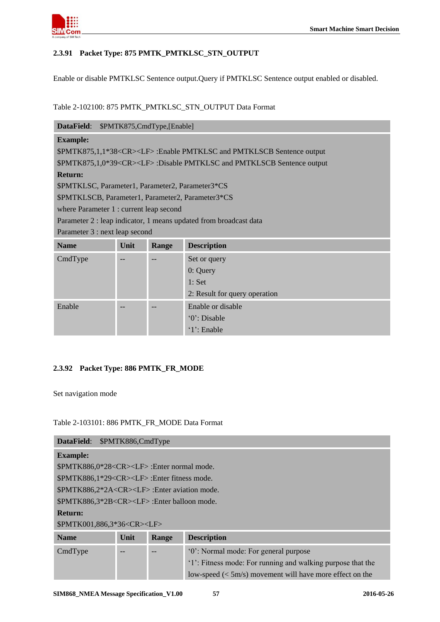

## <span id="page-56-0"></span>**2.3.91 Packet Type: 875 PMTK\_PMTKLSC\_STN\_OUTPUT**

Enable or disable PMTKLSC Sentence output.Query if PMTKLSC Sentence output enabled or disabled.

## <span id="page-56-2"></span>Table 2-102100: 875 PMTK\_PMTKLSC\_STN\_OUTPUT Data Format

| DataField:                                        |      | \$PMTK875,CmdType,[Enable] |                                                                                  |
|---------------------------------------------------|------|----------------------------|----------------------------------------------------------------------------------|
| <b>Example:</b>                                   |      |                            |                                                                                  |
|                                                   |      |                            | \$PMTK875,1,1*38 <cr><lf>:Enable PMTKLSC and PMTKLSCB Sentence output</lf></cr>  |
|                                                   |      |                            | \$PMTK875,1,0*39 <cr><lf>:Disable PMTKLSC and PMTKLSCB Sentence output</lf></cr> |
| <b>Return:</b>                                    |      |                            |                                                                                  |
| \$PMTKLSC, Parameter1, Parameter2, Parameter3*CS  |      |                            |                                                                                  |
| \$PMTKLSCB, Parameter1, Parameter2, Parameter3*CS |      |                            |                                                                                  |
| where Parameter 1 : current leap second           |      |                            |                                                                                  |
|                                                   |      |                            | Parameter 2 : leap indicator, 1 means updated from broadcast data                |
| Parameter 3 : next leap second                    |      |                            |                                                                                  |
| <b>Name</b>                                       | Unit | Range                      | <b>Description</b>                                                               |
| CmdType                                           |      |                            | Set or query                                                                     |
|                                                   |      |                            | $0:$ Query                                                                       |
|                                                   |      |                            | 1: Set                                                                           |
|                                                   |      |                            | 2: Result for query operation                                                    |
| Enable                                            |      |                            | Enable or disable                                                                |
|                                                   |      |                            | '0': Disable                                                                     |
|                                                   |      |                            | $1$ : Enable                                                                     |

#### <span id="page-56-1"></span>**2.3.92 Packet Type: 886 PMTK\_FR\_MODE**

Set navigation mode

#### <span id="page-56-3"></span>Table 2-103101: 886 PMTK\_FR\_MODE Data Format

| DataField:                                             | \$PMTK886,CmdType |       |                                                             |  |
|--------------------------------------------------------|-------------------|-------|-------------------------------------------------------------|--|
| <b>Example:</b>                                        |                   |       |                                                             |  |
| \$PMTK886,0*28 <cr><lf>:Enter normal mode.</lf></cr>   |                   |       |                                                             |  |
| $SPMTK886,1*29 < CR > LF$ : Enter fitness mode.        |                   |       |                                                             |  |
| \$PMTK886,2*2A <cr><lf>:Enter aviation mode.</lf></cr> |                   |       |                                                             |  |
| \$PMTK886,3*2B <cr><lf>:Enter balloon mode.</lf></cr>  |                   |       |                                                             |  |
| <b>Return:</b>                                         |                   |       |                                                             |  |
| \$PMTK001,886,3*36 <cr><lf></lf></cr>                  |                   |       |                                                             |  |
| <b>Name</b>                                            | Unit              | Range | <b>Description</b>                                          |  |
| CmdType                                                |                   |       | '0': Normal mode: For general purpose                       |  |
|                                                        |                   |       | '1': Fitness mode: For running and walking purpose that the |  |
|                                                        |                   |       | low-speed $(<5m/s$ ) movement will have more effect on the  |  |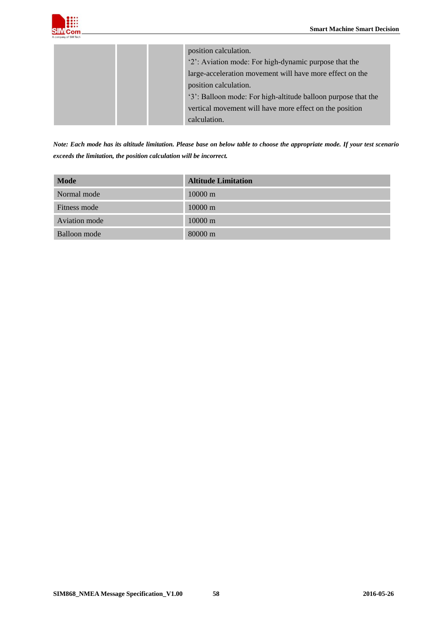

| position calculation.                                         |
|---------------------------------------------------------------|
| '2': Aviation mode: For high-dynamic purpose that the         |
| large-acceleration movement will have more effect on the      |
| position calculation.                                         |
| '3': Balloon mode: For high-altitude balloon purpose that the |
| vertical movement will have more effect on the position       |
| calculation.                                                  |

*Note: Each mode has its altitude limitation. Please base on below table to choose the appropriate mode. If your test scenario exceeds the limitation, the position calculation will be incorrect.*

| <b>Mode</b>   | <b>Altitude Limitation</b> |
|---------------|----------------------------|
| Normal mode   | $10000 \text{ m}$          |
| Fitness mode  | $10000 \text{ m}$          |
| Aviation mode | $10000 \text{ m}$          |
| Balloon mode  | $80000 \text{ m}$          |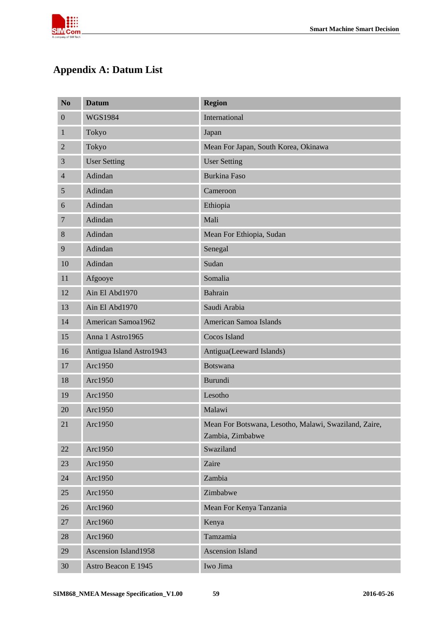

# <span id="page-58-0"></span>**Appendix A: Datum List**

| N <sub>0</sub>   | <b>Datum</b>                | <b>Region</b>                                                             |
|------------------|-----------------------------|---------------------------------------------------------------------------|
| $\boldsymbol{0}$ | <b>WGS1984</b>              | International                                                             |
| 1                | Tokyo                       | Japan                                                                     |
| $\mathbf{2}$     | Tokyo                       | Mean For Japan, South Korea, Okinawa                                      |
| 3                | <b>User Setting</b>         | <b>User Setting</b>                                                       |
| $\overline{4}$   | Adindan                     | <b>Burkina Faso</b>                                                       |
| 5                | Adindan                     | Cameroon                                                                  |
| 6                | Adindan                     | Ethiopia                                                                  |
| 7                | Adindan                     | Mali                                                                      |
| 8                | Adindan                     | Mean For Ethiopia, Sudan                                                  |
| 9                | Adindan                     | Senegal                                                                   |
| 10               | Adindan                     | Sudan                                                                     |
| 11               | Afgooye                     | Somalia                                                                   |
| 12               | Ain El Abd1970              | <b>Bahrain</b>                                                            |
| 13               | Ain El Abd1970              | Saudi Arabia                                                              |
| 14               | American Samoa1962          | American Samoa Islands                                                    |
| 15               | Anna 1 Astro1965            | Cocos Island                                                              |
| 16               | Antigua Island Astro1943    | Antigua(Leeward Islands)                                                  |
| 17               | Arc1950                     | <b>Botswana</b>                                                           |
| 18               | Arc1950                     | <b>Burundi</b>                                                            |
| 19               | Arc1950                     | Lesotho                                                                   |
| 20               | Arc1950                     | Malawi                                                                    |
| 21               | Arc1950                     | Mean For Botswana, Lesotho, Malawi, Swaziland, Zaire,<br>Zambia, Zimbabwe |
| 22               | Arc1950                     | Swaziland                                                                 |
| 23               | Arc1950                     | Zaire                                                                     |
| 24               | Arc1950                     | Zambia                                                                    |
| 25               | Arc1950                     | Zimbabwe                                                                  |
| 26               | Arc1960                     | Mean For Kenya Tanzania                                                   |
| 27               | Arc1960                     | Kenya                                                                     |
| 28               | Arc1960                     | Tamzamia                                                                  |
| 29               | <b>Ascension Island1958</b> | <b>Ascension Island</b>                                                   |
| 30               | Astro Beacon E 1945         | Iwo Jima                                                                  |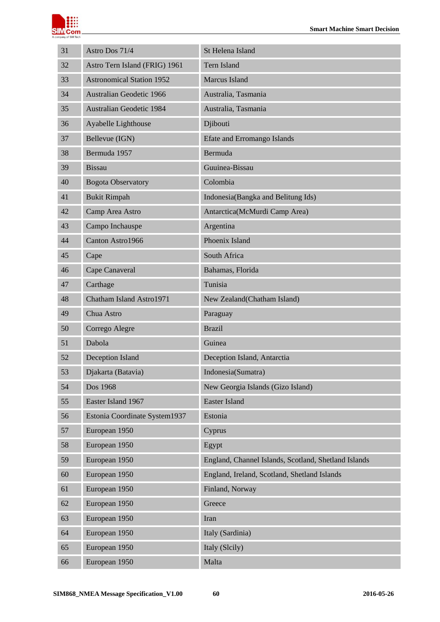

| 31 | Astro Dos 71/4                   | St Helena Island                                     |
|----|----------------------------------|------------------------------------------------------|
| 32 | Astro Tern Island (FRIG) 1961    | Tern Island                                          |
| 33 | <b>Astronomical Station 1952</b> | <b>Marcus Island</b>                                 |
| 34 | Australian Geodetic 1966         | Australia, Tasmania                                  |
| 35 | <b>Australian Geodetic 1984</b>  | Australia, Tasmania                                  |
| 36 | Ayabelle Lighthouse              | Djibouti                                             |
| 37 | Bellevue (IGN)                   | <b>Efate and Erromango Islands</b>                   |
| 38 | Bermuda 1957                     | <b>Bermuda</b>                                       |
| 39 | <b>Bissau</b>                    | Guuinea-Bissau                                       |
| 40 | <b>Bogota Observatory</b>        | Colombia                                             |
| 41 | <b>Bukit Rimpah</b>              | Indonesia(Bangka and Belitung Ids)                   |
| 42 | Camp Area Astro                  | Antarctica(McMurdi Camp Area)                        |
| 43 | Campo Inchauspe                  | Argentina                                            |
| 44 | Canton Astro1966                 | Phoenix Island                                       |
| 45 | Cape                             | South Africa                                         |
| 46 | Cape Canaveral                   | Bahamas, Florida                                     |
| 47 | Carthage                         | Tunisia                                              |
| 48 | Chatham Island Astro1971         | New Zealand(Chatham Island)                          |
| 49 | Chua Astro                       | Paraguay                                             |
| 50 | Corrego Alegre                   | <b>Brazil</b>                                        |
| 51 | Dabola                           | Guinea                                               |
| 52 | Deception Island                 | Deception Island, Antarctia                          |
| 53 | Djakarta (Batavia)               | Indonesia(Sumatra)                                   |
| 54 | Dos 1968                         | New Georgia Islands (Gizo Island)                    |
| 55 | Easter Island 1967               | <b>Easter Island</b>                                 |
| 56 | Estonia Coordinate System1937    | Estonia                                              |
| 57 | European 1950                    | Cyprus                                               |
| 58 | European 1950                    | Egypt                                                |
| 59 | European 1950                    | England, Channel Islands, Scotland, Shetland Islands |
| 60 | European 1950                    | England, Ireland, Scotland, Shetland Islands         |
| 61 | European 1950                    | Finland, Norway                                      |
| 62 | European 1950                    | Greece                                               |
| 63 | European 1950                    | Iran                                                 |
| 64 | European 1950                    | Italy (Sardinia)                                     |
| 65 | European 1950                    | Italy (Slcily)                                       |
| 66 | European 1950                    | Malta                                                |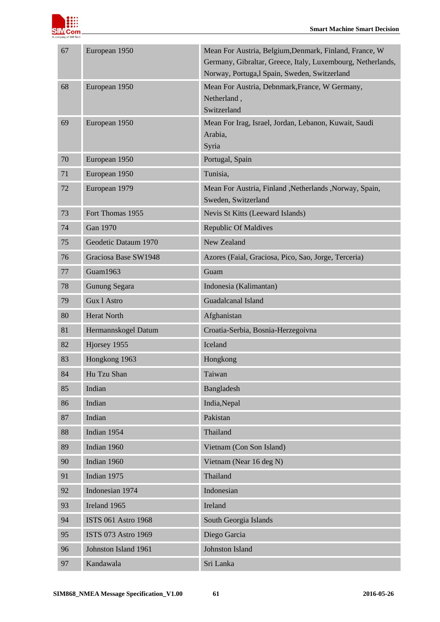

| 67 | European 1950        | Mean For Austria, Belgium, Denmark, Finland, France, W<br>Germany, Gibraltar, Greece, Italy, Luxembourg, Netherlands,<br>Norway, Portuga, l Spain, Sweden, Switzerland |
|----|----------------------|------------------------------------------------------------------------------------------------------------------------------------------------------------------------|
| 68 | European 1950        | Mean For Austria, Debnmark, France, W Germany,<br>Netherland,<br>Switzerland                                                                                           |
| 69 | European 1950        | Mean For Irag, Israel, Jordan, Lebanon, Kuwait, Saudi<br>Arabia,<br>Syria                                                                                              |
| 70 | European 1950        | Portugal, Spain                                                                                                                                                        |
| 71 | European 1950        | Tunisia,                                                                                                                                                               |
| 72 | European 1979        | Mean For Austria, Finland , Netherlands , Norway, Spain,<br>Sweden, Switzerland                                                                                        |
| 73 | Fort Thomas 1955     | Nevis St Kitts (Leeward Islands)                                                                                                                                       |
| 74 | <b>Gan 1970</b>      | <b>Republic Of Maldives</b>                                                                                                                                            |
| 75 | Geodetic Dataum 1970 | <b>New Zealand</b>                                                                                                                                                     |
| 76 | Graciosa Base SW1948 | Azores (Faial, Graciosa, Pico, Sao, Jorge, Terceria)                                                                                                                   |
| 77 | Guam1963             | Guam                                                                                                                                                                   |
| 78 | <b>Gunung Segara</b> | Indonesia (Kalimantan)                                                                                                                                                 |
| 79 | Gux 1 Astro          | Guadalcanal Island                                                                                                                                                     |
| 80 | <b>Herat North</b>   | Afghanistan                                                                                                                                                            |
| 81 | Hermannskogel Datum  | Croatia-Serbia, Bosnia-Herzegoivna                                                                                                                                     |
| 82 | Hjorsey 1955         | Iceland                                                                                                                                                                |
| 83 | Hongkong 1963        | Hongkong                                                                                                                                                               |
| 84 | Hu Tzu Shan          | Taiwan                                                                                                                                                                 |
| 85 | Indian               | Bangladesh                                                                                                                                                             |
| 86 | Indian               | India, Nepal                                                                                                                                                           |
| 87 | Indian               | Pakistan                                                                                                                                                               |
| 88 | Indian 1954          | Thailand                                                                                                                                                               |
| 89 | Indian 1960          | Vietnam (Con Son Island)                                                                                                                                               |
| 90 | Indian 1960          | Vietnam (Near 16 deg N)                                                                                                                                                |
| 91 | Indian 1975          | Thailand                                                                                                                                                               |
| 92 | Indonesian 1974      | Indonesian                                                                                                                                                             |
| 93 | Ireland 1965         | Ireland                                                                                                                                                                |
| 94 | ISTS 061 Astro 1968  | South Georgia Islands                                                                                                                                                  |
| 95 | ISTS 073 Astro 1969  | Diego Garcia                                                                                                                                                           |
| 96 | Johnston Island 1961 | Johnston Island                                                                                                                                                        |
| 97 | Kandawala            | Sri Lanka                                                                                                                                                              |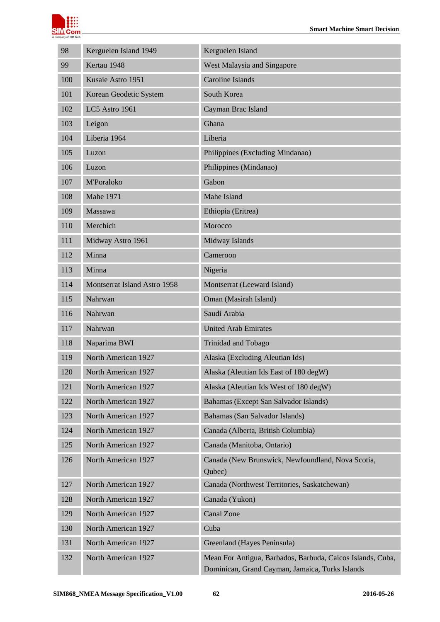

| 98  | Kerguelen Island 1949                        | Kerguelen Island                                                                                              |  |
|-----|----------------------------------------------|---------------------------------------------------------------------------------------------------------------|--|
| 99  | Kertau 1948                                  | West Malaysia and Singapore                                                                                   |  |
| 100 | <b>Caroline Islands</b><br>Kusaie Astro 1951 |                                                                                                               |  |
| 101 | South Korea<br>Korean Geodetic System        |                                                                                                               |  |
| 102 | LC5 Astro 1961                               | Cayman Brac Island                                                                                            |  |
| 103 | Leigon                                       | Ghana                                                                                                         |  |
| 104 | Liberia 1964                                 | Liberia                                                                                                       |  |
| 105 | Luzon                                        | Philippines (Excluding Mindanao)                                                                              |  |
| 106 | Luzon                                        | Philippines (Mindanao)                                                                                        |  |
| 107 | <b>M'Poraloko</b>                            | Gabon                                                                                                         |  |
| 108 | <b>Mahe 1971</b>                             | Mahe Island                                                                                                   |  |
| 109 | Massawa                                      | Ethiopia (Eritrea)                                                                                            |  |
| 110 | Merchich                                     | Morocco                                                                                                       |  |
| 111 | Midway Astro 1961                            | Midway Islands                                                                                                |  |
| 112 | Minna                                        | Cameroon                                                                                                      |  |
| 113 | Minna                                        | Nigeria                                                                                                       |  |
| 114 | Montserrat Island Astro 1958                 | Montserrat (Leeward Island)                                                                                   |  |
| 115 | Nahrwan                                      | Oman (Masirah Island)                                                                                         |  |
| 116 | Nahrwan                                      | Saudi Arabia                                                                                                  |  |
| 117 | Nahrwan                                      | <b>United Arab Emirates</b>                                                                                   |  |
| 118 | Naparima BWI                                 | Trinidad and Tobago                                                                                           |  |
| 119 | North American 1927                          | Alaska (Excluding Aleutian Ids)                                                                               |  |
| 120 | North American 1927                          | Alaska (Aleutian Ids East of 180 degW)                                                                        |  |
| 121 | North American 1927                          | Alaska (Aleutian Ids West of 180 degW)                                                                        |  |
| 122 | North American 1927                          | Bahamas (Except San Salvador Islands)                                                                         |  |
| 123 | North American 1927                          | Bahamas (San Salvador Islands)                                                                                |  |
| 124 | North American 1927                          | Canada (Alberta, British Columbia)                                                                            |  |
| 125 | North American 1927                          | Canada (Manitoba, Ontario)                                                                                    |  |
| 126 | North American 1927                          | Canada (New Brunswick, Newfoundland, Nova Scotia,<br>Qubec)                                                   |  |
| 127 | North American 1927                          | Canada (Northwest Territories, Saskatchewan)                                                                  |  |
| 128 | North American 1927                          | Canada (Yukon)                                                                                                |  |
| 129 | North American 1927                          | <b>Canal Zone</b>                                                                                             |  |
| 130 | North American 1927                          | Cuba                                                                                                          |  |
| 131 | North American 1927                          | Greenland (Hayes Peninsula)                                                                                   |  |
| 132 | North American 1927                          | Mean For Antigua, Barbados, Barbuda, Caicos Islands, Cuba,<br>Dominican, Grand Cayman, Jamaica, Turks Islands |  |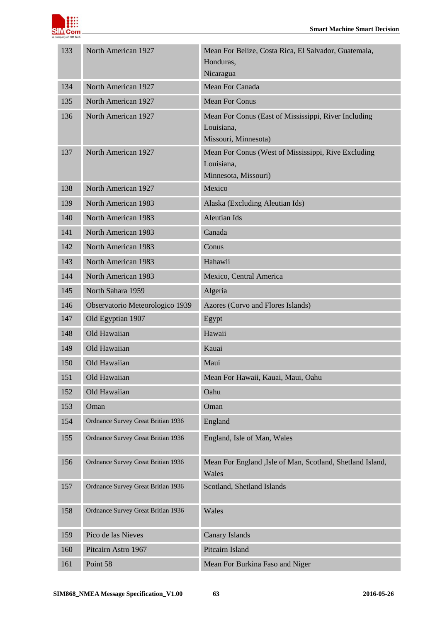

| 133 | North American 1927                          | Mean For Belize, Costa Rica, El Salvador, Guatemala,                |
|-----|----------------------------------------------|---------------------------------------------------------------------|
|     |                                              | Honduras,<br>Nicaragua                                              |
| 134 | North American 1927                          | Mean For Canada                                                     |
| 135 | <b>Mean For Conus</b><br>North American 1927 |                                                                     |
| 136 | North American 1927                          | Mean For Conus (East of Mississippi, River Including                |
|     |                                              | Louisiana,                                                          |
|     |                                              | Missouri, Minnesota)                                                |
| 137 | North American 1927                          | Mean For Conus (West of Mississippi, Rive Excluding                 |
|     |                                              | Louisiana,<br>Minnesota, Missouri)                                  |
| 138 | North American 1927                          | Mexico                                                              |
| 139 | North American 1983                          | Alaska (Excluding Aleutian Ids)                                     |
| 140 | North American 1983                          | <b>Aleutian Ids</b>                                                 |
| 141 | North American 1983                          | Canada                                                              |
| 142 | North American 1983                          | Conus                                                               |
| 143 | North American 1983                          | Hahawii                                                             |
| 144 | North American 1983                          | Mexico, Central America                                             |
| 145 | North Sahara 1959                            | Algeria                                                             |
| 146 | Observatorio Meteorologico 1939              | Azores (Corvo and Flores Islands)                                   |
| 147 | Old Egyptian 1907                            | Egypt                                                               |
| 148 | Old Hawaiian                                 | Hawaii                                                              |
| 149 | Old Hawaiian                                 | Kauai                                                               |
| 150 | Old Hawaiian                                 | Maui                                                                |
| 151 | Old Hawaiian                                 | Mean For Hawaii, Kauai, Maui, Oahu                                  |
| 152 | Old Hawaiian                                 | Oahu                                                                |
| 153 | Oman                                         | Oman                                                                |
| 154 | Ordnance Survey Great Britian 1936           | England                                                             |
| 155 | Ordnance Survey Great Britian 1936           | England, Isle of Man, Wales                                         |
| 156 | Ordnance Survey Great Britian 1936           | Mean For England , Isle of Man, Scotland, Shetland Island,<br>Wales |
| 157 | Ordnance Survey Great Britian 1936           | Scotland, Shetland Islands                                          |
| 158 | Ordnance Survey Great Britian 1936           | Wales                                                               |
| 159 | Pico de las Nieves                           | <b>Canary Islands</b>                                               |
| 160 | Pitcairn Astro 1967                          | Pitcairn Island                                                     |
| 161 | Point 58                                     | Mean For Burkina Faso and Niger                                     |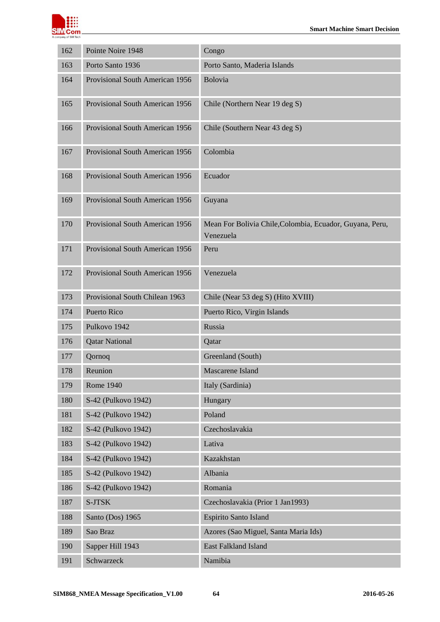

| 162 | Pointe Noire 1948                           | Congo                                                                 |  |
|-----|---------------------------------------------|-----------------------------------------------------------------------|--|
| 163 | Porto Santo 1936                            | Porto Santo, Maderia Islands                                          |  |
| 164 | Provisional South American 1956             | Bolovia                                                               |  |
| 165 | Provisional South American 1956             | Chile (Northern Near 19 deg S)                                        |  |
| 166 | Provisional South American 1956             | Chile (Southern Near 43 deg S)                                        |  |
| 167 | Provisional South American 1956<br>Colombia |                                                                       |  |
| 168 | Provisional South American 1956             | Ecuador                                                               |  |
| 169 | Provisional South American 1956             | Guyana                                                                |  |
| 170 | Provisional South American 1956             | Mean For Bolivia Chile, Colombia, Ecuador, Guyana, Peru,<br>Venezuela |  |
| 171 | Provisional South American 1956             | Peru                                                                  |  |
| 172 | Provisional South American 1956             | Venezuela                                                             |  |
| 173 | Provisional South Chilean 1963              | Chile (Near 53 deg S) (Hito XVIII)                                    |  |
| 174 | <b>Puerto Rico</b>                          | Puerto Rico, Virgin Islands                                           |  |
| 175 | Pulkovo 1942                                | Russia                                                                |  |
| 176 | <b>Qatar National</b>                       | Qatar                                                                 |  |
| 177 | Qornoq                                      | Greenland (South)                                                     |  |
| 178 | Reunion                                     | Mascarene Island                                                      |  |
| 179 | Rome 1940                                   | Italy (Sardinia)                                                      |  |
| 180 | S-42 (Pulkovo 1942)                         | Hungary                                                               |  |
| 181 | S-42 (Pulkovo 1942)                         | Poland                                                                |  |
| 182 | S-42 (Pulkovo 1942)                         | Czechoslavakia                                                        |  |
| 183 | S-42 (Pulkovo 1942)                         | Lativa                                                                |  |
| 184 | S-42 (Pulkovo 1942)                         | Kazakhstan                                                            |  |
| 185 | S-42 (Pulkovo 1942)                         | Albania                                                               |  |
| 186 | S-42 (Pulkovo 1942)                         | Romania                                                               |  |
| 187 | S-JTSK                                      | Czechoslavakia (Prior 1 Jan1993)                                      |  |
| 188 | Santo (Dos) 1965                            | Espirito Santo Island                                                 |  |
| 189 | Sao Braz                                    | Azores (Sao Miguel, Santa Maria Ids)                                  |  |
| 190 | Sapper Hill 1943                            | East Falkland Island                                                  |  |
| 191 | Schwarzeck                                  | Namibia                                                               |  |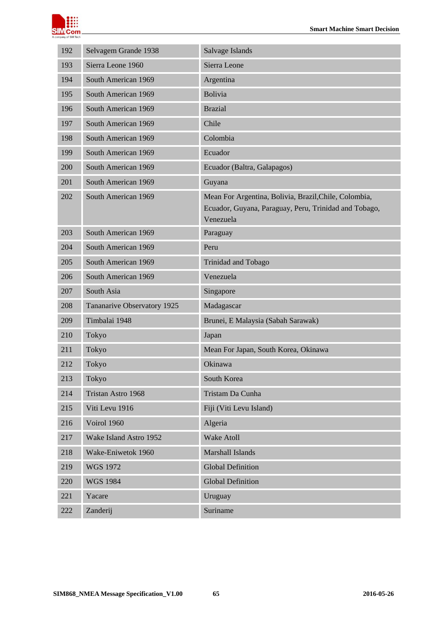

| 192 | Selvagem Grande 1938        | Salvage Islands                                                                                                             |
|-----|-----------------------------|-----------------------------------------------------------------------------------------------------------------------------|
| 193 | Sierra Leone 1960           | Sierra Leone                                                                                                                |
| 194 | South American 1969         | Argentina                                                                                                                   |
| 195 | South American 1969         | <b>Bolivia</b>                                                                                                              |
| 196 | South American 1969         | <b>Brazial</b>                                                                                                              |
| 197 | South American 1969         | Chile                                                                                                                       |
| 198 | South American 1969         | Colombia                                                                                                                    |
| 199 | South American 1969         | Ecuador                                                                                                                     |
| 200 | South American 1969         | Ecuador (Baltra, Galapagos)                                                                                                 |
| 201 | South American 1969         | Guyana                                                                                                                      |
| 202 | South American 1969         | Mean For Argentina, Bolivia, Brazil, Chile, Colombia,<br>Ecuador, Guyana, Paraguay, Peru, Trinidad and Tobago,<br>Venezuela |
| 203 | South American 1969         | Paraguay                                                                                                                    |
| 204 | South American 1969         | Peru                                                                                                                        |
| 205 | South American 1969         | Trinidad and Tobago                                                                                                         |
| 206 | South American 1969         | Venezuela                                                                                                                   |
| 207 | South Asia                  | Singapore                                                                                                                   |
| 208 | Tananarive Observatory 1925 | Madagascar                                                                                                                  |
| 209 | Timbalai 1948               | Brunei, E Malaysia (Sabah Sarawak)                                                                                          |
| 210 | Tokyo                       | Japan                                                                                                                       |
| 211 | Tokyo                       | Mean For Japan, South Korea, Okinawa                                                                                        |
| 212 | Tokyo                       | Okinawa                                                                                                                     |
| 213 | Tokyo                       | South Korea                                                                                                                 |
| 214 | Tristan Astro 1968          | Tristam Da Cunha                                                                                                            |
| 215 | Viti Levu 1916              | Fiji (Viti Levu Island)                                                                                                     |
| 216 | Voirol 1960                 | Algeria                                                                                                                     |
| 217 | Wake Island Astro 1952      | Wake Atoll                                                                                                                  |
| 218 | Wake-Eniwetok 1960          | Marshall Islands                                                                                                            |
| 219 | <b>WGS 1972</b>             | <b>Global Definition</b>                                                                                                    |
| 220 | <b>WGS 1984</b>             | <b>Global Definition</b>                                                                                                    |
| 221 | Yacare                      | Uruguay                                                                                                                     |
| 222 | Zanderij                    | Suriname                                                                                                                    |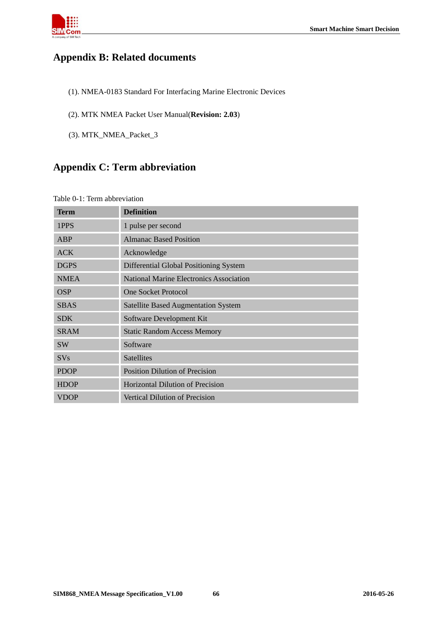

# <span id="page-65-0"></span>**Appendix B: Related documents**

- (1). NMEA-0183 Standard For Interfacing Marine Electronic Devices
- (2). MTK NMEA Packet User Manual(**Revision: 2.03**)
- <span id="page-65-1"></span>(3). MTK\_NMEA\_Packet\_3

# **Appendix C: Term abbreviation**

#### <span id="page-65-2"></span>Table 0-1: Term abbreviation

| <b>Term</b> | <b>Definition</b>                          |
|-------------|--------------------------------------------|
| 1PPS        | 1 pulse per second                         |
| ABP         | <b>Almanac Based Position</b>              |
| <b>ACK</b>  | Acknowledge                                |
| <b>DGPS</b> | Differential Global Positioning System     |
| <b>NMEA</b> | National Marine Electronics Association    |
| <b>OSP</b>  | <b>One Socket Protocol</b>                 |
| <b>SBAS</b> | <b>Satellite Based Augmentation System</b> |
| <b>SDK</b>  | Software Development Kit                   |
| <b>SRAM</b> | <b>Static Random Access Memory</b>         |
| <b>SW</b>   | Software                                   |
| <b>SVs</b>  | <b>Satellites</b>                          |
| <b>PDOP</b> | <b>Position Dilution of Precision</b>      |
| <b>HDOP</b> | Horizontal Dilution of Precision           |
| <b>VDOP</b> | <b>Vertical Dilution of Precision</b>      |